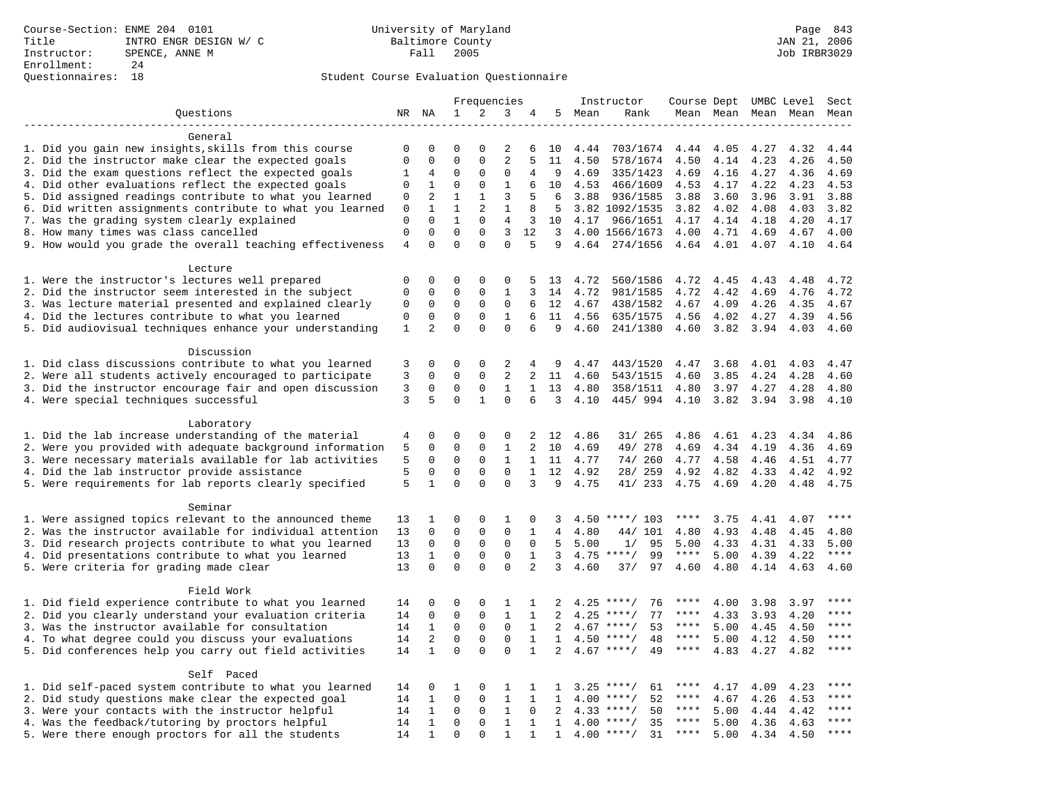|                                                                                                                     | Frequencies                 |                          | Instructor                  |               |                  |                   |              | Course Dept UMBC Level |                                 | Sect              |              |              |              |              |
|---------------------------------------------------------------------------------------------------------------------|-----------------------------|--------------------------|-----------------------------|---------------|------------------|-------------------|--------------|------------------------|---------------------------------|-------------------|--------------|--------------|--------------|--------------|
| Questions                                                                                                           |                             | NR NA                    | $\mathbf{1}$                | 2             | 3                | 4                 | 5            | Mean                   | Rank                            |                   | Mean Mean    |              | Mean Mean    | Mean         |
|                                                                                                                     |                             |                          |                             |               |                  |                   |              |                        |                                 |                   |              |              |              |              |
| General                                                                                                             |                             |                          |                             |               |                  |                   |              |                        |                                 |                   |              |              |              |              |
| 1. Did you gain new insights, skills from this course                                                               | 0                           | 0                        | $\Omega$                    | O             | 2                | 6                 | 10           | 4.44                   | 703/1674                        | 4.44              | 4.05         | 4.27         | 4.32         | 4.44         |
| 2. Did the instructor make clear the expected goals                                                                 | $\mathbf{0}$                | $\mathbf 0$              | $\mathbf 0$                 | $\mathbf{0}$  | $\overline{2}$   | 5                 | 11           | 4.50                   | 578/1674                        | 4.50              | 4.14         | 4.23         | 4.26         | 4.50         |
| 3. Did the exam questions reflect the expected goals                                                                | 1                           | 4                        | 0                           | 0             | 0                | 4                 | 9            | 4.69                   | 335/1423                        | 4.69              | 4.16         | 4.27         | 4.36         | 4.69         |
| 4. Did other evaluations reflect the expected goals                                                                 | $\mathbf{0}$                | $\mathbf{1}$             | $\mathbf 0$                 | $\mathbf 0$   | $\mathbf{1}$     | 6                 | 10           | 4.53                   | 466/1609                        | 4.53              | 4.17         | 4.22         | 4.23         | 4.53         |
| 5. Did assigned readings contribute to what you learned                                                             | $\mathbf 0$                 | 2                        | $\mathbf{1}$                | $\mathbf{1}$  | 3                | 5                 | 6            | 3.88                   | 936/1585                        | 3.88              | 3.60         | 3.96         | 3.91         | 3.88         |
| 6. Did written assignments contribute to what you learned                                                           | $\mathbf 0$                 | $\mathbf{1}$<br>$\Omega$ | $\mathbf{1}$                | 2<br>$\Omega$ | $\mathbf{1}$     | 8                 | 5            |                        | 3.82 1092/1535                  | 3.82              | 4.02         | 4.08         | 4.03         | 3.82         |
| 7. Was the grading system clearly explained                                                                         | $\mathbf 0$<br>$\mathbf{0}$ | $\mathbf 0$              | $\mathbf{1}$<br>$\mathbf 0$ | $\mathbf 0$   | 4<br>3           | 3<br>12           | 10           |                        | 4.17 966/1651                   | 4.17              | 4.14         | 4.18         | 4.20         | 4.17         |
| 8. How many times was class cancelled<br>9. How would you grade the overall teaching effectiveness                  | $\overline{4}$              | $\Omega$                 | $\Omega$                    | $\Omega$      | $\Omega$         | 5                 | 3<br>9       |                        | 4.00 1566/1673<br>4.64 274/1656 | 4.00<br>4.64 4.01 | 4.71         | 4.69<br>4.07 | 4.67<br>4.10 | 4.00<br>4.64 |
|                                                                                                                     |                             |                          |                             |               |                  |                   |              |                        |                                 |                   |              |              |              |              |
| Lecture                                                                                                             |                             |                          |                             |               |                  |                   |              |                        |                                 |                   |              |              |              |              |
| 1. Were the instructor's lectures well prepared                                                                     | $\mathbf 0$                 | $\mathbf 0$              | $\mathbf 0$                 | $\mathbf{0}$  | 0                | 5                 | 13           | 4.72                   | 560/1586                        | 4.72              | 4.45         | 4.43         | 4.48         | 4.72         |
| 2. Did the instructor seem interested in the subject                                                                | $\mathbf{0}$                | $\mathbf 0$              | 0                           | $\mathbf{0}$  | $\mathbf{1}$     | 3                 | 14           | 4.72                   | 981/1585                        | 4.72              | 4.42         | 4.69         | 4.76         | 4.72         |
| 3. Was lecture material presented and explained clearly                                                             | 0                           | $\mathbf 0$              | $\mathbf 0$                 | $\mathbf 0$   | $\mathbf 0$      | 6                 | 12           | 4.67                   | 438/1582                        | 4.67              | 4.09         | 4.26         | 4.35         | 4.67         |
| 4. Did the lectures contribute to what you learned                                                                  | $\mathbf 0$                 | $\mathbf 0$              | $\mathbf 0$                 | 0             | 1                | 6                 | 11           | 4.56                   | 635/1575                        | 4.56              | 4.02         | 4.27         | 4.39         | 4.56         |
| 5. Did audiovisual techniques enhance your understanding                                                            | $\mathbf{1}$                | 2                        | $\Omega$                    | $\Omega$      | $\Omega$         | 6                 | 9            | 4.60                   | 241/1380                        | 4.60              | 3.82         | 3.94         | 4.03         | 4.60         |
|                                                                                                                     |                             |                          |                             |               |                  |                   |              |                        |                                 |                   |              |              |              |              |
| Discussion                                                                                                          |                             |                          |                             |               |                  |                   |              |                        |                                 |                   |              |              |              |              |
| 1. Did class discussions contribute to what you learned                                                             | 3                           | $\mathbf 0$              | 0                           | $\mathbf{0}$  | 2                | 4                 | 9            | 4.47                   | 443/1520                        | 4.47              | 3.68         | 4.01         | 4.03         | 4.47         |
| 2. Were all students actively encouraged to participate                                                             | 3                           | $\mathbf 0$              | $\mathbf 0$                 | $\mathbf 0$   | 2                | $\overline{a}$    | 11           | 4.60                   | 543/1515                        | 4.60              | 3.85         | 4.24         | 4.28         | 4.60         |
| 3. Did the instructor encourage fair and open discussion                                                            | 3                           | 0                        | $\mathbf 0$                 | 0             | $\mathbf{1}$     | $\mathbf{1}$      | 13           | 4.80                   | 358/1511                        | 4.80              | 3.97         | 4.27         | 4.28         | 4.80         |
| 4. Were special techniques successful                                                                               | 3                           | 5                        | $\Omega$                    | $\mathbf{1}$  | $\Omega$         | 6                 | 3            | 4.10                   | 445/994                         | 4.10              | 3.82         | 3.94         | 3.98         | 4.10         |
|                                                                                                                     |                             |                          |                             |               |                  |                   |              |                        |                                 |                   |              |              |              |              |
| Laboratory                                                                                                          |                             |                          |                             |               |                  |                   |              |                        |                                 |                   |              |              |              |              |
| 1. Did the lab increase understanding of the material                                                               | 4                           | 0                        | 0                           | 0             | 0                | 2                 | 12           | 4.86                   | 31/ 265                         | 4.86              | 4.61         | 4.23         | 4.34         | 4.86         |
| 2. Were you provided with adequate background information                                                           | 5                           | $\mathbf 0$              | $\mathbf 0$                 | $\mathbf 0$   | $\mathbf{1}$     | $\overline{a}$    | 10           | 4.69                   | 49/ 278                         | 4.69              | 4.34         | 4.19         | 4.36         | 4.69         |
| 3. Were necessary materials available for lab activities                                                            | 5                           | $\mathbf 0$              | $\mathbf 0$                 | $\mathbf 0$   | $\mathbf{1}$     |                   | $1\quad 11$  | 4.77                   | 74/ 260                         | 4.77              | 4.58         | 4.46         | 4.51         | 4.77         |
| 4. Did the lab instructor provide assistance                                                                        | 5                           | $\mathbf 0$              | $\mathbf 0$                 | $\mathbf{0}$  | $\mathbf 0$      | $\mathbf{1}$      | 12           | 4.92                   | 28/ 259                         | 4.92              | 4.82         | 4.33         | 4.42         | 4.92         |
| 5. Were requirements for lab reports clearly specified                                                              | 5                           | $\mathbf{1}$             | $\Omega$                    | $\Omega$      | $\Omega$         | 3                 | 9            | 4.75                   | 41/ 233                         | 4.75              | 4.69         | 4.20         | 4.48         | 4.75         |
|                                                                                                                     |                             |                          |                             |               |                  |                   |              |                        |                                 |                   |              |              |              |              |
| Seminar                                                                                                             |                             |                          | 0                           | $\mathsf 0$   |                  |                   |              |                        |                                 | ****              |              |              |              | $***$        |
| 1. Were assigned topics relevant to the announced theme<br>2. Was the instructor available for individual attention | 13<br>13                    | 1<br>$\mathbf 0$         | 0                           | $\mathsf 0$   | 1<br>$\mathbf 0$ | 0<br>$\mathbf{1}$ | 3<br>4       | 4.80                   | $4.50$ ****/ 103<br>44/ 101     | 4.80              | 3.75<br>4.93 | 4.41<br>4.48 | 4.07<br>4.45 | 4.80         |
| 3. Did research projects contribute to what you learned                                                             | 13                          | 0                        | $\mathbf 0$                 | $\mathsf 0$   | $\mathbf 0$      | $\mathbf 0$       | 5            | 5.00                   | 1/<br>95                        | 5.00              | 4.33         | 4.31         | 4.33         | 5.00         |
| 4. Did presentations contribute to what you learned                                                                 | 13                          | $\mathbf{1}$             | $\mathbf 0$                 | $\mathbf 0$   | 0                | 1                 | 3            |                        | $4.75$ ****/<br>99              | $***$ * *         | 5.00         | 4.39         | 4.22         | $***$        |
| 5. Were criteria for grading made clear                                                                             | 13                          | $\mathbf 0$              | $\Omega$                    | $\Omega$      | $\Omega$         | 2                 | 3            | 4.60                   | 37/<br>97                       | 4.60              | 4.80         | 4.14         | 4.63         | 4.60         |
|                                                                                                                     |                             |                          |                             |               |                  |                   |              |                        |                                 |                   |              |              |              |              |
| Field Work                                                                                                          |                             |                          |                             |               |                  |                   |              |                        |                                 |                   |              |              |              |              |
| 1. Did field experience contribute to what you learned                                                              | 14                          | 0                        | 0                           | $\Omega$      | 1                | 1                 | 2            | 4.25                   | $***$ /<br>76                   | ****              | 4.00         | 3.98         | 3.97         | ****         |
| 2. Did you clearly understand your evaluation criteria                                                              | 14                          | $\mathsf 0$              | $\mathbf 0$                 | $\mathbf 0$   | $1\,$            | $\mathbf{1}$      | 2            | 4.25                   | 77<br>$***$ /                   | ****              | 4.33         | 3.93         | 4.20         | ****         |
| 3. Was the instructor available for consultation                                                                    | 14                          | 1                        | 0                           | 0             | $\mathbf 0$      | $\mathbf{1}$      | 2            |                        | $4.67$ ****/<br>53              | ****              | 5.00         | 4.45         | 4.50         | ****         |
| 4. To what degree could you discuss your evaluations                                                                | 14                          | 2                        | $\mathbf 0$                 | $\mathbf{0}$  | $\mathbf 0$      | 1                 | $\mathbf{1}$ |                        | $4.50$ ****/<br>48              | $***$ * *         | 5.00         | 4.12         | 4.50         | $***$        |
| 5. Did conferences help you carry out field activities                                                              | 14                          | $\mathbf{1}$             | $\Omega$                    | $\Omega$      | $\Omega$         | $\mathbf{1}$      | 2            | 4.67                   | 49<br>$* * * * /$               | $***$ * * *       | 4.83         | 4.27         | 4.82         | $***$        |
|                                                                                                                     |                             |                          |                             |               |                  |                   |              |                        |                                 |                   |              |              |              |              |
| Self Paced                                                                                                          |                             |                          |                             |               |                  |                   |              |                        |                                 |                   |              |              |              |              |
| 1. Did self-paced system contribute to what you learned                                                             | 14                          | 0                        | 1                           | 0             | 1                | 1                 | $\mathbf{1}$ |                        | $3.25$ ****/<br>61              | ****              | 4.17         | 4.09         | 4.23         | $***$ * * *  |
| 2. Did study questions make clear the expected goal                                                                 | 14                          | $\mathbf{1}$             | $\mathbf 0$                 | $\mathbf 0$   | $\mathbf{1}$     | $\mathbf{1}$      | $\mathbf{1}$ | 4.00                   | $***/$<br>52                    | $***$ * *         | 4.67         | 4.26         | 4.53         | ****         |
| 3. Were your contacts with the instructor helpful                                                                   | 14                          | 1                        | $\mathbf 0$                 | $\mathbf 0$   | $\mathbf{1}$     | 0                 | 2            | 4.33                   | 50<br>$***$ /                   | ****              | 5.00         | 4.44         | 4.42         | ****         |
| 4. Was the feedback/tutoring by proctors helpful                                                                    | 14                          | $\mathbf{1}$             | $\mathbf 0$                 | $\mathbf{0}$  | $\mathbf{1}$     | 1                 | $\mathbf{1}$ | 4.00                   | $***/$<br>35                    | ****              | 5.00         | 4.36         | 4.63         | * * * *      |
| 5. Were there enough proctors for all the students                                                                  | 14                          | $\mathbf{1}$             | $\Omega$                    | $\Omega$      | $\mathbf{1}$     | 1                 | $\mathbf{1}$ |                        | $4.00$ ****/<br>31              | $***$ * * *       | 5.00         | 4.34         | 4.50         | ****         |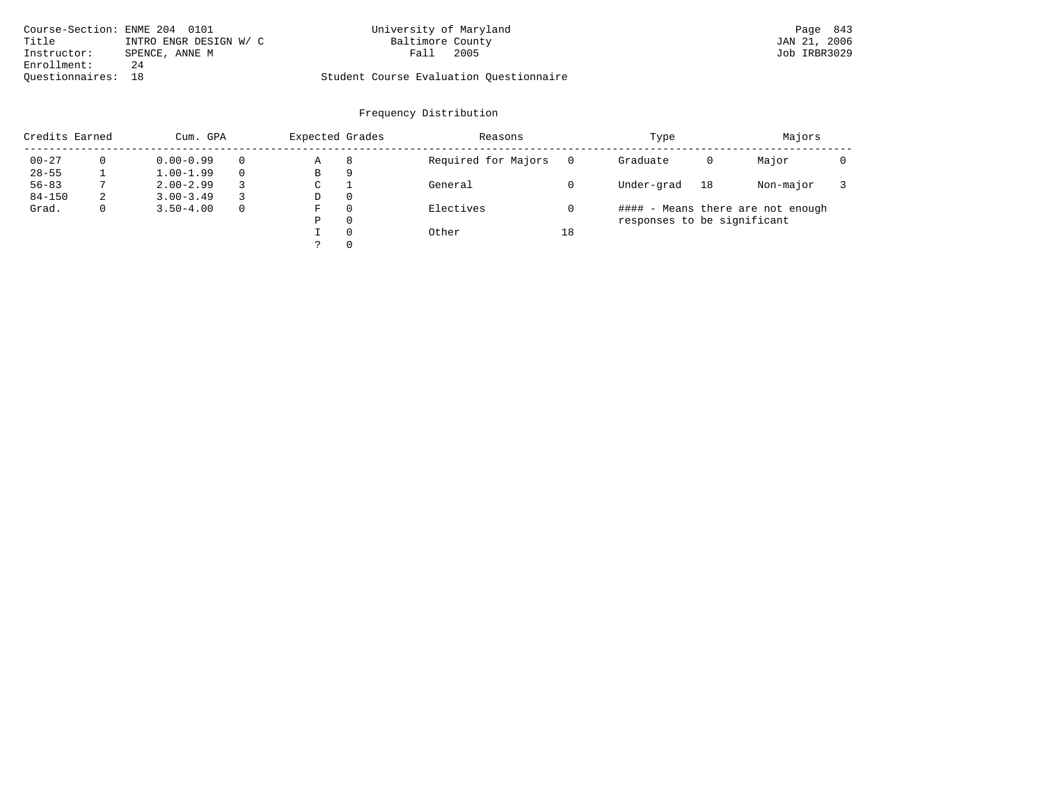| Course-Section: ENME 204 0101   | University of Maryland                  | Page 843     |
|---------------------------------|-----------------------------------------|--------------|
| Title<br>INTRO ENGR DESIGN W/ C | Baltimore County                        | JAN 21, 2006 |
| Instructor:<br>SPENCE, ANNE M   | 2005<br>Fall                            | Job IRBR3029 |
| Enrollment:<br>24               |                                         |              |
| Ouestionnaires: 18              | Student Course Evaluation Questionnaire |              |

| Credits Earned |   | Cum. GPA      |              | Expected Grades |   | Reasons             |    | Type                        |    | Majors                            |  |
|----------------|---|---------------|--------------|-----------------|---|---------------------|----|-----------------------------|----|-----------------------------------|--|
| $00 - 27$      |   | $0.00 - 0.99$ | $\Omega$     | Α               | 8 | Required for Majors |    | Graduate                    | 0  | Major                             |  |
| $28 - 55$      |   | $1.00 - 1.99$ | $\Omega$     | В               | 9 |                     |    |                             |    |                                   |  |
| $56 - 83$      |   | $2.00 - 2.99$ | 3            | С               |   | General             |    | Under-grad                  | 18 | Non-major                         |  |
| $84 - 150$     | 2 | $3.00 - 3.49$ |              | D               | 0 |                     |    |                             |    |                                   |  |
| Grad.          | 0 | $3.50 - 4.00$ | $\mathbf{0}$ | F               | 0 | Electives           |    |                             |    | #### - Means there are not enough |  |
|                |   |               |              | Ρ               | 0 |                     |    | responses to be significant |    |                                   |  |
|                |   |               |              |                 | 0 | Other               | 18 |                             |    |                                   |  |
|                |   |               |              |                 | 0 |                     |    |                             |    |                                   |  |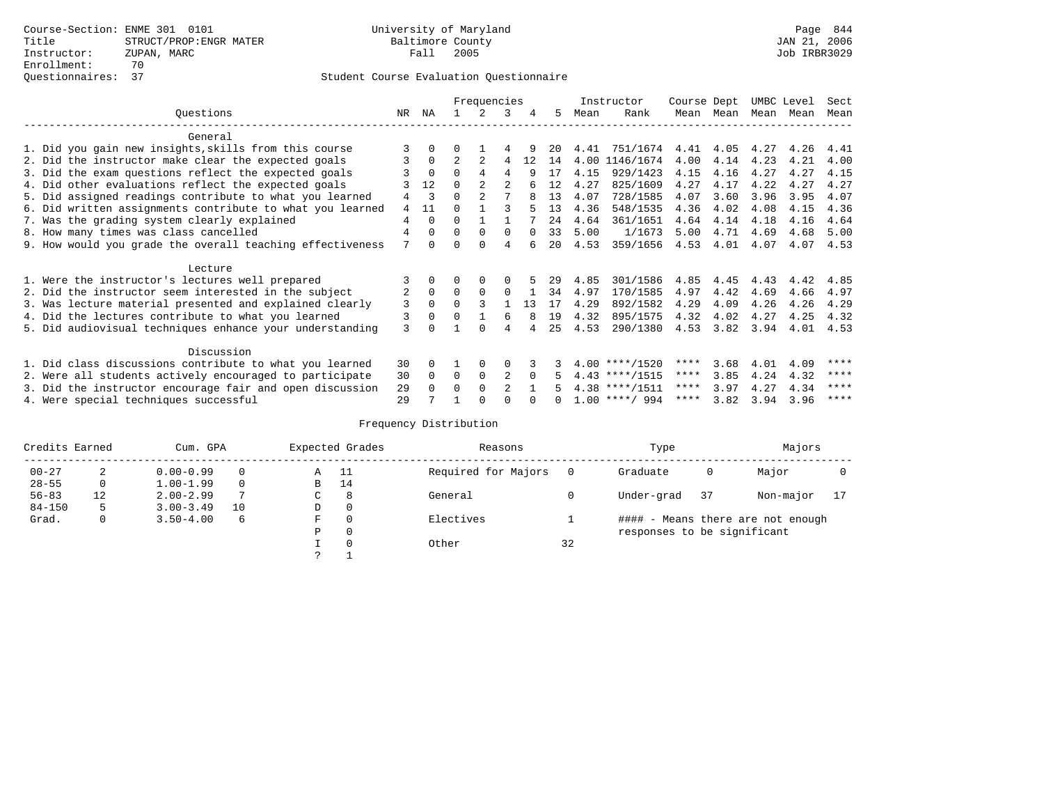|                                                           |     |          |              | Frequencies    |                |          |    |      | Instructor       | Course Dept |           | UMBC Level |      | Sect |
|-----------------------------------------------------------|-----|----------|--------------|----------------|----------------|----------|----|------|------------------|-------------|-----------|------------|------|------|
| Ouestions                                                 | NR. | ΝA       |              |                | 3              | 4        | 5. | Mean | Rank             |             | Mean Mean | Mean       | Mean | Mean |
| General                                                   |     |          |              |                |                |          |    |      |                  |             |           |            |      |      |
| 1. Did you gain new insights, skills from this course     |     |          |              |                |                |          | 20 | 4.41 | 751/1674         | 4.41        | 4.05      | 4.27       | 4.26 | 4.41 |
| 2. Did the instructor make clear the expected goals       | 3   | $\Omega$ |              |                | 4              | 12       | 14 | 4.00 | 1146/1674        | 4.00        | 4.14      | 4.23       | 4.21 | 4.00 |
| 3. Did the exam questions reflect the expected goals      |     | $\Omega$ | $\Omega$     | $\overline{4}$ | 4              | q        | 17 | 4.15 | 929/1423         | 4.15        | 4.16      | 4.27       | 4.27 | 4.15 |
| 4. Did other evaluations reflect the expected goals       |     | 12       | $\Omega$     |                |                |          | 12 | 4.27 | 825/1609         | 4.27        | 4.17      | 4.22       | 4.27 | 4.27 |
| 5. Did assigned readings contribute to what you learned   | 4   | 3        | $\Omega$     | $\mathfrak{D}$ |                | 8        | 13 | 4.07 | 728/1585         | 4.07        | 3.60      | 3.96       | 3.95 | 4.07 |
| 6. Did written assignments contribute to what you learned | 4   | 11       | <sup>n</sup> |                |                |          | 13 | 4.36 | 548/1535         | 4.36        | 4.02      | 4.08       | 4.15 | 4.36 |
| 7. Was the grading system clearly explained               | 4   | $\Omega$ | $\Omega$     |                |                |          | 24 | 4.64 | 361/1651         | 4.64        | 4.14      | 4.18       | 4.16 | 4.64 |
| 8. How many times was class cancelled                     | 4   | $\Omega$ | $\Omega$     | $\Omega$       | $\Omega$       |          | 33 | 5.00 | 1/1673           | 5.00        | 4.71      | 4.69       | 4.68 | 5.00 |
| 9. How would you grade the overall teaching effectiveness | 7   | $\cap$   | ∩            | ∩              | 4              |          | 20 | 4.53 | 359/1656         | 4.53        | 4.01      | 4.07       | 4.07 | 4.53 |
| Lecture                                                   |     |          |              |                |                |          |    |      |                  |             |           |            |      |      |
| 1. Were the instructor's lectures well prepared           |     |          |              | $\Omega$       |                |          | 29 | 4.85 | 301/1586         | 4.85        | 4.45      | 4.43       | 4.42 | 4.85 |
| 2. Did the instructor seem interested in the subject      | 2   | $\Omega$ | $\Omega$     | $\Omega$       | $\Omega$       |          | 34 | 4.97 | 170/1585         | 4.97        | 4.42      | 4.69       | 4.66 | 4.97 |
| 3. Was lecture material presented and explained clearly   | 3   | $\Omega$ | $\Omega$     |                |                | 13       | 17 | 4.29 | 892/1582         | 4.29        | 4.09      | 4.26       | 4.26 | 4.29 |
| 4. Did the lectures contribute to what you learned        | 3   | $\Omega$ | $\Omega$     |                | 6              |          | 19 | 4.32 | 895/1575         | 4.32        | 4.02      | 4.27       | 4.25 | 4.32 |
| 5. Did audiovisual techniques enhance your understanding  | 3   |          |              | $\cap$         | 4              |          | 25 | 4.53 | 290/1380         | 4.53        | 3.82      | 3.94       | 4.01 | 4.53 |
| Discussion                                                |     |          |              |                |                |          |    |      |                  |             |           |            |      |      |
| 1. Did class discussions contribute to what you learned   |     | $\Omega$ |              | $\Omega$       | O              |          |    |      | $4.00$ ****/1520 | ****        | 3.68      | 4.01       | 4.09 | **** |
| 2. Were all students actively encouraged to participate   | 30  | $\Omega$ | $\Omega$     | $\mathbf 0$    | 2              | $\Omega$ |    |      | $4.43$ ****/1515 | $***$ * *   | 3.85      | 4.24       | 4.32 | **** |
| 3. Did the instructor encourage fair and open discussion  | 29  | $\Omega$ | 0            | $\Omega$       | $\mathfrak{D}$ |          |    |      | $4.38$ ****/1511 | ****        | 3.97      | 4.27       | 4.34 | **** |
| 4. Were special techniques successful                     |     |          |              |                |                |          |    |      | $1.00$ ****/ 994 | ****        | 3.82      | 3.94       | 3.96 | **** |

| Credits Earned |         | Cum. GPA      |    | Expected Grades | Reasons  |                     | Type     | Majors                      |      |                                   |  |
|----------------|---------|---------------|----|-----------------|----------|---------------------|----------|-----------------------------|------|-----------------------------------|--|
| $00 - 27$      | 2       | $0.00 - 0.99$ |    | Α               | - 11     | Required for Majors | $\Omega$ | Graduate                    | 0    | Major                             |  |
| $28 - 55$      | $\circ$ | $1.00 - 1.99$ |    | B               | 14       |                     |          |                             |      |                                   |  |
| $56 - 83$      | 12      | $2.00 - 2.99$ |    | $\sim$<br>◡     | 8        | General             |          | Under-grad                  | - 37 | Non-major                         |  |
| $84 - 150$     | 5       | $3.00 - 3.49$ | 10 | D               | 0        |                     |          |                             |      |                                   |  |
| Grad.          | 0       | $3.50 - 4.00$ | 6  | F               | 0        | Electives           |          |                             |      | #### - Means there are not enough |  |
|                |         |               |    | Ρ               | 0        |                     |          | responses to be significant |      |                                   |  |
|                |         |               |    |                 | $\Omega$ | Other               | 32       |                             |      |                                   |  |
|                |         |               |    | C               |          |                     |          |                             |      |                                   |  |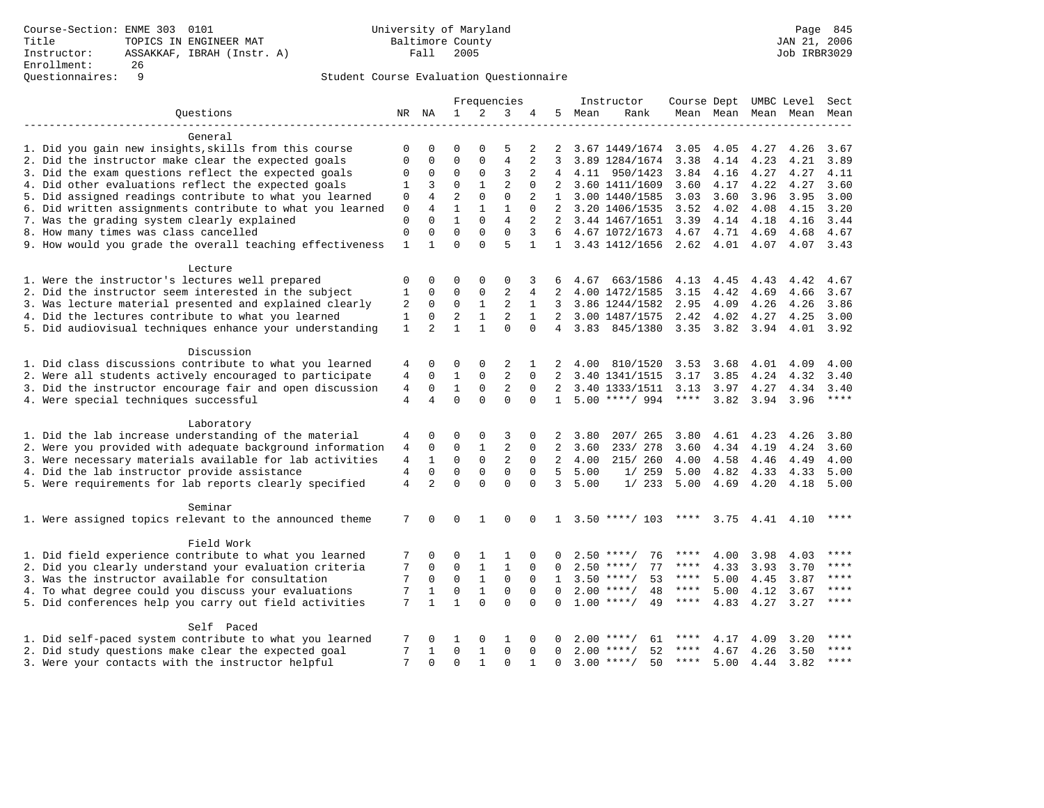## Questionnaires: 9 Student Course Evaluation Questionnaire

|                                                           |                |                |                |              | Frequencies    |                |                |      | Instructor                                | Course Dept UMBC Level Sect |           |                       |                          |           |
|-----------------------------------------------------------|----------------|----------------|----------------|--------------|----------------|----------------|----------------|------|-------------------------------------------|-----------------------------|-----------|-----------------------|--------------------------|-----------|
| Ouestions                                                 |                | NR NA          | $\mathbf{1}$   | 2            | 3              |                | 5              | Mean | Rank                                      |                             |           |                       | Mean Mean Mean Mean Mean |           |
|                                                           |                |                |                |              |                |                |                |      |                                           |                             |           |                       |                          |           |
| General                                                   |                |                |                |              |                |                |                |      |                                           |                             |           |                       |                          |           |
| 1. Did you gain new insights, skills from this course     | $\mathbf 0$    | $\Omega$       | $\Omega$       | $\Omega$     | 5              | 2              | 2              |      | 3.67 1449/1674                            | 3.05                        | 4.05      | 4.27                  | 4.26                     | 3.67      |
| 2. Did the instructor make clear the expected goals       | $\Omega$       | $\Omega$       | $\Omega$       | $\Omega$     | 4              | 2              | 3              |      | 3.89 1284/1674                            | 3.38                        | 4.14      | 4.23                  | 4.21                     | 3.89      |
| 3. Did the exam questions reflect the expected goals      | 0              | 0              | $\mathbf 0$    | $\mathbf 0$  | 3              |                |                |      | 4.11 950/1423                             | 3.84 4.16                   |           | 4.27                  | 4.27                     | 4.11      |
| 4. Did other evaluations reflect the expected goals       | $\mathbf{1}$   | 3              | $\mathbf 0$    | $\mathbf{1}$ | 2              | $\mathbf 0$    | 2              |      | 3.60 1411/1609                            | 3.60                        | 4.17      | 4.22                  | 4.27                     | 3.60      |
| 5. Did assigned readings contribute to what you learned   | $\mathbf 0$    | $\overline{4}$ | $\overline{2}$ | $\mathbf 0$  | $\mathbf 0$    | $\overline{2}$ | 1              |      | 3.00 1440/1585                            | 3.03                        | 3.60      | 3.96                  | 3.95                     | 3.00      |
| 6. Did written assignments contribute to what you learned | $\mathsf 0$    | $\overline{4}$ | $\mathbf{1}$   | $\mathbf{1}$ | $\mathbf{1}$   | $\mathbf 0$    | 2              |      | 3.20 1406/1535                            | 3.52                        | 4.02      | 4.08                  | 4.15                     | 3.20      |
| 7. Was the grading system clearly explained               | $\mathbf{0}$   | $\Omega$       | $\mathbf{1}$   | $\Omega$     | $\overline{4}$ | $\overline{a}$ |                |      | 2 3.44 1467/1651 3.39                     |                             | 4.14      | 4.18                  | 4.16                     | 3.44      |
| 8. How many times was class cancelled                     | $\mathbf 0$    | $\Omega$       | $\Omega$       | $\Omega$     | $\Omega$       | 3              | 6              |      | 4.67 1072/1673                            | 4.67 4.71                   |           | 4.69                  | 4.68                     | 4.67      |
| 9. How would you grade the overall teaching effectiveness | $\mathbf{1}$   | $\mathbf{1}$   | $\Omega$       | $\cap$       | 5              | $\mathbf{1}$   |                |      | 1 3.43 1412/1656 2.62 4.01 4.07 4.07 3.43 |                             |           |                       |                          |           |
|                                                           |                |                |                |              |                |                |                |      |                                           |                             |           |                       |                          |           |
| Lecture                                                   |                |                |                |              |                |                |                |      |                                           |                             |           |                       |                          |           |
| 1. Were the instructor's lectures well prepared           | 0              | 0              | 0              | 0            | 0              | 3              | 6              |      | 4.67 663/1586                             | 4.13                        | 4.45      | 4.43                  | 4.42                     | 4.67      |
| 2. Did the instructor seem interested in the subject      | $1\,$          | $\mathbf 0$    | $\mathbf 0$    | $\mathbf 0$  | $\overline{2}$ | 4              | 2              |      | 4.00 1472/1585                            | 3.15                        | 4.42      | 4.69                  | 4.66                     | 3.67      |
| 3. Was lecture material presented and explained clearly   | 2              | $\mathbf 0$    | $\mathbf 0$    | $\mathbf{1}$ | $\overline{2}$ | $\mathbf{1}$   | $3^{\circ}$    |      | 3.86 1244/1582                            | 2.95                        | 4.09      | 4.26                  | 4.26                     | 3.86      |
| 4. Did the lectures contribute to what you learned        | $\mathbf{1}$   | $\mathbf 0$    | $\overline{a}$ | $\mathbf{1}$ | $\overline{a}$ | $\mathbf{1}$   |                |      | 2 3.00 1487/1575                          | 2.42                        | 4.02      | 4.27                  | 4.25                     | 3.00      |
| 5. Did audiovisual techniques enhance your understanding  | $\mathbf{1}$   | $\overline{2}$ | $\mathbf{1}$   | $\mathbf{1}$ | $\Omega$       | $\Omega$       | $\overline{4}$ |      | 3.83 845/1380                             | $3.35 \quad 3.82$           |           | 3.94                  |                          | 4.01 3.92 |
|                                                           |                |                |                |              |                |                |                |      |                                           |                             |           |                       |                          |           |
| Discussion                                                |                |                |                |              |                |                |                |      |                                           |                             |           |                       |                          |           |
| 1. Did class discussions contribute to what you learned   | 4              | 0              | 0              | 0            | 2              | 1              | 2              | 4.00 | 810/1520                                  | $3.53$ $3.68$               |           | 4.01                  | 4.09                     | 4.00      |
| 2. Were all students actively encouraged to participate   | 4              | $\mathbf 0$    | $\mathbf{1}$   | $\mathbf 0$  | $\overline{2}$ | $\Omega$       | 2              |      | 3.40 1341/1515                            | 3.17                        | 3.85      | 4.24                  | 4.32                     | 3.40      |
| 3. Did the instructor encourage fair and open discussion  | 4              | 0              | $\mathbf{1}$   | $\mathsf 0$  | $\overline{2}$ | $\Omega$       | $\overline{2}$ |      | 3.40 1333/1511                            | 3.13                        | 3.97      | 4.27                  | 4.34                     | 3.40      |
| 4. Were special techniques successful                     | $\overline{4}$ | 4              | $\Omega$       | $\Omega$     | $\Omega$       | $\Omega$       | 1              |      | $5.00$ ****/ 994                          | **** 3.82 3.94 3.96         |           |                       |                          | ****      |
|                                                           |                |                |                |              |                |                |                |      |                                           |                             |           |                       |                          |           |
| Laboratory                                                |                |                |                |              |                |                |                |      |                                           |                             |           |                       |                          |           |
| 1. Did the lab increase understanding of the material     | 4              | $\Omega$       | $\Omega$       | $\Omega$     | 3              | $\Omega$       | 2              | 3.80 | 207/ 265                                  | 3.80                        | 4.61 4.23 |                       | 4.26                     | 3.80      |
| 2. Were you provided with adequate background information | 4              | $\mathbf 0$    | $\mathbf 0$    | $\mathbf{1}$ | 2              | $\Omega$       | $\overline{2}$ | 3.60 | 233/278                                   | 3.60                        | 4.34      | 4.19                  | 4.24                     | 3.60      |
| 3. Were necessary materials available for lab activities  | $\overline{4}$ | $\mathbf{1}$   | $\mathbf 0$    | $\mathsf 0$  | $\overline{2}$ | $\mathbf{0}$   | 2              | 4.00 | 215/ 260                                  | 4.00                        | 4.58      | 4.46                  | 4.49                     | 4.00      |
| 4. Did the lab instructor provide assistance              | 4              | $\mathbf 0$    | $\mathsf 0$    | $\mathbf 0$  | $\mathbf 0$    | $\mathbf 0$    | 5              | 5.00 | 1/259                                     | 5.00                        | 4.82      | 4.33                  | 4.33                     | 5.00      |
| 5. Were requirements for lab reports clearly specified    | $\overline{4}$ | $\overline{2}$ | $\Omega$       | $\Omega$     | $\Omega$       | $\Omega$       | 3              | 5.00 | 1/233                                     | 5.00                        | 4.69      | 4.20                  | 4.18                     | 5.00      |
| Seminar                                                   |                |                |                |              |                |                |                |      |                                           |                             |           |                       |                          |           |
| 1. Were assigned topics relevant to the announced theme   | 7              | $\Omega$       | $\Omega$       | $\mathbf{1}$ | $\Omega$       | $\Omega$       |                |      | $1 \quad 3.50 \quad *** / \quad 103$      |                             |           | **** $3.75$ 4.41 4.10 |                          | ****      |
|                                                           |                |                |                |              |                |                |                |      |                                           |                             |           |                       |                          |           |
| Field Work                                                |                |                |                |              |                |                |                |      |                                           |                             |           |                       |                          |           |
| 1. Did field experience contribute to what you learned    | 7              | 0              | 0              | 1            | 1              | $\mathbf 0$    | 0              |      | 76<br>$2.50$ ****/                        | ****                        | 4.00      | 3.98                  | 4.03                     | ****      |
| 2. Did you clearly understand your evaluation criteria    | 7              | 0              | $\mathsf 0$    | $\mathbf{1}$ | $\mathbf{1}$   | $\mathbf 0$    | $\mathbf 0$    |      | 77<br>$2.50$ ****/                        | ****                        | 4.33      | 3.93                  | 3.70                     | $***$     |
| 3. Was the instructor available for consultation          | 7              | $\mathbf 0$    | $\mathbf 0$    | $\mathbf{1}$ | $\mathbf 0$    | $\mathbf 0$    | $\mathbf{1}$   |      | $3.50$ ****/<br>53                        | $***$ * * *                 | 5.00      | 4.45                  | 3.87                     | $***$     |
| 4. To what degree could you discuss your evaluations      | 7              | $\mathbf{1}$   | $\mathbf 0$    | $\mathbf{1}$ | $\mathbf 0$    | $\Omega$       | $\Omega$       |      | 48<br>$2.00$ ****/                        | ****                        | 5.00      | 4.12                  | 3.67                     | $***$     |
| 5. Did conferences help you carry out field activities    | 7              | $\mathbf{1}$   | $\mathbf{1}$   | $\Omega$     | $\Omega$       | $\Omega$       | $\Omega$       |      | $1.00$ ****/<br>49                        | ****                        | 4.83      | 4.27                  | 3.27                     | $***$     |
|                                                           |                |                |                |              |                |                |                |      |                                           |                             |           |                       |                          |           |
| Self Paced                                                |                |                |                |              |                |                |                |      |                                           |                             |           |                       |                          |           |
| 1. Did self-paced system contribute to what you learned   | 7              | $\Omega$       | 1              | 0            | 1              | $\Omega$       | $\Omega$       |      | $2.00$ ****/<br>61                        | ****                        | 4.17      | 4.09                  | 3.20                     | ****      |
| 2. Did study questions make clear the expected goal       | 7              | 1              | $\mathbf 0$    | $\mathbf{1}$ | $\mathbf 0$    | $\mathbf 0$    | $\Omega$       |      | $2.00$ ****/<br>52                        | ****                        | 4.67      | 4.26                  | 3.50                     | $***$     |
| 3. Were your contacts with the instructor helpful         | 7              | $\Omega$       | $\Omega$       | $\mathbf{1}$ | $\Omega$       | $\mathbf{1}$   | $\Omega$       |      | 50<br>$3.00$ ****/                        | ****                        | 5.00      | 4.44                  | 3.82                     | $***$     |
|                                                           |                |                |                |              |                |                |                |      |                                           |                             |           |                       |                          |           |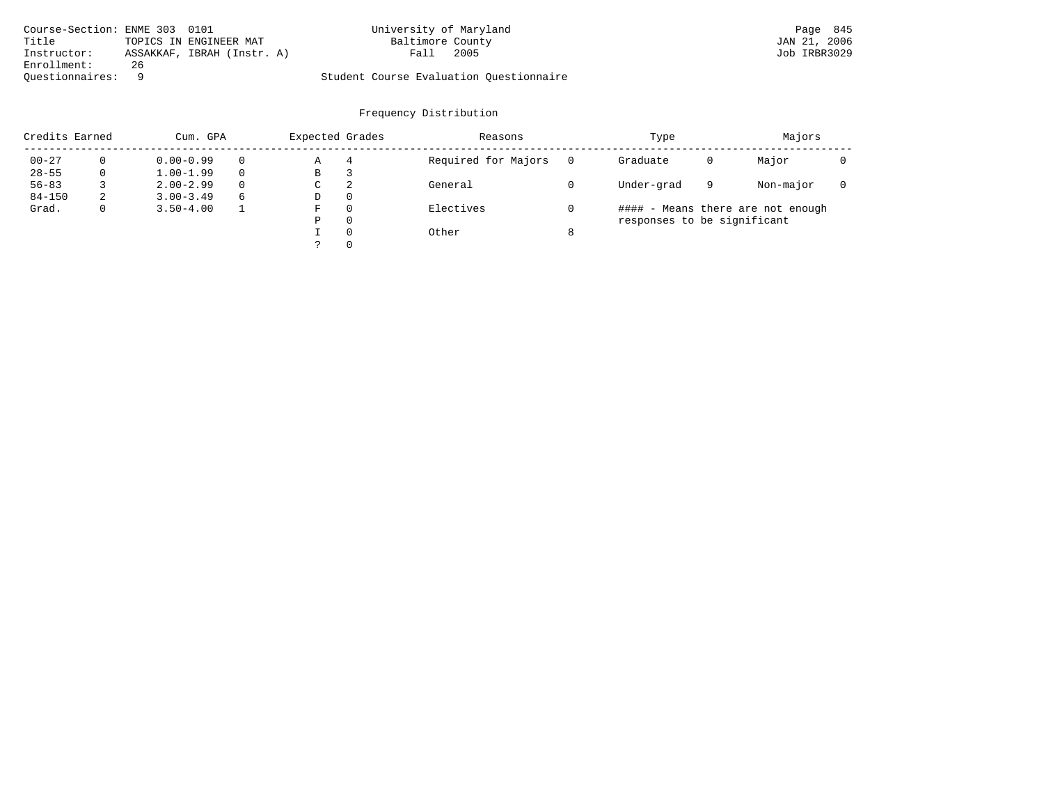| Course-Section: ENME 303 0101 |    |                            | University of Maryland                  |      | Page 845     |  |
|-------------------------------|----|----------------------------|-----------------------------------------|------|--------------|--|
| Title                         |    | TOPICS IN ENGINEER MAT     | Baltimore County                        |      | JAN 21, 2006 |  |
| Instructor:                   |    | ASSAKKAF, IBRAH (Instr. A) | Fall                                    | 2005 | Job IRBR3029 |  |
| Enrollment:                   | 26 |                            |                                         |      |              |  |
| Ouestionnaires: 9             |    |                            | Student Course Evaluation Questionnaire |      |              |  |

| Credits Earned |   | Cum. GPA      |          | Expected Grades |          | Reasons             | Type                        |   | Majors                            |  |
|----------------|---|---------------|----------|-----------------|----------|---------------------|-----------------------------|---|-----------------------------------|--|
| $00 - 27$      |   | $0.00 - 0.99$ | $\Omega$ | Α               | 4        | Required for Majors | Graduate                    | 0 | Major                             |  |
| $28 - 55$      |   | $1.00 - 1.99$ | $\Omega$ | B               | 3        |                     |                             |   |                                   |  |
| $56 - 83$      |   | $2.00 - 2.99$ | $\Omega$ | C               | 2        | General             | Under-grad                  | 9 | Non-major                         |  |
| $84 - 150$     | z | $3.00 - 3.49$ | 6        | D               | $\Omega$ |                     |                             |   |                                   |  |
| Grad.          |   | $3.50 - 4.00$ |          | F               | $\Omega$ | Electives           |                             |   | #### - Means there are not enough |  |
|                |   |               |          | Ρ               | 0        |                     | responses to be significant |   |                                   |  |
|                |   |               |          |                 | $\Omega$ | Other               |                             |   |                                   |  |
|                |   |               |          |                 | $\Omega$ |                     |                             |   |                                   |  |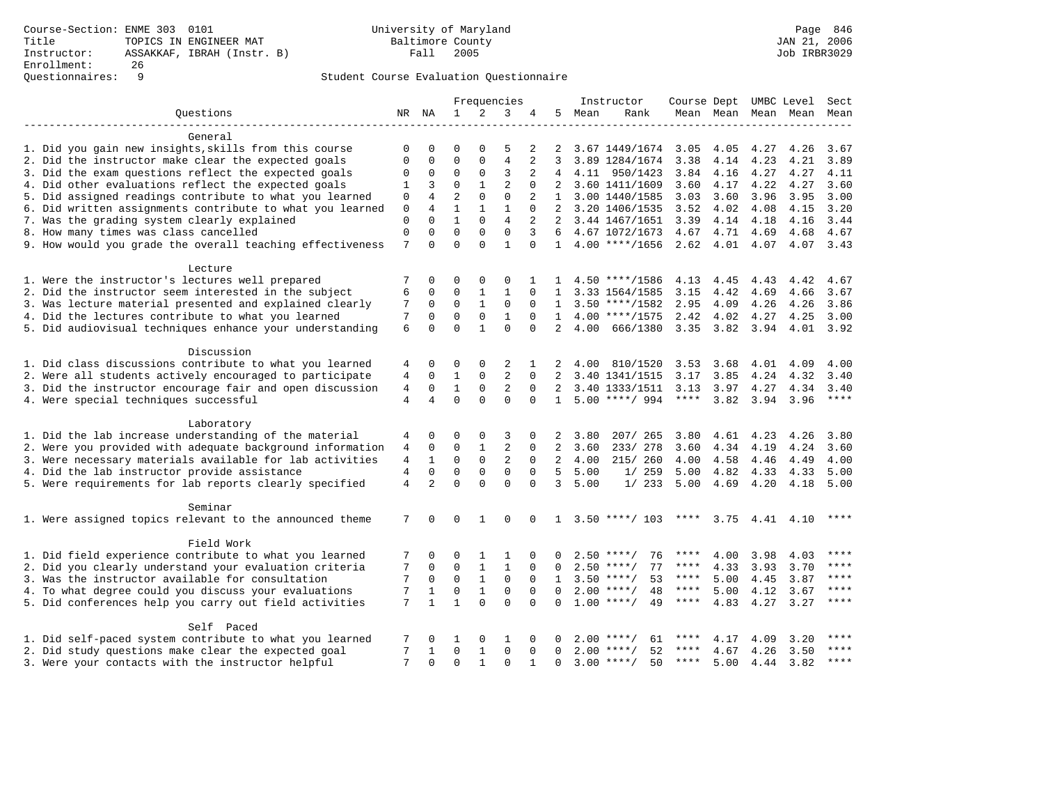## Questionnaires: 9 Student Course Evaluation Questionnaire

|                                                           |                |                |                |              | Frequencies    |                |                |      | Instructor                                | Course Dept UMBC Level Sect |           |                  |                          |       |
|-----------------------------------------------------------|----------------|----------------|----------------|--------------|----------------|----------------|----------------|------|-------------------------------------------|-----------------------------|-----------|------------------|--------------------------|-------|
| Questions                                                 |                | NR NA          | 1              | 2            | 3              | 4              | 5              | Mean | Rank                                      |                             |           |                  | Mean Mean Mean Mean Mean |       |
|                                                           |                |                |                |              |                |                |                |      |                                           |                             |           |                  |                          |       |
| General                                                   |                |                |                |              |                |                |                |      |                                           |                             |           |                  |                          |       |
| 1. Did you gain new insights, skills from this course     | 0              | 0              | 0              | 0            | 5              | 2              | 2              |      | 3.67 1449/1674 3.05                       |                             | 4.05      | 4.27             | 4.26                     | 3.67  |
| 2. Did the instructor make clear the expected goals       | 0              | $\mathbf 0$    | $\mathbf 0$    | $\mathbf{0}$ | $\overline{4}$ | 2              | 3              |      | 3.89 1284/1674                            | 3.38                        | 4.14      | 4.23             | 4.21                     | 3.89  |
| 3. Did the exam questions reflect the expected goals      | 0              | $\mathsf 0$    | $\mathbf 0$    | $\mathbf{0}$ | 3              | 2              |                |      | 4 4.11 950/1423                           | 3.84                        | 4.16      | 4.27             | 4.27                     | 4.11  |
| 4. Did other evaluations reflect the expected goals       | 1              | 3              | $\Omega$       | $\mathbf{1}$ | $\overline{2}$ | 0              | 2              |      | 3.60 1411/1609                            | 3.60                        | 4.17      | 4.22             | 4.27                     | 3.60  |
| 5. Did assigned readings contribute to what you learned   | $\Omega$       | $\overline{4}$ | $\overline{a}$ | $\Omega$     | $\Omega$       | $\overline{a}$ |                |      | 1 3.00 1440/1585                          | 3.03                        | 3.60      | 3.96             | 3.95                     | 3.00  |
| 6. Did written assignments contribute to what you learned | $\mathbf 0$    | 4              | $\mathbf{1}$   | $\mathbf{1}$ | $\mathbf{1}$   | $\mathbf 0$    |                |      | 3.20 1406/1535                            | 3.52                        | 4.02      | 4.08             | 4.15                     | 3.20  |
| 7. Was the grading system clearly explained               | $\Omega$       | $\Omega$       | $\mathbf{1}$   | $\Omega$     | $\overline{4}$ | 2              |                |      | 2 3.44 1467/1651 3.39                     |                             | 4.14      | 4.18             | 4.16                     | 3.44  |
| 8. How many times was class cancelled                     | $\mathbf 0$    | $\Omega$       | $\Omega$       | $\Omega$     | $\Omega$       | 3              | 6              |      | 4.67 1072/1673 4.67 4.71                  |                             |           | 4.69             | 4.68                     | 4.67  |
| 9. How would you grade the overall teaching effectiveness | 7              | $\Omega$       | $\Omega$       | $\cap$       | 1              | $\Omega$       |                |      | 1 4.00 ****/1656 2.62 4.01 4.07 4.07 3.43 |                             |           |                  |                          |       |
|                                                           |                |                |                |              |                |                |                |      |                                           |                             |           |                  |                          |       |
| Lecture                                                   |                |                |                |              |                |                |                |      |                                           |                             |           |                  |                          |       |
| 1. Were the instructor's lectures well prepared           | 7              | 0              | 0              | 0            | $\Omega$       | 1              | 1              |      | $4.50$ ****/1586                          | 4.13                        | 4.45      | 4.43             | 4.42                     | 4.67  |
| 2. Did the instructor seem interested in the subject      | 6              | $\mathbf 0$    | $\mathbf 0$    | $\mathbf{1}$ | $\mathbf{1}$   | $\Omega$       | $\mathbf{1}$   |      | 3.33 1564/1585                            | 3.15                        | 4.42      | 4.69             | 4.66                     | 3.67  |
| 3. Was lecture material presented and explained clearly   | 7              | $\mathbf 0$    | $\Omega$       | $\mathbf{1}$ | $\mathbf 0$    | $\Omega$       |                |      | $1 \quad 3.50 \quad *** \quad 1582$       | 2.95                        | 4.09      | 4.26             | 4.26                     | 3.86  |
| 4. Did the lectures contribute to what you learned        | 7              | $\Omega$       | $\Omega$       | $\Omega$     | $\mathbf{1}$   | $\Omega$       | $\mathbf{1}$   |      | $4.00$ ****/1575                          | 2.42                        | 4.02      | 4.27             | 4.25                     | 3.00  |
| 5. Did audiovisual techniques enhance your understanding  | 6              | $\Omega$       | $\Omega$       | $\mathbf{1}$ | $\Omega$       | $\Omega$       | 2              | 4.00 | 666/1380                                  | $3.35$ $3.82$               |           | 3.94             | 4.01 3.92                |       |
|                                                           |                |                |                |              |                |                |                |      |                                           |                             |           |                  |                          |       |
| Discussion                                                |                |                |                |              |                |                |                |      |                                           |                             |           |                  |                          |       |
| 1. Did class discussions contribute to what you learned   | 4              | 0              | 0              | 0            | 2              | 1              | 2              | 4.00 | 810/1520                                  | 3.53 3.68                   |           | 4.01             | 4.09                     | 4.00  |
| 2. Were all students actively encouraged to participate   | 4              | 0              | 1              | $\mathbf{0}$ | 2              | $\Omega$       | 2              |      | 3.40 1341/1515                            | 3.17                        | 3.85      | 4.24             | 4.32                     | 3.40  |
| 3. Did the instructor encourage fair and open discussion  | 4              | $\mathbf 0$    | $\mathbf{1}$   | 0            | 2              | $\Omega$       | $2^{\circ}$    |      | 3.40 1333/1511                            | 3.13                        | 3.97      | 4.27             | 4.34                     | 3.40  |
| 4. Were special techniques successful                     | 4              | 4              | $\mathbf 0$    | $\Omega$     | $\Omega$       | $\Omega$       |                |      | $1\quad 5.00$ ****/ 994                   | ****                        |           | 3.82 3.94 3.96   |                          | $***$ |
|                                                           |                |                |                |              |                |                |                |      |                                           |                             |           |                  |                          |       |
| Laboratory                                                |                |                |                |              |                |                |                |      |                                           |                             |           |                  |                          |       |
| 1. Did the lab increase understanding of the material     | 4              | $\Omega$       | $\Omega$       | $\Omega$     | 3              | $\Omega$       | 2              | 3.80 | 207/ 265                                  | 3.80                        | 4.61 4.23 |                  | 4.26                     | 3.80  |
| 2. Were you provided with adequate background information | 4              | $\mathbf 0$    | $\Omega$       | $\mathbf{1}$ | $\overline{2}$ | $\Omega$       | 2              | 3.60 | 233/ 278                                  | 3.60                        | 4.34      | 4.19             | 4.24                     | 3.60  |
| 3. Were necessary materials available for lab activities  | $\overline{4}$ | $\mathbf{1}$   | $\Omega$       | $\mathbf 0$  | $\overline{a}$ | $\Omega$       | $\overline{2}$ | 4.00 | 215/ 260                                  | 4.00                        | 4.58      | 4.46             | 4.49                     | 4.00  |
| 4. Did the lab instructor provide assistance              | 4              | $\mathbf 0$    | $\mathbf 0$    | $\mathbf{0}$ | $\mathbf 0$    | $\mathbf 0$    | 5              | 5.00 | 1/259                                     | 5.00                        | 4.82      | 4.33             | 4.33                     | 5.00  |
| 5. Were requirements for lab reports clearly specified    | $\overline{4}$ | $\overline{2}$ | $\Omega$       | $\Omega$     | $\Omega$       | $\Omega$       | $\overline{3}$ | 5.00 | 1/233                                     | 5.00                        | 4.69      | 4.20             | 4.18                     | 5.00  |
|                                                           |                |                |                |              |                |                |                |      |                                           |                             |           |                  |                          |       |
| Seminar                                                   |                |                |                |              |                |                |                |      |                                           |                             |           |                  |                          |       |
| 1. Were assigned topics relevant to the announced theme   | 7              | $\Omega$       | $\Omega$       | $\mathbf{1}$ | $\Omega$       | $\Omega$       |                |      | $1, 3.50$ ****/ 103                       | ****                        |           | $3.75$ 4.41 4.10 |                          | $***$ |
|                                                           |                |                |                |              |                |                |                |      |                                           |                             |           |                  |                          |       |
| Field Work                                                |                |                |                |              |                |                |                |      |                                           |                             |           |                  |                          |       |
| 1. Did field experience contribute to what you learned    | 7              | 0              | 0              | 1            | 1              | 0              | $\Omega$       |      | 76<br>$2.50$ ****/                        | ****                        | 4.00      | 3.98             | 4.03                     | ****  |
| 2. Did you clearly understand your evaluation criteria    | 7              | $\mathbf 0$    | $\mathbf 0$    | $\mathbf{1}$ | $\mathbf{1}$   | $\Omega$       | $\Omega$       |      | 77<br>$2.50$ ****/                        | ****                        | 4.33      | 3.93             | 3.70                     | ****  |
| 3. Was the instructor available for consultation          | 7              | $\Omega$       | $\Omega$       | $\mathbf{1}$ | $\mathbf 0$    | $\Omega$       | $\mathbf{1}$   |      | 53<br>$3.50$ ****/                        | ****                        | 5.00      | 4.45             | 3.87                     | ****  |
| 4. To what degree could you discuss your evaluations      | 7              | $\mathbf{1}$   | $\mathbf 0$    | $\mathbf{1}$ | $\mathbf 0$    | $\mathbf 0$    | $\Omega$       |      | $2.00$ ****/<br>48                        | $***$ * * *                 | 5.00      | 4.12             | 3.67                     | $***$ |
| 5. Did conferences help you carry out field activities    | 7              | $\mathbf{1}$   | $\mathbf{1}$   | $\Omega$     | $\Omega$       | $\Omega$       | $\Omega$       |      | $1.00$ ****/<br>49                        | $***$ * * *                 | 4.83      | 4.27             | 3.27                     | ****  |
|                                                           |                |                |                |              |                |                |                |      |                                           |                             |           |                  |                          |       |
| Self Paced                                                |                |                |                |              |                |                |                |      |                                           |                             |           |                  |                          |       |
| 1. Did self-paced system contribute to what you learned   | 7              | $\Omega$       | 1              | $\Omega$     | 1              | $\Omega$       | $\Omega$       |      | $2.00$ ****/<br>61                        | ****                        | 4.17      | 4.09             | 3.20                     | ****  |
| 2. Did study questions make clear the expected goal       | 7              | $\mathbf{1}$   | $\Omega$       | $\mathbf{1}$ | $\Omega$       | $\Omega$       | $\Omega$       |      | $2.00$ ****/<br>52                        | $***$ * * *                 | 4.67      | 4.26             | 3.50                     | $***$ |
| 3. Were your contacts with the instructor helpful         | 7              | $\Omega$       | $\Omega$       | $\mathbf{1}$ | $\Omega$       | $\mathbf{1}$   | $\Omega$       |      | $3.00$ ****/<br>50                        | $***$ * * *                 | 5.00      | 4.44             | 3.82                     | $***$ |
|                                                           |                |                |                |              |                |                |                |      |                                           |                             |           |                  |                          |       |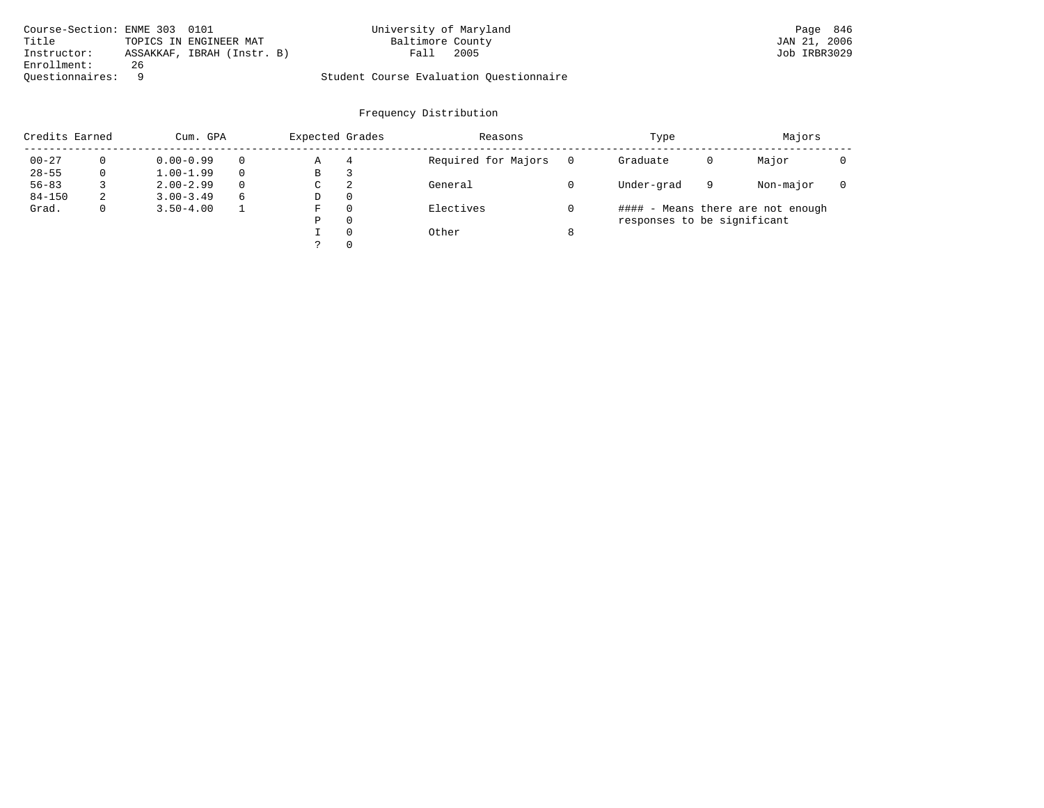| Course-Section: ENME 303 0101 |    |                            | University of Maryland                  |      | Page 846     |  |
|-------------------------------|----|----------------------------|-----------------------------------------|------|--------------|--|
| Title                         |    | TOPICS IN ENGINEER MAT     | Baltimore County                        |      | JAN 21, 2006 |  |
| Instructor:                   |    | ASSAKKAF, IBRAH (Instr. B) | Fall                                    | 2005 | Job IRBR3029 |  |
| Enrollment:                   | 26 |                            |                                         |      |              |  |
| Ouestionnaires:               |    |                            | Student Course Evaluation Questionnaire |      |              |  |

| Credits Earned |   | Cum. GPA      |          | Expected Grades |              | Reasons             | Type                        |   | Majors                            |  |
|----------------|---|---------------|----------|-----------------|--------------|---------------------|-----------------------------|---|-----------------------------------|--|
| $00 - 27$      | 0 | $0.00 - 0.99$ | $\Omega$ | Α               | 4            | Required for Majors | Graduate                    | 0 | Major                             |  |
| $28 - 55$      | 0 | $1.00 - 1.99$ | $\Omega$ | B               |              |                     |                             |   |                                   |  |
| $56 - 83$      |   | $2.00 - 2.99$ | $\Omega$ | C               | 2            | General             | Under-grad                  | 9 | Non-major                         |  |
| $84 - 150$     | 2 | $3.00 - 3.49$ | 6        | D               | 0            |                     |                             |   |                                   |  |
| Grad.          | 0 | $3.50 - 4.00$ |          | F               | $\Omega$     | Electives           |                             |   | #### - Means there are not enough |  |
|                |   |               |          | Ρ               | $\Omega$     |                     | responses to be significant |   |                                   |  |
|                |   |               |          |                 | $\Omega$     | Other               |                             |   |                                   |  |
|                |   |               |          |                 | $\mathbf{0}$ |                     |                             |   |                                   |  |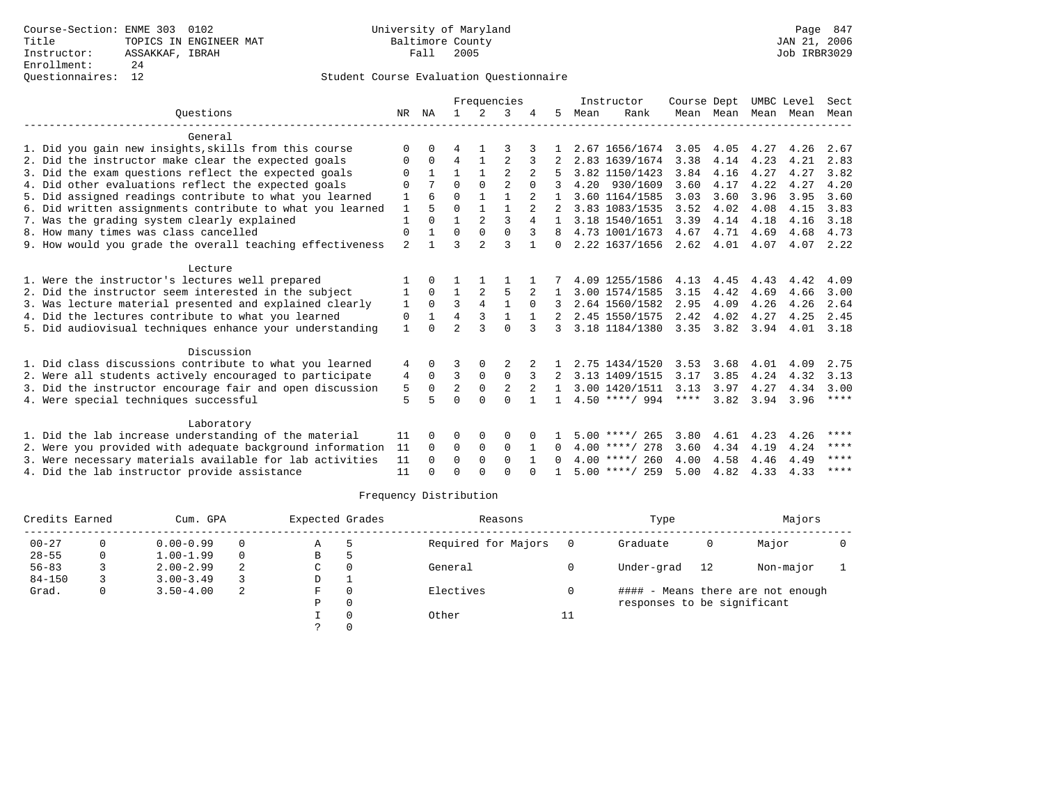### Questionnaires: 12 Student Course Evaluation Questionnaire

|           |                                                           |                |                | Frequencies    |                |                |                |              |      | Instructor       | Course Dept |                   | UMBC Level |      | Sect |
|-----------|-----------------------------------------------------------|----------------|----------------|----------------|----------------|----------------|----------------|--------------|------|------------------|-------------|-------------------|------------|------|------|
| Ouestions |                                                           | NR NA          |                |                | 2              | 3              |                | 5            | Mean | Rank             |             | Mean Mean         | Mean       | Mean | Mean |
|           | General                                                   |                |                |                |                |                |                |              |      |                  |             |                   |            |      |      |
|           | 1. Did you gain new insights, skills from this course     | $\Omega$       | $\Omega$       | 4              |                |                |                |              |      | 2.67 1656/1674   | 3.05        | 4.05              | 4.27       | 4.26 | 2.67 |
|           | 2. Did the instructor make clear the expected goals       | 0              | $\Omega$       | 4              | $\mathbf{1}$   | 2              | 3              |              |      | 2.83 1639/1674   | 3.38        | 4.14              | 4.23       | 4.21 | 2.83 |
|           | 3. Did the exam questions reflect the expected goals      | $\Omega$       | $\mathbf{1}$   |                | $\mathbf{1}$   | $\mathfrak{D}$ |                |              |      | 3.82 1150/1423   | 3.84        | 4.16              | 4.27       | 4.27 | 3.82 |
|           | 4. Did other evaluations reflect the expected goals       | O              |                | $\Omega$       | $\Omega$       | $\overline{a}$ | $\Omega$       |              |      | 4.20 930/1609    | 3.60        | 4.17              | 4.22       | 4.27 | 4.20 |
|           | 5. Did assigned readings contribute to what you learned   | 1              | 6              | $\Omega$       | $\mathbf{1}$   |                | 2              |              |      | 3.60 1164/1585   | 3.03        | 3.60              | 3.96       | 3.95 | 3.60 |
|           | 6. Did written assignments contribute to what you learned | 1              | 5              | $\Omega$       | $\mathbf{1}$   |                | $\overline{2}$ |              |      | 3.83 1083/1535   | 3.52        | 4.02              | 4.08       | 4.15 | 3.83 |
|           | 7. Was the grading system clearly explained               | $\mathbf{1}$   | $\Omega$       | $\mathbf{1}$   | $\overline{2}$ | 3              | 4              |              |      | 3.18 1540/1651   | 3.39        | 4.14              | 4.18       | 4.16 | 3.18 |
|           | 8. How many times was class cancelled                     | 0              | $\mathbf{1}$   | $\Omega$       | $\Omega$       | $\Omega$       | 3              | 8            |      | 4.73 1001/1673   | 4.67        | 4.71              | 4.69       | 4.68 | 4.73 |
|           | 9. How would you grade the overall teaching effectiveness | $\overline{a}$ | $\overline{1}$ | ς              | $\overline{a}$ | 3              | $\mathbf{1}$   | $\Omega$     |      | 2.22 1637/1656   |             | $2.62 \quad 4.01$ | 4.07       | 4.07 | 2.22 |
|           | Lecture                                                   |                |                |                |                |                |                |              |      |                  |             |                   |            |      |      |
|           | 1. Were the instructor's lectures well prepared           |                | $\Omega$       |                |                |                |                |              |      | 4.09 1255/1586   | 4.13        | 4.45              | 4.43       | 4.42 | 4.09 |
|           | 2. Did the instructor seem interested in the subject      | 1              | $\Omega$       | $\mathbf{1}$   |                | 5              |                |              |      | 3.00 1574/1585   | 3.15        | 4.42              | 4.69       | 4.66 | 3.00 |
|           | 3. Was lecture material presented and explained clearly   | 1              | $\Omega$       | 3              | $\overline{4}$ | $\mathbf{1}$   | $\Omega$       |              |      | 2.64 1560/1582   | 2.95        | 4.09              | 4.26       | 4.26 | 2.64 |
|           | 4. Did the lectures contribute to what you learned        | 0              | $\mathbf{1}$   | 4              | 3              | $\mathbf{1}$   | $\mathbf{1}$   |              |      | 2.45 1550/1575   | 2.42        | 4.02              | 4.27       | 4.25 | 2.45 |
|           | 5. Did audiovisual techniques enhance your understanding  | $\mathbf{1}$   | $\cap$         | $\overline{2}$ | ς              | $\Omega$       | 3              | 3            |      | 3.18 1184/1380   |             | $3.35$ $3.82$     | 3.94       | 4.01 | 3.18 |
|           | Discussion                                                |                |                |                |                |                |                |              |      |                  |             |                   |            |      |      |
|           | 1. Did class discussions contribute to what you learned   | 4              | $\Omega$       |                | $\Omega$       |                |                |              |      | 2.75 1434/1520   | 3.53        | 3.68              | 4.01       | 4.09 | 2.75 |
|           | 2. Were all students actively encouraged to participate   | 4              | $\Omega$       | 3              | $\mathbf 0$    | $\Omega$       | 3              |              |      | 3.13 1409/1515   | 3.17        | 3.85              | 4.24       | 4.32 | 3.13 |
|           | 3. Did the instructor encourage fair and open discussion  | 5              | $\Omega$       | $\overline{a}$ | $\mathbf 0$    | 2              |                | $\mathbf{1}$ |      | 3.00 1420/1511   | 3.13        | 3.97              | 4.27       | 4.34 | 3.00 |
|           | 4. Were special techniques successful                     | 5              | 5              | U              | $\cap$         | $\cap$         | $\mathbf{1}$   | $\mathbf{1}$ |      | $4.50$ ****/ 994 | ****        | 3.82              | 3.94       | 3.96 | **** |
|           | Laboratory                                                |                |                |                |                |                |                |              |      |                  |             |                   |            |      |      |
|           | 1. Did the lab increase understanding of the material     | 11             | $\Omega$       | U              | 0              | 0              |                |              |      | $5.00$ ****/ 265 | 3.80        | 4.61              | 4.23       | 4.26 | **** |
|           | 2. Were you provided with adequate background information | 11             | $\Omega$       | 0              | 0              | 0              | 1              | $\Omega$     |      | $4.00$ ****/ 278 | 3.60        | 4.34              | 4.19       | 4.24 | **** |
|           | 3. Were necessary materials available for lab activities  | 11             | $\Omega$       | $\Omega$       | $\Omega$       | $\Omega$       |                | $\Omega$     |      | $4.00$ ****/ 260 | 4.00        | 4.58              | 4.46       | 4.49 | **** |
|           | 4. Did the lab instructor provide assistance              | 11             | $\cap$         | U              | $\cap$         | $\cap$         |                |              |      | $5.00$ ****/ 259 | 5.00        | 4.82              | 4.33       | 4.33 | **** |

| Credits Earned |   | Cum. GPA      |   | Expected Grades |          | Reasons             |     | Type                        |    | Majors                            |  |
|----------------|---|---------------|---|-----------------|----------|---------------------|-----|-----------------------------|----|-----------------------------------|--|
| $00 - 27$      | 0 | $0.00 - 0.99$ | 0 | Α               |          | Required for Majors | - 0 | Graduate                    | 0  | Major                             |  |
| $28 - 55$      | 0 | $1.00 - 1.99$ | 0 | В               |          |                     |     |                             |    |                                   |  |
| $56 - 83$      |   | $2.00 - 2.99$ | 2 | C               |          | General             |     | Under-grad                  | 12 | Non-major                         |  |
| $84 - 150$     |   | $3.00 - 3.49$ |   | D               |          |                     |     |                             |    |                                   |  |
| Grad.          | 0 | $3.50 - 4.00$ | 2 | F.              | $\Omega$ | Electives           |     |                             |    | #### - Means there are not enough |  |
|                |   |               |   | Ρ               | 0        |                     |     | responses to be significant |    |                                   |  |
|                |   |               |   |                 |          | Other               | 11  |                             |    |                                   |  |
|                |   |               |   |                 |          |                     |     |                             |    |                                   |  |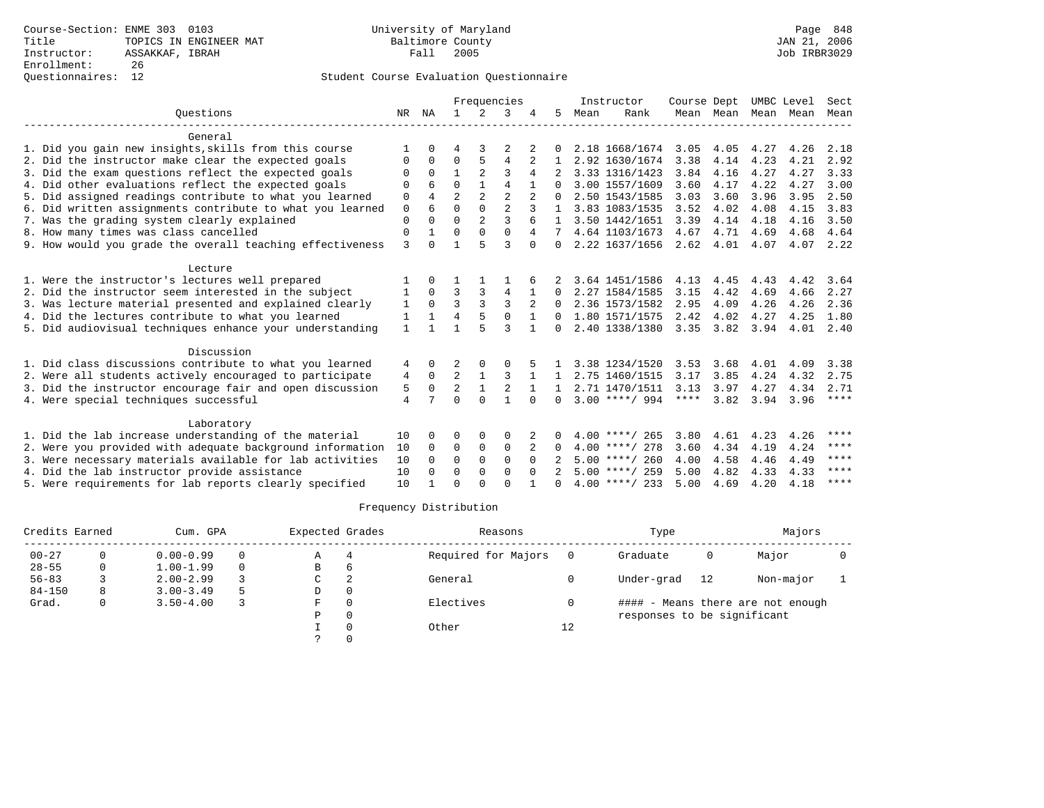### Questionnaires: 12 Student Course Evaluation Questionnaire

|                                                           |                |                |                |                | Frequencies    |              |              |      | Instructor       | Course Dept |           | UMBC Level |      | Sect        |
|-----------------------------------------------------------|----------------|----------------|----------------|----------------|----------------|--------------|--------------|------|------------------|-------------|-----------|------------|------|-------------|
| Ouestions                                                 |                | NR NA          |                | 2              | 3              |              | 5.           | Mean | Rank             |             | Mean Mean | Mean Mean  |      | Mean        |
| General                                                   |                |                |                |                |                |              |              |      |                  |             |           |            |      |             |
| 1. Did you gain new insights, skills from this course     |                | 0              | 4              | 3              |                | 2            | <sup>n</sup> |      | 2.18 1668/1674   | 3.05        | 4.05      | 4.27       | 4.26 | 2.18        |
| 2. Did the instructor make clear the expected goals       | $\Omega$       | 0              | 0              | 5              | 4              |              |              |      | 2.92 1630/1674   | 3.38        | 4.14      | 4.23       | 4.21 | 2.92        |
| 3. Did the exam questions reflect the expected goals      | ∩              | $\Omega$       |                |                | ς              | 4            |              |      | 3.33 1316/1423   | 3.84        | 4.16      | 4.27       | 4.27 | 3.33        |
| 4. Did other evaluations reflect the expected goals       | $\Omega$       | 6              | $\Omega$       |                | 4              |              | 0            |      | 3.00 1557/1609   | 3.60        | 4.17      | 4.22       | 4.27 | 3.00        |
| 5. Did assigned readings contribute to what you learned   | $\Omega$       | $\overline{4}$ | $\overline{a}$ | 2              | $\overline{2}$ |              |              |      | 2.50 1543/1585   | 3.03        | 3.60      | 3.96       | 3.95 | 2.50        |
| 6. Did written assignments contribute to what you learned | $\mathbf 0$    |                | $\Omega$       | $\Omega$       | $\overline{a}$ | 3            |              |      | 3.83 1083/1535   | 3.52        | 4.02      | 4.08       | 4.15 | 3.83        |
| 7. Was the grading system clearly explained               | $\Omega$       |                | $\Omega$       | $\overline{a}$ | $\mathbf{z}$   |              | $\mathbf{1}$ |      | 3.50 1442/1651   | 3.39        | 4.14      | 4.18       | 4.16 | 3.50        |
| 8. How many times was class cancelled                     | $\Omega$       | $\mathbf{1}$   | $\Omega$       | $\Omega$       | $\Omega$       | 4            |              |      | 4.64 1103/1673   | 4.67        | 4.71      | 4.69       | 4.68 | 4.64        |
| 9. How would you grade the overall teaching effectiveness | 3              | U              |                |                | $\mathbf{3}$   | $\Omega$     | 0            |      | 2.22 1637/1656   | 2.62        | 4.01      | 4.07       | 4.07 | 2.22        |
| Lecture                                                   |                |                |                |                |                |              |              |      |                  |             |           |            |      |             |
| 1. Were the instructor's lectures well prepared           |                |                |                |                |                |              |              |      | 3.64 1451/1586   | 4.13        | 4.45      | 4.43       | 4.42 | 3.64        |
| 2. Did the instructor seem interested in the subject      | 1              | $\Omega$       | 3              | 3              | 4              |              | 0            |      | 2.27 1584/1585   | 3.15        | 4.42      | 4.69       | 4.66 | 2.27        |
| 3. Was lecture material presented and explained clearly   | 1              | $\Omega$       | 3              | 3              | 3              | 2            | 0            |      | 2.36 1573/1582   | 2.95        | 4.09      | 4.26       | 4.26 | 2.36        |
| 4. Did the lectures contribute to what you learned        | 1              |                | 4              |                | $\mathbf 0$    |              | 0            |      | 1.80 1571/1575   | 2.42        | 4.02      | 4.27       | 4.25 | 1.80        |
| 5. Did audiovisual techniques enhance your understanding  | $\mathbf{1}$   |                | 1              |                | ঽ              | $\mathbf{1}$ | 0            |      | 2.40 1338/1380   | 3.35        | 3.82      | 3.94       | 4.01 | 2.40        |
| Discussion                                                |                |                |                |                |                |              |              |      |                  |             |           |            |      |             |
| 1. Did class discussions contribute to what you learned   | 4              | 0              | 2              | $\Omega$       | $\Omega$       |              |              |      | 3.38 1234/1520   | 3.53        | 3.68      | 4.01       | 4.09 | 3.38        |
| 2. Were all students actively encouraged to participate   | 4              | $\Omega$       | $\overline{2}$ | $\mathbf{1}$   | 3              |              | 1            |      | 2.75 1460/1515   | 3.17        | 3.85      | 4.24       | 4.32 | 2.75        |
| 3. Did the instructor encourage fair and open discussion  | 5              | 0              | $\overline{2}$ | $\mathbf{1}$   | 2              |              |              |      | 2.71 1470/1511   | 3.13        | 3.97      | 4.27       | 4.34 | 2.71        |
| 4. Were special techniques successful                     | $\overline{4}$ |                | $\Omega$       | $\Omega$       |                | $\Omega$     | 0            |      | $3.00$ ****/ 994 | $***$ * * * | 3.82      | 3.94       | 3.96 | $***$ * * * |
| Laboratory                                                |                |                |                |                |                |              |              |      |                  |             |           |            |      |             |
| 1. Did the lab increase understanding of the material     | 10             | <sup>0</sup>   | O              | $\Omega$       | $\Omega$       |              | 0            |      | $4.00$ ****/ 265 | 3.80        | 4.61      | 4.23       | 4.26 | ****        |
| 2. Were you provided with adequate background information | 10             | $\Omega$       | 0              | $\mathbf 0$    | $\Omega$       | 2            | $\Omega$     |      | $4.00$ ****/ 278 | 3.60        | 4.34      | 4.19       | 4.24 | ****        |
| 3. Were necessary materials available for lab activities  | 10             | $\Omega$       | $\Omega$       | $\Omega$       | $\Omega$       | $\Omega$     |              |      | $5.00$ ****/ 260 | 4.00        | 4.58      | 4.46       | 4.49 | ****        |
| 4. Did the lab instructor provide assistance              | 10             | $\Omega$       | $\Omega$       | $\Omega$       | $\Omega$       | $\Omega$     | 2            |      | $5.00$ ****/ 259 | 5.00        | 4.82      | 4.33       | 4.33 | ****        |
| 5. Were requirements for lab reports clearly specified    | 10             |                | $\Omega$       | $\cap$         | $\cap$         |              | <sup>n</sup> |      | $4.00$ ****/ 233 | 5.00        | 4.69      | 4.20       | 4.18 | ****        |

| Credits Earned |   | Cum. GPA      |   | Expected Grades |          | Reasons             |    | Type                        |     | Majors                            |  |
|----------------|---|---------------|---|-----------------|----------|---------------------|----|-----------------------------|-----|-----------------------------------|--|
| $00 - 27$      |   | $0.00 - 0.99$ |   | Α               |          | Required for Majors |    | Graduate                    | 0   | Major                             |  |
| $28 - 55$      | 0 | $1.00 - 1.99$ |   | B               | 6        |                     |    |                             |     |                                   |  |
| $56 - 83$      |   | $2.00 - 2.99$ |   | C               | 2        | General             |    | Under-grad                  | -12 | Non-major                         |  |
| $84 - 150$     | 8 | $3.00 - 3.49$ | 5 | D               | 0        |                     |    |                             |     |                                   |  |
| Grad.          | 0 | $3.50 - 4.00$ |   | F               | $\Omega$ | Electives           |    |                             |     | #### - Means there are not enough |  |
|                |   |               |   | Ρ               | 0        |                     |    | responses to be significant |     |                                   |  |
|                |   |               |   |                 | $\Omega$ | Other               | 12 |                             |     |                                   |  |
|                |   |               |   |                 |          |                     |    |                             |     |                                   |  |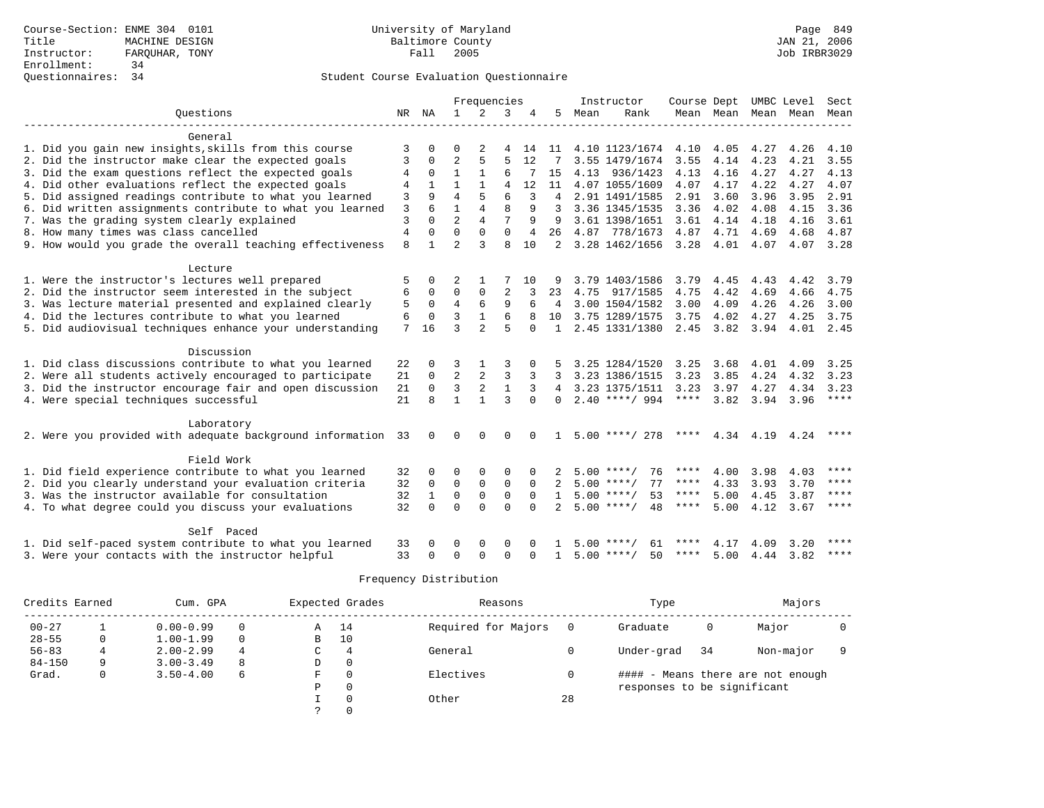|                                                           |                |             |                | Frequencies    |                |          |                |      | Instructor         | Course Dept UMBC Level |           |                     |           | Sect        |
|-----------------------------------------------------------|----------------|-------------|----------------|----------------|----------------|----------|----------------|------|--------------------|------------------------|-----------|---------------------|-----------|-------------|
| Ouestions                                                 |                | NR NA       | $\mathbf{1}$   | 2              | 3              | 4        | 5              | Mean | Rank               |                        |           | Mean Mean Mean Mean |           | Mean        |
|                                                           |                |             |                |                |                |          |                |      |                    |                        |           |                     |           |             |
| General                                                   |                |             |                |                |                |          |                |      |                    |                        |           |                     |           |             |
| 1. Did you gain new insights, skills from this course     | 3              |             | O              |                | 4              |          | 14 11          |      | 4.10 1123/1674     | 4.10                   | 4.05      | 4.27                | 4.26      | 4.10        |
| 2. Did the instructor make clear the expected goals       | 3              | $\Omega$    | $\overline{2}$ | 5              | 5              | 12       |                |      | 3.55 1479/1674     | 3.55                   | 4.14      | 4.23                | 4.21      | 3.55        |
| 3. Did the exam questions reflect the expected goals      | 4              | 0           | 1              | $\mathbf{1}$   | 6              |          | 15             |      | 4.13 936/1423      | 4.13                   | 4.16      | 4.27                | 4.27      | 4.13        |
| 4. Did other evaluations reflect the expected goals       | 4              |             | 1              | $\mathbf{1}$   | $\overline{A}$ | 12       | 11             |      | 4.07 1055/1609     | 4.07                   | 4.17      | 4.22                | 4.27      | 4.07        |
| 5. Did assigned readings contribute to what you learned   | 3              | 9           | 4              | 5              | 6              | 3        | $\overline{4}$ |      | 2.91 1491/1585     | 2.91                   | 3.60      | 3.96                | 3.95      | 2.91        |
| 6. Did written assignments contribute to what you learned | 3              |             | $\mathbf{1}$   | $\overline{4}$ | 8              | 9        | 3              |      | 3.36 1345/1535     | 3.36                   | 4.02      | 4.08                | 4.15      | 3.36        |
| 7. Was the grading system clearly explained               | $\mathbf{3}$   | $\Omega$    | $\overline{a}$ | $\overline{4}$ |                | 9        | 9              |      | 3.61 1398/1651     | 3.61                   | 4.14      | 4.18                | 4.16      | 3.61        |
| 8. How many times was class cancelled                     | $\overline{4}$ | $\Omega$    | 0              | 0              | $\mathbf 0$    | 4        | 26             |      | 4.87 778/1673      | 4.87                   | 4.71      | 4.69                | 4.68      | 4.87        |
| 9. How would you grade the overall teaching effectiveness | 8              | 1           | $\overline{a}$ | 3              | $\mathsf{R}$   | 10       | 2              |      | 3.28 1462/1656     | 3.28                   | 4.01      | 4.07                | 4.07      | 3.28        |
|                                                           |                |             |                |                |                |          |                |      |                    |                        |           |                     |           |             |
| Lecture                                                   |                |             |                |                |                |          |                |      |                    |                        |           |                     |           |             |
| 1. Were the instructor's lectures well prepared           | 5              | $\Omega$    | 2              |                |                | 10       |                |      | 3.79 1403/1586     | 3.79                   | 4.45      | 4.43                | 4.42      | 3.79        |
| 2. Did the instructor seem interested in the subject      | 6              | $\Omega$    | $\Omega$       | $\Omega$       | $\overline{2}$ |          | 23             | 4.75 | 917/1585           | 4.75                   | 4.42      | 4.69                | 4.66      | 4.75        |
| 3. Was lecture material presented and explained clearly   | 5              | 0           | $\overline{4}$ | 6              | 9              | 6        | 4              |      | 3.00 1504/1582     | 3.00                   | 4.09      | 4.26                | 4.26      | 3.00        |
| 4. Did the lectures contribute to what you learned        | 6              | $\Omega$    | 3              | $\mathbf{1}$   | 6              |          | 10             |      | 3.75 1289/1575     | 3.75                   | 4.02      | 4.27                | 4.25      | 3.75        |
| 5. Did audiovisual techniques enhance your understanding  | 7              | 16          | ζ              | $\overline{2}$ | 5              | $\Omega$ | $\mathbf{1}$   |      | 2.45 1331/1380     | 2.45                   | 3.82 3.94 |                     | 4.01 2.45 |             |
|                                                           |                |             |                |                |                |          |                |      |                    |                        |           |                     |           |             |
| Discussion                                                |                |             |                |                |                |          |                |      |                    |                        |           |                     |           |             |
| 1. Did class discussions contribute to what you learned   | 22             | 0           | 3              |                | 3              |          |                |      | 3.25 1284/1520     | 3.25                   | 3.68      | 4.01                | 4.09      | 3.25        |
| 2. Were all students actively encouraged to participate   | 21             | 0           | $\overline{2}$ | 2              | 3              | 3        | 3              |      | 3.23 1386/1515     | 3.23                   | 3.85      | 4.24                | 4.32      | 3.23        |
| 3. Did the instructor encourage fair and open discussion  | 21             | $\mathbf 0$ | 3              | $\overline{2}$ | $\mathbf{1}$   | 3        | 4              |      | 3.23 1375/1511     | 3.23                   | 3.97      | 4.27                | 4.34      | 3.23        |
| 4. Were special techniques successful                     | 21             | 8           | $\mathbf{1}$   | $\mathbf{1}$   | 3              | $\Omega$ | $\Omega$       |      | $2.40$ ****/ 994   | $***$ * * *            | 3.82      | 3.94                | 3.96      | $***$ * * * |
|                                                           |                |             |                |                |                |          |                |      |                    |                        |           |                     |           |             |
| Laboratory                                                |                |             |                |                |                |          |                |      |                    |                        |           |                     |           |             |
| 2. Were you provided with adequate background information | 33             | $\Omega$    | $\Omega$       | $\Omega$       | $\Omega$       |          |                |      | $5.00$ ****/ 278   | ****                   | 4.34      | 4.19                | 4.24      | ****        |
|                                                           |                |             |                |                |                |          |                |      |                    |                        |           |                     |           |             |
| Field Work                                                |                |             |                |                |                |          |                |      |                    |                        |           |                     |           |             |
| 1. Did field experience contribute to what you learned    | 32             | 0           | O              | $\Omega$       | $\Omega$       | 0        |                |      | 76<br>$5.00$ ****/ | ****                   | 4.00      | 3.98                | 4.03      | ****        |
| 2. Did you clearly understand your evaluation criteria    | 32             | $\Omega$    | $\Omega$       | $\mathbf 0$    | $\Omega$       | $\Omega$ | $\mathcal{L}$  |      | $5.00$ ****/<br>77 | ****                   | 4.33      | 3.93                | 3.70      | ****        |
| 3. Was the instructor available for consultation          | 32             | 1           | $\mathbf 0$    | $\mathbf 0$    | $\mathbf 0$    | $\Omega$ | $\mathbf{1}$   |      | $5.00$ ****/<br>53 | $***$ * * *            | 5.00      | 4.45                | 3.87      | ****        |
| 4. To what degree could you discuss your evaluations      | 32             | $\Omega$    | $\Omega$       | $\Omega$       | $\Omega$       | $\Omega$ |                |      | 48<br>$5.00$ ****/ | ****                   | 5.00      | 4.12                | 3.67      | ****        |
|                                                           |                |             |                |                |                |          |                |      |                    |                        |           |                     |           |             |
| Self Paced                                                |                |             |                |                |                |          |                |      |                    |                        |           |                     |           |             |
| 1. Did self-paced system contribute to what you learned   | 33             |             | O              | $\Omega$       | $\Omega$       |          |                | 5.00 | 61                 | ****                   | 4.17      | 4.09                | 3.20      | ****        |
| 3. Were your contacts with the instructor helpful         | 33             | 0           | $\Omega$       | $\cap$         | $\Omega$       | ∩        | 1              |      | $5.00$ ****/<br>50 | ****                   | 5.00      | 4.44                | 3.82      | ****        |

| Credits Earned |   | Cum. GPA      |          |   | Expected Grades | Reasons             |    | Type                        |     | Majors                            |  |
|----------------|---|---------------|----------|---|-----------------|---------------------|----|-----------------------------|-----|-----------------------------------|--|
| $00 - 27$      |   | $0.00 - 0.99$ | 0        | A | 14              | Required for Majors |    | Graduate                    | 0   | Major                             |  |
| $28 - 55$      | 0 | $1.00 - 1.99$ | $\Omega$ | B | 10              |                     |    |                             |     |                                   |  |
| $56 - 83$      |   | $2.00 - 2.99$ |          | C | 4               | General             |    | Under-grad                  | -34 | Non-major                         |  |
| $84 - 150$     | 9 | $3.00 - 3.49$ | 8        | D | 0               |                     |    |                             |     |                                   |  |
| Grad.          | 0 | $3.50 - 4.00$ | 6        | F |                 | Electives           |    |                             |     | #### - Means there are not enough |  |
|                |   |               |          | Ρ |                 |                     |    | responses to be significant |     |                                   |  |
|                |   |               |          |   |                 | Other               | 28 |                             |     |                                   |  |
|                |   |               |          |   |                 |                     |    |                             |     |                                   |  |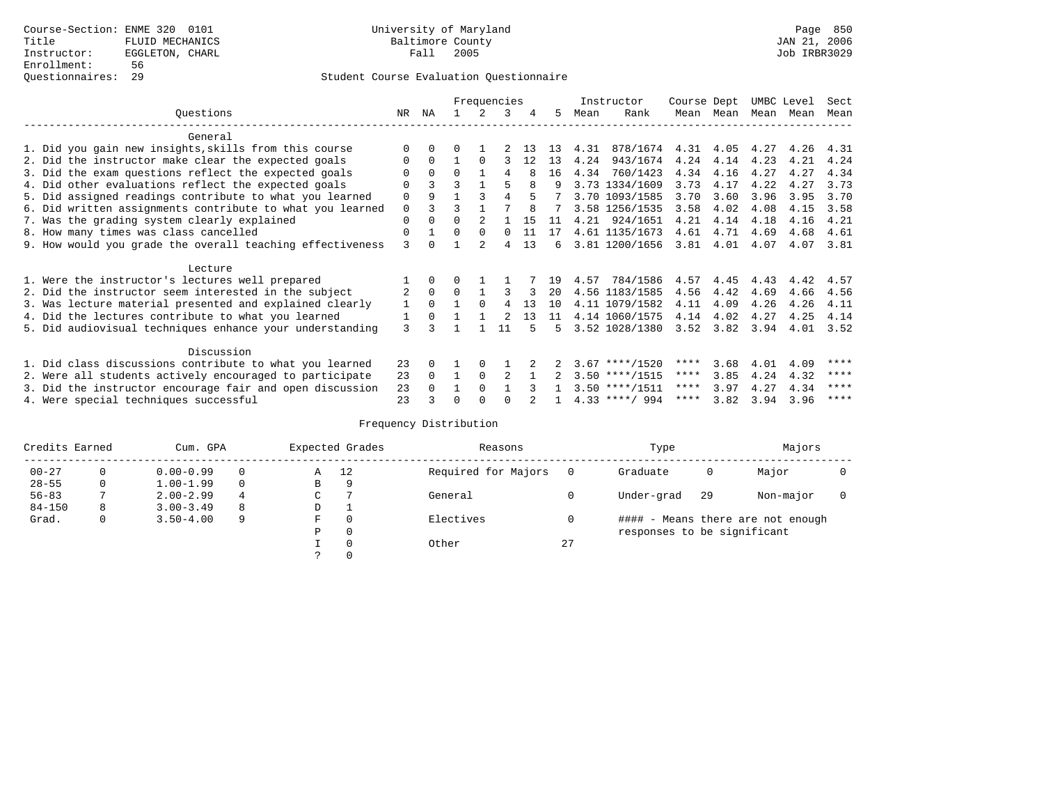### Questionnaires: 29 Student Course Evaluation Questionnaire

|                                                           |          |          |          |          | Frequencies |    |    |      | Instructor       | Course Dept |           |      | UMBC Level | Sect |
|-----------------------------------------------------------|----------|----------|----------|----------|-------------|----|----|------|------------------|-------------|-----------|------|------------|------|
| Questions                                                 | NR       | ΝA       |          |          | 3           |    | 5. | Mean | Rank             |             | Mean Mean |      | Mean Mean  | Mean |
| General                                                   |          |          |          |          |             |    |    |      |                  |             |           |      |            |      |
| 1. Did you gain new insights, skills from this course     |          |          |          |          |             |    | 13 | 4.31 | 878/1674         | 4.31        | 4.05      | 4.27 | 4.26       | 4.31 |
| 2. Did the instructor make clear the expected goals       | O        | $\Omega$ |          |          |             | 12 | 13 | 4.24 | 943/1674         | 4.24        | 4.14      | 4.23 | 4.21       | 4.24 |
| 3. Did the exam questions reflect the expected goals      | U        | $\Omega$ | $\cap$   |          |             |    | 16 | 4.34 | 760/1423         | 4.34        | 4.16      | 4.27 | 4.27       | 4.34 |
| 4. Did other evaluations reflect the expected goals       | U        |          | २        |          |             |    | q  |      | 3.73 1334/1609   | 3.73        | 4.17      | 4.22 | 4.27       | 3.73 |
| 5. Did assigned readings contribute to what you learned   | $\Omega$ | 9        |          |          |             |    |    |      | 3.70 1093/1585   | 3.70        | 3.60      | 3.96 | 3.95       | 3.70 |
| 6. Did written assignments contribute to what you learned | $\Omega$ |          | ς        |          |             |    |    |      | 3.58 1256/1535   | 3.58        | 4.02      | 4.08 | 4.15       | 3.58 |
| 7. Was the grading system clearly explained               | 0        | $\Omega$ | 0        |          |             | 15 | 11 | 4.21 | 924/1651         | 4.21        | 4.14      | 4.18 | 4.16       | 4.21 |
| 8. How many times was class cancelled                     | 0        |          | $\Omega$ | $\Omega$ | $\Omega$    | 11 | 17 |      | 4.61 1135/1673   | 4.61        | 4.71      | 4.69 | 4.68       | 4.61 |
| 9. How would you grade the overall teaching effectiveness | 3        |          |          |          | 4           | 13 | б. |      | 3.81 1200/1656   | 3.81        | 4.01      | 4.07 | 4.07       | 3.81 |
| Lecture                                                   |          |          |          |          |             |    |    |      |                  |             |           |      |            |      |
| 1. Were the instructor's lectures well prepared           |          | $\Omega$ |          |          |             |    | 19 | 4.57 | 784/1586         | 4.57        | 4.45      | 4.43 | 4.42       | 4.57 |
| 2. Did the instructor seem interested in the subject      |          | $\Omega$ |          |          |             |    | 20 |      | 4.56 1183/1585   | 4.56        | 4.42      | 4.69 | 4.66       | 4.56 |
| 3. Was lecture material presented and explained clearly   | 1        | $\Omega$ |          | $\Omega$ |             | 13 | 10 |      | 4.11 1079/1582   | 4.11        | 4.09      | 4.26 | 4.26       | 4.11 |
| 4. Did the lectures contribute to what you learned        |          | $\Omega$ |          |          |             | 13 | 11 |      | 4.14 1060/1575   | 4.14        | 4.02      | 4.27 | 4.25       | 4.14 |
| 5. Did audiovisual techniques enhance your understanding  | 3        |          |          |          |             |    | 5  |      | 3.52 1028/1380   | 3.52        | 3.82      | 3.94 | 4.01       | 3.52 |
| Discussion                                                |          |          |          |          |             |    |    |      |                  |             |           |      |            |      |
| 1. Did class discussions contribute to what you learned   | 23       | 0        |          | $\Omega$ |             |    |    |      | $3.67$ ****/1520 | ****        | 3.68      | 4.01 | 4.09       | **** |
| 2. Were all students actively encouraged to participate   | 23       | $\Omega$ |          | $\Omega$ |             |    |    |      | $3.50$ ****/1515 | ****        | 3.85      | 4.24 | 4.32       | **** |
| 3. Did the instructor encourage fair and open discussion  | 23       | $\Omega$ |          | $\Omega$ |             |    |    |      | $3.50$ ****/1511 | ****        | 3.97      | 4.27 | 4.34       | **** |
| 4. Were special techniques successful                     | 23       |          |          |          |             |    |    |      | $4.33$ ****/ 994 |             | **** 3.82 | 3.94 | 3.96       | **** |

| Credits Earned |   | Cum. GPA      |          |    | Expected Grades | Reasons             |    | Type                        |     | Majors                            |  |
|----------------|---|---------------|----------|----|-----------------|---------------------|----|-----------------------------|-----|-----------------------------------|--|
| $00 - 27$      |   | $0.00 - 0.99$ |          | Α  | 12              | Required for Majors |    | Graduate                    | 0   | Major                             |  |
| $28 - 55$      | 0 | $1.00 - 1.99$ | $\Omega$ | В  | 9               |                     |    |                             |     |                                   |  |
| $56 - 83$      |   | $2.00 - 2.99$ | 4        | C. |                 | General             |    | Under-grad                  | -29 | Non-major                         |  |
| $84 - 150$     | 8 | $3.00 - 3.49$ | 8        | D  |                 |                     |    |                             |     |                                   |  |
| Grad.          | 0 | $3.50 - 4.00$ | 9        | F  | $\Omega$        | Electives           |    |                             |     | #### - Means there are not enough |  |
|                |   |               |          | Ρ  | 0               |                     |    | responses to be significant |     |                                   |  |
|                |   |               |          |    | $\Omega$        | Other               | 27 |                             |     |                                   |  |
|                |   |               |          |    |                 |                     |    |                             |     |                                   |  |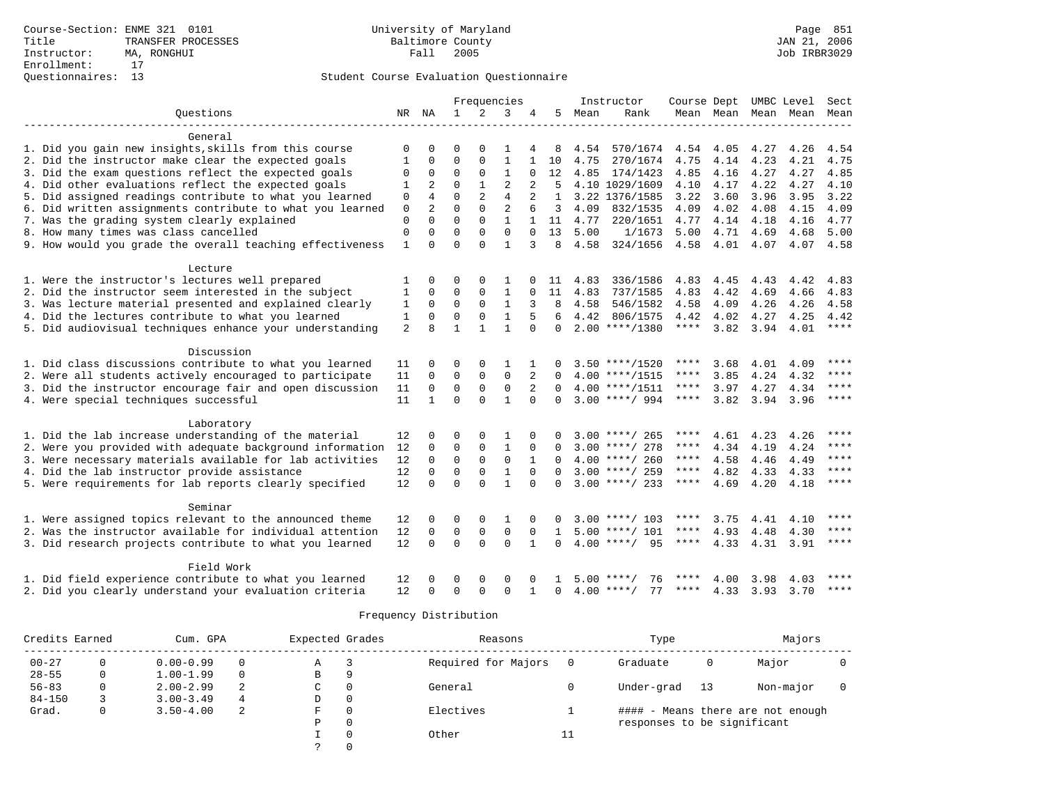|                                                                    |              |                  |                | Frequencies    |                   |                |               |              | Instructor                           | Course Dept  |              |              | UMBC Level Sect          |              |
|--------------------------------------------------------------------|--------------|------------------|----------------|----------------|-------------------|----------------|---------------|--------------|--------------------------------------|--------------|--------------|--------------|--------------------------|--------------|
| Questions                                                          | NR NA        |                  | $\mathbf{1}$   | 2              | 3                 | 4              | 5             | Mean         | Rank                                 |              |              |              | Mean Mean Mean Mean Mean |              |
|                                                                    |              |                  |                |                |                   |                |               |              |                                      |              |              |              |                          |              |
| General                                                            |              |                  |                |                |                   |                |               |              |                                      |              |              |              |                          |              |
| 1. Did you gain new insights, skills from this course              | 0            | 0                | O              | $\Omega$       | 1                 |                | 8             | 4.54         | 570/1674                             | 4.54 4.05    |              | 4.27         | 4.26                     | 4.54         |
| 2. Did the instructor make clear the expected goals                | $\mathbf{1}$ | 0                | $\Omega$       | $\Omega$       | $\mathbf{1}$      | $\mathbf{1}$   | 10            | 4.75         | 270/1674                             | 4.75         | 4.14         | 4.23         | 4.21                     | 4.75         |
| 3. Did the exam questions reflect the expected goals               | $\mathbf 0$  | 0                | $\Omega$       | $\Omega$       | $\mathbf{1}$      | 0              | 12            | 4.85         | 174/1423                             | 4.85         | 4.16         | 4.27         | 4.27                     | 4.85         |
| 4. Did other evaluations reflect the expected goals                | 1            | 2                | $\Omega$       | $\mathbf{1}$   | $\overline{2}$    |                | 5             |              | 4.10 1029/1609                       | 4.10         | 4.17         | 4.22         | 4.27                     | 4.10         |
| 5. Did assigned readings contribute to what you learned            | 0            | 4                | $\Omega$       | $\overline{a}$ | $\overline{4}$    |                | $\mathbf{1}$  |              | 3.22 1376/1585                       | 3.22         | 3.60         | 3.96         | 3.95                     | 3.22         |
| 6. Did written assignments contribute to what you learned          | $\mathbf 0$  | $\overline{2}$   | $\Omega$       | $\Omega$       | $\overline{2}$    | 6              | 3             | 4.09         | 832/1535                             | 4.09         | 4.02         | 4.08         | 4.15                     | 4.09         |
| 7. Was the grading system clearly explained                        | $\mathbf 0$  | $\Omega$         | $\Omega$       | $\Omega$       | $\mathbf{1}$      |                | 11            | 4.77         | 220/1651                             | 4.77         | 4.14         | 4.18         | 4.16                     | 4.77         |
| 8. How many times was class cancelled                              | $\mathbf 0$  | $\Omega$         | $\Omega$       | 0              | $\Omega$          | $\Omega$       | 13            | 5.00         | 1/1673                               | 5.00         | 4.71         | 4.69         | 4.68                     | 5.00         |
| 9. How would you grade the overall teaching effectiveness          | $\mathbf{1}$ | $\Omega$         | $\Omega$       | $\Omega$       | $\mathbf{1}$      | 3              | 8             | 4.58         | 324/1656                             | 4.58         | 4.01         | 4.07         | 4.07                     | 4.58         |
|                                                                    |              |                  |                |                |                   |                |               |              |                                      |              |              |              |                          |              |
| Lecture<br>1. Were the instructor's lectures well prepared         |              | $\Omega$         | O              | $\Omega$       |                   |                |               |              |                                      |              |              |              |                          |              |
| 2. Did the instructor seem interested in the subject               | 1            | $\Omega$         | $\Omega$       | $\Omega$       | 1<br>$\mathbf{1}$ |                | -11<br>11     | 4.83<br>4.83 | 336/1586<br>737/1585                 | 4.83<br>4.83 | 4.45<br>4.42 | 4.43<br>4.69 | 4.42<br>4.66             | 4.83<br>4.83 |
| 3. Was lecture material presented and explained clearly            | 1<br>1       | $\Omega$         | $\Omega$       | $\Omega$       | $\mathbf{1}$      |                | 8             | 4.58         | 546/1582                             | 4.58         | 4.09         | 4.26         | 4.26                     | 4.58         |
| 4. Did the lectures contribute to what you learned                 | 1            | $\Omega$         | $\Omega$       | $\Omega$       | $\mathbf{1}$      | 5              | 6             | 4.42         | 806/1575                             | 4.42         | 4.02         | 4.27         | 4.25                     | 4.42         |
|                                                                    | 2            | $\mathsf{R}$     | 1              | $\mathbf{1}$   | $\mathbf{1}$      | $\Omega$       | $\Omega$      |              | $2.00$ ****/1380                     | ****         | 3.82         | 3.94         | 4.01                     | $***$ * * *  |
| 5. Did audiovisual techniques enhance your understanding           |              |                  |                |                |                   |                |               |              |                                      |              |              |              |                          |              |
| Discussion                                                         |              |                  |                |                |                   |                |               |              |                                      |              |              |              |                          |              |
| 1. Did class discussions contribute to what you learned            | 11           | 0                | O              | $\Omega$       | 1                 |                | 0             |              | $3.50$ ****/1520                     | $***$ * * *  | 3.68         | 4.01         | 4.09                     | ****         |
| 2. Were all students actively encouraged to participate            | 11           | $\mathbf 0$      | $\mathbf 0$    | $\mathbf 0$    | $\mathbf 0$       | $\overline{2}$ | 0             |              | $4.00$ ****/1515                     | ****         | 3.85         | 4.24         | 4.32                     | ****         |
| 3. Did the instructor encourage fair and open discussion           | 11           | 0                | $\mathbf 0$    | $\mathbf 0$    | $\mathbf 0$       | 2              | $\Omega$      |              | $4.00$ ****/1511                     | ****         | 3.97         | 4.27         | 4.34                     | $***$        |
| 4. Were special techniques successful                              | 11           | $\mathbf{1}$     | $\Omega$       | $\Omega$       | $\mathbf{1}$      | $\Omega$       | $\Omega$      |              | $3.00$ ****/ 994                     | $***$ * * *  | 3.82         | 3.94         | 3.96                     | $* * * * *$  |
|                                                                    |              |                  |                |                |                   |                |               |              |                                      |              |              |              |                          |              |
| Laboratory                                                         |              |                  |                |                |                   |                |               |              |                                      |              |              |              |                          |              |
| 1. Did the lab increase understanding of the material              | 12           | O                | O              | $\Omega$       | 1                 | $\Omega$       | U             |              | $3.00$ ****/ 265                     | ****         | 4.61         | 4.23         | 4.26                     | ****         |
| 2. Were you provided with adequate background information          | 12           | $\Omega$         | $\Omega$       | $\mathbf 0$    | $\mathbf{1}$      | $\Omega$       | <sup>0</sup>  |              | $3.00$ ****/ 278                     | ****         | 4.34         | 4.19         | 4.24                     | $* * * *$    |
| 3. Were necessary materials available for lab activities           | 12           | $\Omega$         | $\Omega$       | $\Omega$       | $\Omega$          | $\mathbf{1}$   | $\Omega$      |              | $4.00$ ****/ 260                     | ****         | 4.58         | 4.46         | 4.49                     | $* * * *$    |
| 4. Did the lab instructor provide assistance                       | 12           | $\mathbf 0$      | $\mathbf 0$    | $\Omega$       | $\mathbf{1}$      | $\Omega$       | $\Omega$      |              | $3.00$ ****/ 259                     | $***$ * *    | 4.82         | 4.33         | 4.33                     | ****         |
| 5. Were requirements for lab reports clearly specified             | 12           | $\Omega$         | $\Omega$       | $\Omega$       | $\mathbf{1}$      | $\Omega$       | $\Omega$      |              | $3.00$ ****/ 233                     | ****         | 4.69         | 4.20         | 4.18                     | $***$        |
|                                                                    |              |                  |                |                |                   |                |               |              |                                      |              |              |              |                          |              |
| Seminar<br>1. Were assigned topics relevant to the announced theme | 12           |                  | $\Omega$       | $\Omega$       | 1                 |                |               |              |                                      | ****         |              | 4.41         | 4.10                     | ****         |
| 2. Was the instructor available for individual attention           | 12           | 0<br>$\mathbf 0$ | $\overline{0}$ | $\mathbf 0$    | $\mathbf 0$       | $\mathbf 0$    | 0             |              | $3.00$ ****/ 103<br>$5.00$ ****/ 101 | ****         | 3.75<br>4.93 | 4.48         | 4.30                     | ****         |
|                                                                    | 12           | $\Omega$         | $\Omega$       | $\Omega$       | $\Omega$          | $\mathbf{1}$   | 1<br>$\Omega$ |              | $4.00$ ****/<br>95                   | ****         | 4.33         | 4.31         | 3.91                     | ****         |
| 3. Did research projects contribute to what you learned            |              |                  |                |                |                   |                |               |              |                                      |              |              |              |                          |              |
| Field Work                                                         |              |                  |                |                |                   |                |               |              |                                      |              |              |              |                          |              |
| 1. Did field experience contribute to what you learned             | 12           | 0                | 0              | $\Omega$       | $\Omega$          | $\Omega$       |               |              | $5.00$ ****/<br>76                   |              | 4.00         | 3.98         | 4.03                     |              |
| 2. Did you clearly understand your evaluation criteria             | 12           | $\Omega$         | $\Omega$       | $\Omega$       | $\Omega$          |                | $\Omega$      |              | $4.00$ ****/<br>77                   | ****         | 4.33         | 3.93         | 3.70                     | $***$        |
|                                                                    |              |                  |                |                |                   |                |               |              |                                      |              |              |              |                          |              |

| Credits Earned |              | Cum. GPA      |          | Expected Grades |          | Reasons             |     | Type                        |    | Majors                            |  |
|----------------|--------------|---------------|----------|-----------------|----------|---------------------|-----|-----------------------------|----|-----------------------------------|--|
| $00 - 27$      | 0            | $0.00 - 0.99$ | $\Omega$ | Α               |          | Required for Majors | - 0 | Graduate                    | 0  | Major                             |  |
| $28 - 55$      | 0            | $1.00 - 1.99$ | $\Omega$ | В               | 9        |                     |     |                             |    |                                   |  |
| $56 - 83$      | 0            | $2.00 - 2.99$ | 2        | $\mathsf{C}$    | 0        | General             |     | Under-grad                  | 13 | Non-major                         |  |
| $84 - 150$     |              | $3.00 - 3.49$ | 4        | D               | 0        |                     |     |                             |    |                                   |  |
| Grad.          | $\mathbf{0}$ | $3.50 - 4.00$ | -2       | F.              | $\Omega$ | Electives           |     |                             |    | #### - Means there are not enough |  |
|                |              |               |          | Ρ               | $\Omega$ |                     |     | responses to be significant |    |                                   |  |
|                |              |               |          |                 | $\Omega$ | Other               | 11  |                             |    |                                   |  |
|                |              |               |          |                 |          |                     |     |                             |    |                                   |  |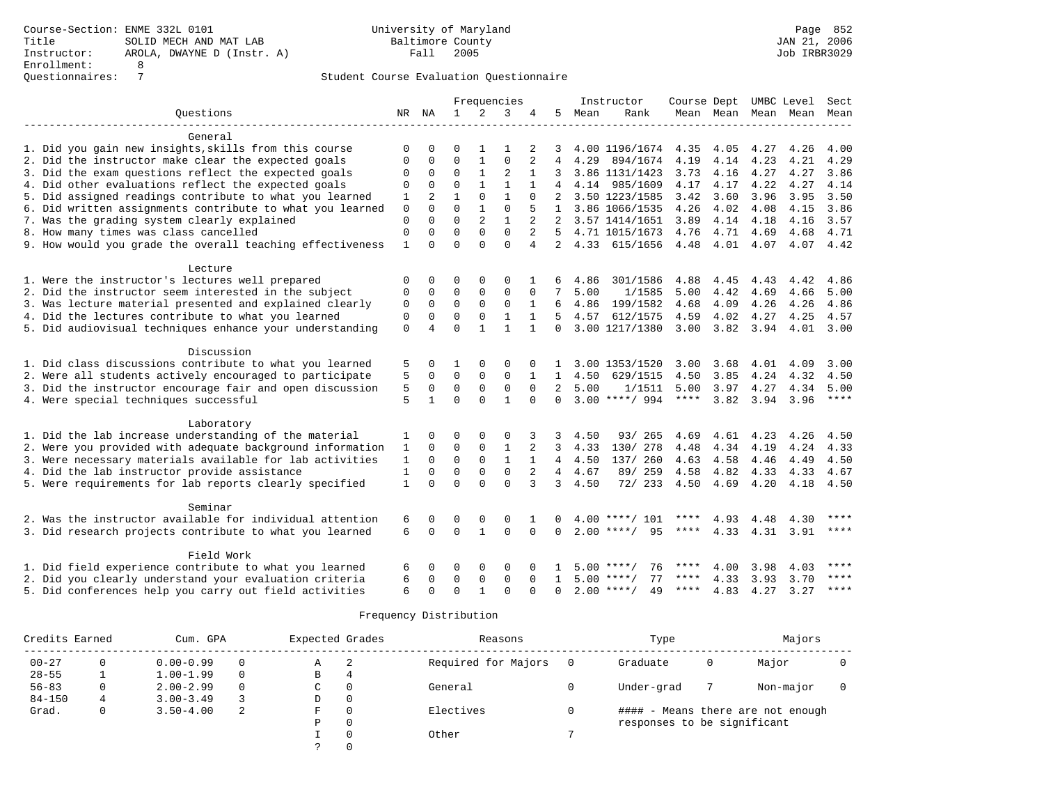|                                                           |                   |                |              |                | Frequencies    |                |                |      | Instructor         |             |      |      | Course Dept UMBC Level | Sect        |
|-----------------------------------------------------------|-------------------|----------------|--------------|----------------|----------------|----------------|----------------|------|--------------------|-------------|------|------|------------------------|-------------|
| Ouestions                                                 | NR                | ΝA             | $\mathbf{1}$ | 2              | 3              | 4              | 5              | Mean | Rank               | Mean Mean   |      | Mean | Mean                   | Mean        |
| General                                                   |                   |                |              |                |                |                |                |      |                    |             |      |      |                        |             |
| 1. Did you gain new insights, skills from this course     | 0                 | $\Omega$       | $\Omega$     | $\mathbf{1}$   | 1              | 2              | 3              |      | 4.00 1196/1674     | 4.35        | 4.05 | 4.27 | 4.26                   | 4.00        |
| 2. Did the instructor make clear the expected goals       | $\mathbf 0$       | 0              | $\Omega$     | $\mathbf{1}$   | $\mathbf 0$    | 2              | 4              | 4.29 | 894/1674           | 4.19        | 4.14 | 4.23 | 4.21                   | 4.29        |
| 3. Did the exam questions reflect the expected goals      | $\mathbf 0$       | $\mathbf 0$    | $\Omega$     | $\mathbf{1}$   | $\overline{2}$ | 1              |                |      | 3.86 1131/1423     | 3.73        | 4.16 | 4.27 | 4.27                   | 3.86        |
| 4. Did other evaluations reflect the expected goals       | 0                 | $\Omega$       | $\Omega$     | $\mathbf{1}$   | $\mathbf{1}$   | 1              |                | 4.14 | 985/1609           | 4.17        | 4.17 | 4.22 | 4.27                   | 4.14        |
| 5. Did assigned readings contribute to what you learned   |                   | $\overline{2}$ | $\mathbf{1}$ | $\Omega$       | $\mathbf{1}$   | $\Omega$       |                |      | 3.50 1223/1585     | 3.42        | 3.60 | 3.96 | 3.95                   | 3.50        |
|                                                           | 1<br>$\mathbf{0}$ | $\Omega$       | $\Omega$     | $\mathbf{1}$   | $\Omega$       | 5              | $\mathbf{1}$   |      | 3.86 1066/1535     | 4.26        | 4.02 | 4.08 | 4.15                   | 3.86        |
| 6. Did written assignments contribute to what you learned | $\mathbf{0}$      | $\Omega$       | $\Omega$     | $\overline{a}$ | $\mathbf{1}$   | $\overline{a}$ | 2              |      | 3.57 1414/1651     | 3.89        | 4.14 |      | 4.16                   | 3.57        |
| 7. Was the grading system clearly explained               |                   | $\Omega$       | $\Omega$     | $\Omega$       | $\Omega$       | $\overline{a}$ |                |      |                    |             |      | 4.18 |                        |             |
| 8. How many times was class cancelled                     | $\mathbf{0}$      |                |              |                |                |                | 5.             |      | 4.71 1015/1673     | 4.76        | 4.71 | 4.69 | 4.68                   | 4.71        |
| 9. How would you grade the overall teaching effectiveness | 1                 | $\Omega$       | $\Omega$     | $\Omega$       | $\Omega$       | $\overline{4}$ | $\overline{2}$ | 4.33 | 615/1656           | 4.48        | 4.01 | 4.07 | 4.07                   | 4.42        |
| Lecture                                                   |                   |                |              |                |                |                |                |      |                    |             |      |      |                        |             |
| 1. Were the instructor's lectures well prepared           | 0                 | 0              | 0            | 0              | 0              |                | 6              | 4.86 | 301/1586           | 4.88        | 4.45 | 4.43 | 4.42                   | 4.86        |
| 2. Did the instructor seem interested in the subject      | 0                 | $\Omega$       | $\Omega$     | $\Omega$       | $\Omega$       | $\Omega$       | 7              | 5.00 | 1/1585             | 5.00        | 4.42 | 4.69 | 4.66                   | 5.00        |
| 3. Was lecture material presented and explained clearly   | 0                 | 0              | $\Omega$     | $\Omega$       | $\mathbf 0$    | 1              | 6              | 4.86 | 199/1582           | 4.68        | 4.09 | 4.26 | 4.26                   | 4.86        |
| 4. Did the lectures contribute to what you learned        | 0                 | $\mathbf 0$    | $\Omega$     | $\Omega$       | $\mathbf{1}$   | $\mathbf{1}$   | 5.             | 4.57 | 612/1575           | 4.59        | 4.02 | 4.27 | 4.25                   | 4.57        |
| 5. Did audiovisual techniques enhance your understanding  | $\mathbf 0$       | $\overline{4}$ | $\Omega$     | $\mathbf{1}$   | $\mathbf{1}$   | $\mathbf{1}$   | $\Omega$       |      | 3.00 1217/1380     | 3.00        | 3.82 | 3.94 | 4.01                   | 3.00        |
| Discussion                                                |                   |                |              |                |                |                |                |      |                    |             |      |      |                        |             |
| 1. Did class discussions contribute to what you learned   | 5                 | 0              | 1            | $\Omega$       | 0              | O              |                |      | 3.00 1353/1520     | 3.00        | 3.68 | 4.01 | 4.09                   | 3.00        |
| 2. Were all students actively encouraged to participate   | 5                 | 0              | $\mathbf 0$  | $\mathbf 0$    | $\mathbf 0$    | 1              | 1              | 4.50 | 629/1515           | 4.50        | 3.85 | 4.24 | 4.32                   | 4.50        |
| 3. Did the instructor encourage fair and open discussion  | 5                 | $\mathbf 0$    | $\Omega$     | $\mathbf 0$    | $\Omega$       | $\Omega$       | $\overline{2}$ | 5.00 | 1/1511             | 5.00        | 3.97 | 4.27 | 4.34                   | 5.00        |
| 4. Were special techniques successful                     | 5                 | $\mathbf{1}$   | $\Omega$     | $\Omega$       | $\mathbf{1}$   | $\Omega$       | $\Omega$       |      | $3.00$ ****/ 994   | $***$ * * * | 3.82 | 3.94 | 3.96                   | $***$ * * * |
|                                                           |                   |                |              |                |                |                |                |      |                    |             |      |      |                        |             |
| Laboratory                                                |                   |                |              |                |                |                |                |      |                    |             |      |      |                        |             |
| 1. Did the lab increase understanding of the material     | 1                 | 0              | 0            | $\Omega$       | 0              |                | 3              | 4.50 | 93/ 265            | 4.69        | 4.61 | 4.23 | 4.26                   | 4.50        |
| 2. Were you provided with adequate background information | 1                 | $\Omega$       | $\Omega$     | $\mathbf 0$    | $\mathbf{1}$   | 2              | 3              | 4.33 | 130/278            | 4.48        | 4.34 | 4.19 | 4.24                   | 4.33        |
| 3. Were necessary materials available for lab activities  | 1                 | 0              | $\mathbf 0$  | $\mathbf 0$    | $\mathbf{1}$   | $\mathbf{1}$   | 4              | 4.50 | 137/ 260           | 4.63        | 4.58 | 4.46 | 4.49                   | 4.50        |
| 4. Did the lab instructor provide assistance              | $\mathbf{1}$      | $\mathbf 0$    | $\Omega$     | $\mathbf 0$    | $\mathbf 0$    | 2              | $\overline{4}$ | 4.67 | 89/ 259            | 4.58        | 4.82 | 4.33 | 4.33                   | 4.67        |
| 5. Were requirements for lab reports clearly specified    | $\mathbf{1}$      | $\Omega$       | $\Omega$     | $\Omega$       | $\Omega$       | 3              | 3              | 4.50 | 72/233             | 4.50        | 4.69 | 4.20 | 4.18                   | 4.50        |
| Seminar                                                   |                   |                |              |                |                |                |                |      |                    |             |      |      |                        |             |
| 2. Was the instructor available for individual attention  | 6                 | 0              | 0            | 0              | 0              |                |                | 4.00 | 101                | ****        | 4.93 | 4.48 | 4.30                   | ****        |
| 3. Did research projects contribute to what you learned   | 6                 | $\Omega$       | $\Omega$     | $\mathbf{1}$   | $\Omega$       | $\Omega$       | $\Omega$       |      | $2.00$ ****/<br>95 | $***$ * * * | 4.33 | 4.31 | 3.91                   | $***$       |
| Field Work                                                |                   |                |              |                |                |                |                |      |                    |             |      |      |                        |             |
| 1. Did field experience contribute to what you learned    | 6                 | 0              | 0            | 0              | 0              | $\Omega$       |                |      | 76<br>$5.00$ ****/ | ****        | 4.00 | 3.98 | 4.03                   | $***$ * * * |
| 2. Did you clearly understand your evaluation criteria    | 6                 | 0              | 0            | $\mathbf 0$    | $\mathbf 0$    | $\Omega$       | $\mathbf{1}$   | 5.00 | 77<br>****/        | ****        | 4.33 | 3.93 | 3.70                   | ****        |
|                                                           | 6                 | $\Omega$       | $\Omega$     |                | $\Omega$       |                |                |      | $2.00$ ****/       | ****        | 4.83 |      |                        | ****        |
| 5. Did conferences help you carry out field activities    |                   |                |              |                |                | O              | 0              |      | 49                 |             |      | 4.27 | 3.27                   |             |

| Credits Earned |              | Cum. GPA      |          | Expected Grades |          | Reasons             |     | Type                        |   | Majors                            |  |
|----------------|--------------|---------------|----------|-----------------|----------|---------------------|-----|-----------------------------|---|-----------------------------------|--|
| $00 - 27$      | 0            | $0.00 - 0.99$ | $\Omega$ | Α               |          | Required for Majors | - 0 | Graduate                    | 0 | Major                             |  |
| $28 - 55$      |              | $1.00 - 1.99$ | $\Omega$ | В               | 4        |                     |     |                             |   |                                   |  |
| $56 - 83$      | 0            | $2.00 - 2.99$ | $\Omega$ | $\mathsf{C}$    | 0        | General             |     | Under-grad                  |   | Non-major                         |  |
| $84 - 150$     | 4            | $3.00 - 3.49$ |          | D               | 0        |                     |     |                             |   |                                   |  |
| Grad.          | $\mathbf{0}$ | $3.50 - 4.00$ | -2       | F.              | $\Omega$ | Electives           |     |                             |   | #### - Means there are not enough |  |
|                |              |               |          | Ρ               | $\Omega$ |                     |     | responses to be significant |   |                                   |  |
|                |              |               |          |                 | $\Omega$ | Other               |     |                             |   |                                   |  |
|                |              |               |          |                 |          |                     |     |                             |   |                                   |  |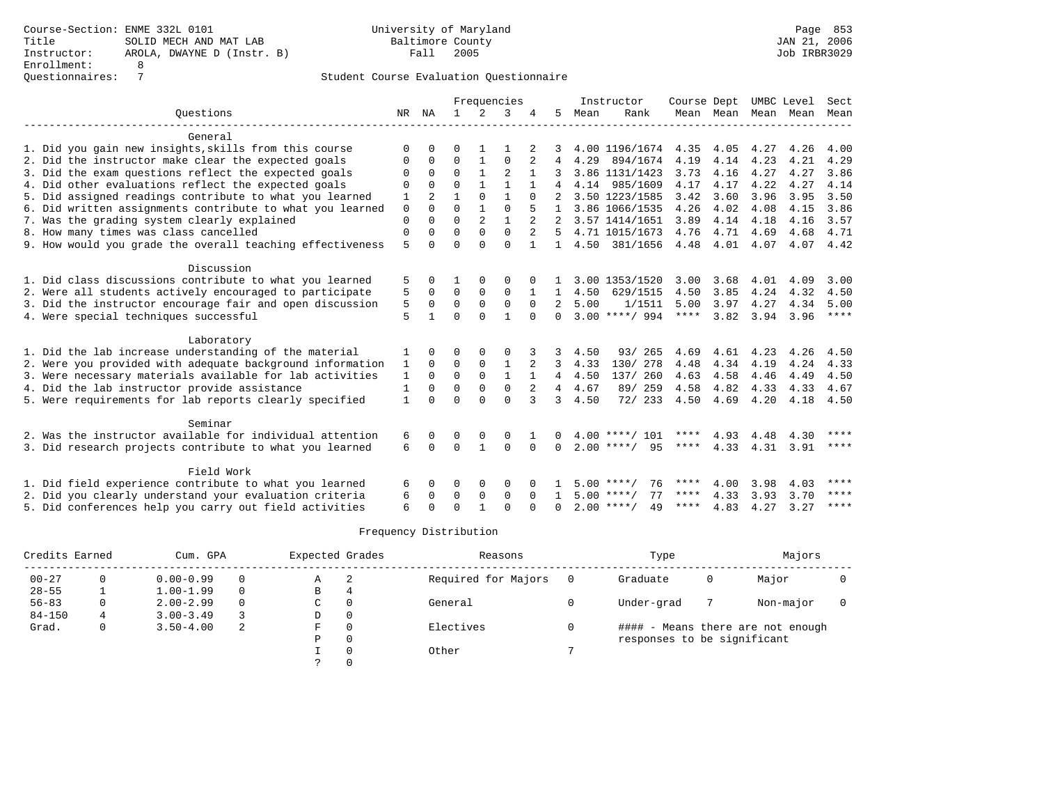|                                                           |              |              |              |                | Frequencies    |                |              |      | Instructor         | Course Dept |      |                     | UMBC Level | Sect        |
|-----------------------------------------------------------|--------------|--------------|--------------|----------------|----------------|----------------|--------------|------|--------------------|-------------|------|---------------------|------------|-------------|
| Ouestions                                                 | NR           | ΝA           | $\mathbf{1}$ | 2              | 3              |                | 5.           | Mean | Rank               |             |      | Mean Mean Mean Mean |            | Mean        |
| General                                                   |              |              |              |                |                |                |              |      |                    |             |      |                     |            |             |
| 1. Did you gain new insights, skills from this course     | $\Omega$     |              | O            |                |                |                |              |      | 4.00 1196/1674     | 4.35        | 4.05 | 4.27                | 4.26       | 4.00        |
| 2. Did the instructor make clear the expected goals       | 0            | $\Omega$     | $\Omega$     | 1              | $\Omega$       | 2              | 4            | 4.29 | 894/1674           | 4.19        | 4.14 | 4.23                | 4.21       | 4.29        |
| 3. Did the exam questions reflect the expected goals      | $\Omega$     | $\Omega$     | $\Omega$     | $\mathbf{1}$   | $\overline{2}$ | $\mathbf{1}$   |              |      | 3.86 1131/1423     | 3.73        | 4.16 | 4.27                | 4.27       | 3.86        |
| 4. Did other evaluations reflect the expected goals       | $\Omega$     | $\Omega$     | $\Omega$     |                |                |                |              |      | 4.14 985/1609      | 4.17        | 4.17 | 4.22                | 4.27       | 4.14        |
| 5. Did assigned readings contribute to what you learned   | 1            |              |              | $\Omega$       | $\mathbf{1}$   | $\Omega$       |              |      | 3.50 1223/1585     | 3.42        | 3.60 | 3.96                | 3.95       | 3.50        |
| 6. Did written assignments contribute to what you learned | $\mathbf 0$  | $\cap$       | $\Omega$     | $\mathbf{1}$   | $\Omega$       |                |              |      | 3.86 1066/1535     | 4.26        | 4.02 | 4.08                | 4.15       | 3.86        |
| 7. Was the grading system clearly explained               | $\mathbf 0$  | $\Omega$     | $\Omega$     | $\overline{a}$ | $\mathbf{1}$   |                |              |      | 3.57 1414/1651     | 3.89        | 4.14 | 4.18                | 4.16       | 3.57        |
| 8. How many times was class cancelled                     | $\mathbf 0$  | $\Omega$     | $\Omega$     | $\Omega$       | $\Omega$       |                | .5           |      | 4.71 1015/1673     | 4.76        | 4.71 | 4.69                | 4.68       | 4.71        |
| 9. How would you grade the overall teaching effectiveness | 5            | $\Omega$     | $\Omega$     | $\Omega$       | $\Omega$       |                | $\mathbf{1}$ |      | 4.50 381/1656      | 4.48        | 4.01 | 4.07                | 4.07       | 4.42        |
| Discussion                                                |              |              |              |                |                |                |              |      |                    |             |      |                     |            |             |
| 1. Did class discussions contribute to what you learned   | 5            |              |              |                | 0              |                |              |      | 3.00 1353/1520     | 3.00        | 3.68 | 4.01                | 4.09       | 3.00        |
| 2. Were all students actively encouraged to participate   | 5            | $\Omega$     | $\Omega$     | $\mathbf 0$    | $\mathbf 0$    |                | 1            | 4.50 | 629/1515           | 4.50        | 3.85 | 4.24                | 4.32       | 4.50        |
| 3. Did the instructor encourage fair and open discussion  | 5            | $\Omega$     | $\Omega$     | $\Omega$       | $\Omega$       | $\Omega$       | 2            | 5.00 | 1/1511             | 5.00        | 3.97 | 4.27                | 4.34       | 5.00        |
| 4. Were special techniques successful                     | 5            | $\mathbf{1}$ | $\Omega$     | $\cap$         | $\mathbf{1}$   | $\cap$         | $\cap$       |      | $3.00$ ****/ 994   | ****        | 3.82 | 3.94                | 3.96       | $***$ * * * |
| Laboratory                                                |              |              |              |                |                |                |              |      |                    |             |      |                     |            |             |
| 1. Did the lab increase understanding of the material     | 1            | $\Omega$     | 0            | $\Omega$       | $\Omega$       |                | 3            | 4.50 | 93/ 265            | 4.69        | 4.61 | 4.23                | 4.26       | 4.50        |
| 2. Were you provided with adequate background information | $\mathbf{1}$ | $\mathbf 0$  | 0            | $\mathbf 0$    | $\mathbf{1}$   |                | 3            | 4.33 | 130/ 278           | 4.48        | 4.34 | 4.19                | 4.24       | 4.33        |
| 3. Were necessary materials available for lab activities  | 1            | $\Omega$     | $\mathbf 0$  | $\mathbf 0$    | $\mathbf{1}$   |                | 4            | 4.50 | 137/ 260           | 4.63        | 4.58 | 4.46                | 4.49       | 4.50        |
| 4. Did the lab instructor provide assistance              | 1            | $\Omega$     | $\Omega$     | $\Omega$       | $\mathbf 0$    | $\overline{2}$ | 4            | 4.67 | 89/ 259            | 4.58        | 4.82 | 4.33                | 4.33       | 4.67        |
| 5. Were requirements for lab reports clearly specified    | $\mathbf{1}$ | $\cap$       | $\Omega$     | $\cap$         | $\Omega$       | 3              | ζ            | 4.50 | 72/ 233            | 4.50        | 4.69 | 4.20                | 4.18       | 4.50        |
| Seminar                                                   |              |              |              |                |                |                |              |      |                    |             |      |                     |            |             |
| 2. Was the instructor available for individual attention  | 6            | $\Omega$     | 0            | 0              | 0              |                |              |      | $4.00$ ****/ 101   | ****        | 4.93 | 4.48                | 4.30       | ****        |
| 3. Did research projects contribute to what you learned   | 6            | $\Omega$     | $\Omega$     | $\mathbf{1}$   | $\Omega$       | $\Omega$       | <sup>n</sup> |      | 95<br>$2.00$ ****/ | ****        | 4.33 | 4.31                | 3.91       | $***$ * * * |
|                                                           |              |              |              |                |                |                |              |      |                    |             |      |                     |            |             |
| Field Work                                                |              |              |              |                |                |                |              |      |                    |             |      |                     |            |             |
| 1. Did field experience contribute to what you learned    | 6            | $\Omega$     | O            | 0              | 0              |                |              |      | 76<br>$5.00$ ****/ | ****        | 4.00 | 3.98                | 4.03       | ****        |
| 2. Did you clearly understand your evaluation criteria    | 6            | $\Omega$     | $\Omega$     | 0              | $\Omega$       | $\Omega$       |              |      | 77<br>$5.00$ ****/ | ****        | 4.33 | 3.93                | 3.70       | ****        |
| 5. Did conferences help you carry out field activities    | 6            | $\cap$       | $\cap$       |                | $\cap$         |                | <sup>n</sup> |      | $2.00$ ****/<br>49 | ****        | 4.83 | 4.27                | 3.27       | $***$ * * * |

| Credits Earned |   | Cum. GPA      |          | Expected Grades |          | Reasons             | Type                        |   | Majors                            |  |
|----------------|---|---------------|----------|-----------------|----------|---------------------|-----------------------------|---|-----------------------------------|--|
| $00 - 27$      | 0 | $0.00 - 0.99$ | $\Omega$ | А               | -2       | Required for Majors | Graduate                    | 0 | Major                             |  |
| $28 - 55$      |   | $1.00 - 1.99$ | $\Omega$ | В               | 4        |                     |                             |   |                                   |  |
| $56 - 83$      | 0 | $2.00 - 2.99$ | $\Omega$ | C               | 0        | General             | Under-grad                  |   | Non-major                         |  |
| $84 - 150$     | 4 | $3.00 - 3.49$ | 3        | D               | 0        |                     |                             |   |                                   |  |
| Grad.          | 0 | $3.50 - 4.00$ | 2        | ਸਾ              | 0        | Electives           |                             |   | #### - Means there are not enough |  |
|                |   |               |          | Ρ               | 0        |                     | responses to be significant |   |                                   |  |
|                |   |               |          |                 | 0        | Other               |                             |   |                                   |  |
|                |   |               |          |                 | $\Omega$ |                     |                             |   |                                   |  |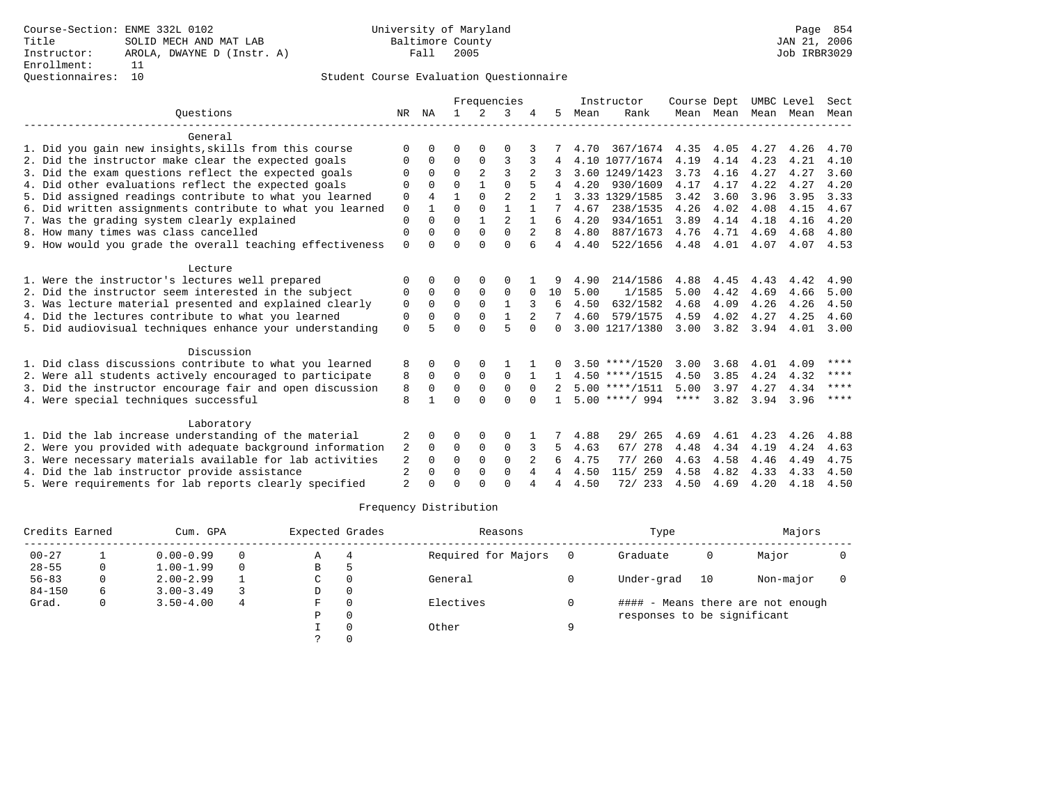### Questionnaires: 10 Student Course Evaluation Questionnaire

|                                                           |                |              |             |                | Frequencies    |          |                |      | Instructor       | Course Dept |           | UMBC Level |      | Sect        |
|-----------------------------------------------------------|----------------|--------------|-------------|----------------|----------------|----------|----------------|------|------------------|-------------|-----------|------------|------|-------------|
| Ouestions                                                 |                | NR NA        |             | 2              | 3              |          | 5.             | Mean | Rank             |             | Mean Mean | Mean Mean  |      | Mean        |
| General                                                   |                |              |             |                |                |          |                |      |                  |             |           |            |      |             |
| 1. Did you gain new insights, skills from this course     | ∩              | <sup>n</sup> | U           | O              | $\Omega$       |          |                | 4.70 | 367/1674         | 4.35        | 4.05      | 4.27       | 4.26 | 4.70        |
| 2. Did the instructor make clear the expected goals       | O              | $\Omega$     | 0           | $\Omega$       | 3              |          |                |      | 4.10 1077/1674   | 4.19        | 4.14      | 4.23       | 4.21 | 4.10        |
| 3. Did the exam questions reflect the expected goals      | ∩              | $\Omega$     | $\Omega$    | $\overline{a}$ | $\mathbf{3}$   |          |                |      | 3.60 1249/1423   | 3.73        | 4.16      | 4.27       | 4.27 | 3.60        |
| 4. Did other evaluations reflect the expected goals       |                | $\Omega$     | $\Omega$    |                | $\Omega$       |          |                | 4.20 | 930/1609         | 4.17        | 4.17      | 4.22       | 4.27 | 4.20        |
| 5. Did assigned readings contribute to what you learned   | $\Omega$       | 4            | 1           | $\Omega$       | $\overline{2}$ |          |                |      | 3.33 1329/1585   | 3.42        | 3.60      | 3.96       | 3.95 | 3.33        |
| 6. Did written assignments contribute to what you learned | $\mathbf 0$    |              | $\Omega$    | $\Omega$       |                |          |                | 4.67 | 238/1535         | 4.26        | 4.02      | 4.08       | 4.15 | 4.67        |
| 7. Was the grading system clearly explained               | $\Omega$       | 0            | $\Omega$    |                | $\overline{a}$ |          | 6              | 4.20 | 934/1651         | 3.89        | 4.14      | 4.18       | 4.16 | 4.20        |
| 8. How many times was class cancelled                     | $\Omega$       | 0            | $\Omega$    | $\Omega$       | $\Omega$       |          | 8              | 4.80 | 887/1673         | 4.76        | 4.71      | 4.69       | 4.68 | 4.80        |
| 9. How would you grade the overall teaching effectiveness | $\Omega$       |              | $\Omega$    | $\cap$         | $\Omega$       | 6        | $\overline{4}$ | 4.40 | 522/1656         | 4.48        | 4.01      | 4.07       | 4.07 | 4.53        |
| Lecture                                                   |                |              |             |                |                |          |                |      |                  |             |           |            |      |             |
| 1. Were the instructor's lectures well prepared           | $\Omega$       |              | 0           | 0              | O              |          |                | 4.90 | 214/1586         | 4.88        | 4.45      | 4.43       | 4.42 | 4.90        |
| 2. Did the instructor seem interested in the subject      | $\Omega$       | 0            | $\Omega$    | $\Omega$       | $\Omega$       | $\Omega$ | 10             | 5.00 | 1/1585           | 5.00        | 4.42      | 4.69       | 4.66 | 5.00        |
| 3. Was lecture material presented and explained clearly   | 0              | $\Omega$     | $\Omega$    | $\Omega$       | $\mathbf{1}$   |          | 6              | 4.50 | 632/1582         | 4.68        | 4.09      | 4.26       | 4.26 | 4.50        |
| 4. Did the lectures contribute to what you learned        | $\Omega$       | $\Omega$     | $\Omega$    | $\Omega$       |                |          |                | 4.60 | 579/1575         | 4.59        | 4.02      | 4.27       | 4.25 | 4.60        |
| 5. Did audiovisual techniques enhance your understanding  | $\Omega$       |              | $\Omega$    | $\cap$         | 5              | $\Omega$ | 0              |      | 3.00 1217/1380   | 3.00        | 3.82      | 3.94       | 4.01 | 3.00        |
| Discussion                                                |                |              |             |                |                |          |                |      |                  |             |           |            |      |             |
| 1. Did class discussions contribute to what you learned   | 8              | 0            | 0           | 0              |                |          |                |      | $3.50$ ****/1520 | 3.00        | 3.68      | 4.01       | 4.09 | ****        |
| 2. Were all students actively encouraged to participate   | 8              | $\Omega$     | $\mathbf 0$ | $\mathbf 0$    | $\Omega$       |          |                |      | $4.50$ ****/1515 | 4.50        | 3.85      | 4.24       | 4.32 | $***$ * * * |
| 3. Did the instructor encourage fair and open discussion  | 8              | $\Omega$     | $\Omega$    | $\mathbf 0$    | $\Omega$       | $\Omega$ |                |      | $5.00$ ****/1511 | 5.00        | 3.97      | 4.27       | 4.34 | ****        |
| 4. Were special techniques successful                     | $\mathsf{R}$   |              | $\Omega$    | $\cap$         | $\cap$         | $\Omega$ | $\mathbf{1}$   |      | $5.00$ ****/ 994 | $***$ * * * | 3.82      | 3.94       | 3.96 | ****        |
| Laboratory                                                |                |              |             |                |                |          |                |      |                  |             |           |            |      |             |
| 1. Did the lab increase understanding of the material     | 2              | 0            | 0           | 0              | $\Omega$       |          | 7              | 4.88 | 29/ 265          | 4.69        | 4.61      | 4.23       | 4.26 | 4.88        |
| 2. Were you provided with adequate background information | 2              | $\Omega$     | $\Omega$    | $\Omega$       | $\Omega$       |          | 5.             | 4.63 | 67/ 278          | 4.48        | 4.34      | 4.19       | 4.24 | 4.63        |
| 3. Were necessary materials available for lab activities  | 2              | $\Omega$     | $\Omega$    | $\Omega$       | $\Omega$       |          | 6              | 4.75 | 77/260           | 4.63        | 4.58      | 4.46       | 4.49 | 4.75        |
| 4. Did the lab instructor provide assistance              | $\overline{2}$ | 0            | 0           | 0              | $\mathbf 0$    | 4        | 4              | 4.50 | 115/ 259         | 4.58        | 4.82      | 4.33       | 4.33 | 4.50        |
| 5. Were requirements for lab reports clearly specified    | $\overline{a}$ |              | $\cap$      |                | $\cap$         |          | 4              | 4.50 | 72/ 233          | 4.50        | 4.69      | 4.20       | 4.18 | 4.50        |

| Credits Earned |   | Cum. GPA      |   | Expected Grades |          | Reasons             |   | Type                        |    | Majors                            |  |
|----------------|---|---------------|---|-----------------|----------|---------------------|---|-----------------------------|----|-----------------------------------|--|
| $00 - 27$      |   | $0.00 - 0.99$ | 0 | Α               | 4        | Required for Majors |   | Graduate                    | 0  | Major                             |  |
| $28 - 55$      |   | $1.00 - 1.99$ | 0 | B               |          |                     |   |                             |    |                                   |  |
| $56 - 83$      |   | $2.00 - 2.99$ |   | C               |          | General             |   | Under-grad                  | 10 | Non-major                         |  |
| $84 - 150$     | 6 | $3.00 - 3.49$ |   | D               | $\Omega$ |                     |   |                             |    |                                   |  |
| Grad.          | 0 | $3.50 - 4.00$ | 4 | F               |          | Electives           |   |                             |    | #### - Means there are not enough |  |
|                |   |               |   | Ρ               |          |                     |   | responses to be significant |    |                                   |  |
|                |   |               |   |                 |          | Other               | Q |                             |    |                                   |  |
|                |   |               |   |                 |          |                     |   |                             |    |                                   |  |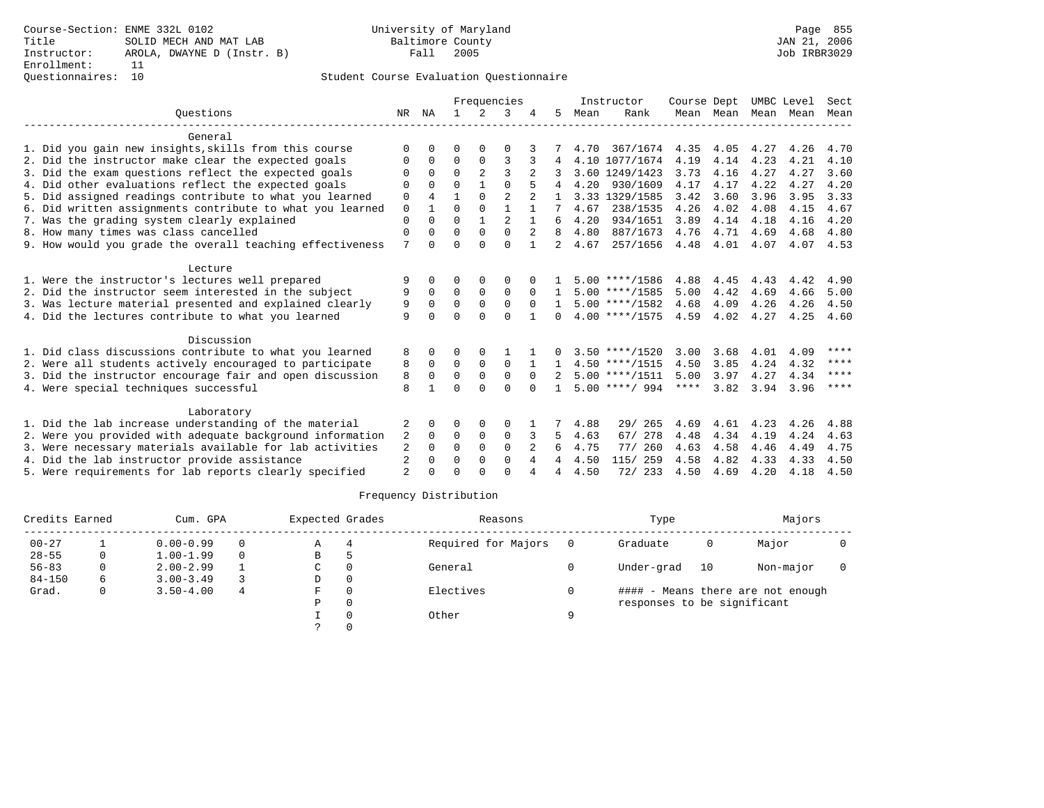### Questionnaires: 10 Student Course Evaluation Questionnaire

|                                                                                                                    |                |          |                  |                         | Frequencies    |                |                |      | Instructor                           | Course Dept  |                     | UMBC Level   |              | Sect        |
|--------------------------------------------------------------------------------------------------------------------|----------------|----------|------------------|-------------------------|----------------|----------------|----------------|------|--------------------------------------|--------------|---------------------|--------------|--------------|-------------|
| Ouestions                                                                                                          | NR             | ΝA       | $\mathbf{1}$     | $2^{1}$                 | 3              |                | 5.             | Mean | Rank                                 |              | Mean Mean Mean Mean |              |              | Mean        |
| General                                                                                                            |                |          |                  |                         |                |                |                |      |                                      |              |                     |              |              |             |
| 1. Did you gain new insights, skills from this course                                                              |                |          | U                |                         | $\Omega$       |                |                | 4.70 | 367/1674                             | 4.35         | 4.05                | 4.27         | 4.26         | 4.70        |
| 2. Did the instructor make clear the expected goals                                                                | 0              | $\Omega$ | $\Omega$         | $\Omega$                | 3              |                |                |      | 4.10 1077/1674                       | 4.19         | 4.14                | 4.23         | 4.21         | 4.10        |
| 3. Did the exam questions reflect the expected goals                                                               | O              | 0        | $\Omega$         | $\overline{2}$          | 3              |                |                |      | 3.60 1249/1423                       | 3.73         | 4.16                | 4.27         | 4.27         | 3.60        |
| 4. Did other evaluations reflect the expected goals                                                                | $\Omega$       |          | $\Omega$         |                         | $\Omega$       |                |                | 4.20 | 930/1609                             | 4.17         | 4.17                | 4.22         | 4.27         | 4.20        |
| 5. Did assigned readings contribute to what you learned                                                            | $\mathbf 0$    | 4        | 1                | $\Omega$                | $\overline{2}$ |                |                |      | 3.33 1329/1585                       | 3.42         | 3.60                | 3.96         | 3.95         | 3.33        |
| 6. Did written assignments contribute to what you learned                                                          | $\Omega$       |          | $\Omega$         | $\Omega$                |                |                |                | 4.67 | 238/1535                             | 4.26         | 4.02                | 4.08         | 4.15         | 4.67        |
| 7. Was the grading system clearly explained                                                                        | $\Omega$       |          | $\Omega$         |                         |                |                | 6              | 4.20 | 934/1651                             | 3.89         | 4.14                | 4.18         | 4.16         | 4.20        |
| 8. How many times was class cancelled                                                                              | $\Omega$       | 0        | $\Omega$         | $\Omega$                | $\Omega$       | $\overline{2}$ | 8              | 4.80 | 887/1673                             | 4.76         | 4.71                | 4.69         | 4.68         | 4.80        |
| 9. How would you grade the overall teaching effectiveness                                                          | 7              | 0        | $\Omega$         | $\cap$                  | $\cap$         |                | $\overline{a}$ | 4.67 | 257/1656                             | 4.48         | 4.01                | 4.07         |              | 4.07 4.53   |
| Lecture                                                                                                            |                |          |                  |                         |                |                |                |      |                                      |              |                     |              |              |             |
| 1. Were the instructor's lectures well prepared                                                                    | 9              | 0        | 0                | 0                       | $\Omega$       |                |                |      | $5.00$ ****/1586                     | 4.88         | 4.45                | 4.43         | 4.42         | 4.90        |
| 2. Did the instructor seem interested in the subject                                                               | 9              | $\Omega$ | $\Omega$         | $\Omega$                | $\Omega$       | $\Omega$       |                |      | $5.00$ ****/1585                     | 5.00         | 4.42                | 4.69         | 4.66         | 5.00        |
| 3. Was lecture material presented and explained clearly                                                            | 9              | $\Omega$ | $\Omega$         | $\Omega$                | $\Omega$       | $\Omega$       | $\mathbf{1}$   |      | $5.00$ ****/1582                     | 4.68         | 4.09                | 4.26         | 4.26         | 4.50        |
| 4. Did the lectures contribute to what you learned                                                                 | 9              | 0        | $\cap$           | $\cap$                  | $\cap$         |                | 0              |      | $4.00$ ****/1575                     | 4.59         | 4.02                | 4.27         | 4.25         | 4.60        |
|                                                                                                                    |                |          |                  |                         |                |                |                |      |                                      |              |                     |              |              |             |
| Discussion                                                                                                         |                |          |                  |                         |                |                |                |      |                                      |              |                     |              |              | $***$ * * * |
| 1. Did class discussions contribute to what you learned<br>2. Were all students actively encouraged to participate | 8              | 0<br>0   | 0<br>$\mathbf 0$ | $\Omega$<br>$\mathbf 0$ | $\Omega$       |                | $\Omega$       |      | $3.50$ ****/1520<br>$4.50$ ****/1515 | 3.00<br>4.50 | 3.68<br>3.85        | 4.01<br>4.24 | 4.09<br>4.32 | ****        |
| 3. Did the instructor encourage fair and open discussion                                                           | 8<br>8         | $\Omega$ | $\Omega$         | $\Omega$                | $\Omega$       | $\Omega$       | $2^{\circ}$    |      | $5.00$ ****/1511                     | 5.00         | 3.97                | 4.27         | 4.34         | ****        |
| 4. Were special techniques successful                                                                              | 8              |          | $\cap$           | $\cap$                  | $\cap$         | $\cap$         |                |      | $5.00$ ****/ 994                     | $***$ * * *  | 3.82                | 3.94         | 3.96         | ****        |
|                                                                                                                    |                |          |                  |                         |                |                |                |      |                                      |              |                     |              |              |             |
| Laboratory                                                                                                         |                |          |                  |                         |                |                |                |      |                                      |              |                     |              |              |             |
| 1. Did the lab increase understanding of the material                                                              | 2              | 0        | 0                | 0                       | $\Omega$       |                | 7              | 4.88 | 29/265                               | 4.69         | 4.61                | 4.23         | 4.26         | 4.88        |
| 2. Were you provided with adequate background information                                                          | 2              | 0        | 0                | 0                       | $\mathbf 0$    |                | 5.             | 4.63 | 67/ 278                              | 4.48         | 4.34                | 4.19         | 4.24         | 4.63        |
| 3. Were necessary materials available for lab activities                                                           | 2              | $\Omega$ | $\Omega$         | $\Omega$                | $\Omega$       | 2              | 6              | 4.75 | 77/ 260                              | 4.63         | 4.58                | 4.46         | 4.49         | 4.75        |
| 4. Did the lab instructor provide assistance                                                                       | $\overline{2}$ | 0        | $\Omega$         | $\Omega$                | $\Omega$       | 4              | 4              | 4.50 | 115/ 259                             | 4.58         | 4.82                | 4.33         | 4.33         | 4.50        |
| 5. Were requirements for lab reports clearly specified                                                             | $\overline{2}$ |          |                  |                         | $\cap$         |                |                | 4.50 | 72/ 233                              | 4.50         | 4.69                | 4.20         | 4.18         | 4.50        |

| Credits Earned |   | Cum. GPA      |   | Expected Grades |          | Reasons             |     | Type                        |    | Majors                            |  |
|----------------|---|---------------|---|-----------------|----------|---------------------|-----|-----------------------------|----|-----------------------------------|--|
| $00 - 27$      |   | $0.00 - 0.99$ | 0 | Α               | 4        | Required for Majors | - 0 | Graduate                    | 0  | Major                             |  |
| $28 - 55$      | 0 | $1.00 - 1.99$ | 0 | В               |          |                     |     |                             |    |                                   |  |
| $56 - 83$      | 0 | $2.00 - 2.99$ |   | C               | $\Omega$ | General             |     | Under-grad                  | 10 | Non-major                         |  |
| $84 - 150$     | 6 | $3.00 - 3.49$ |   | D               | 0        |                     |     |                             |    |                                   |  |
| Grad.          | 0 | $3.50 - 4.00$ | 4 | F.              | $\Omega$ | Electives           |     |                             |    | #### - Means there are not enough |  |
|                |   |               |   | Ρ               | 0        |                     |     | responses to be significant |    |                                   |  |
|                |   |               |   |                 |          | Other               | a   |                             |    |                                   |  |
|                |   |               |   |                 |          |                     |     |                             |    |                                   |  |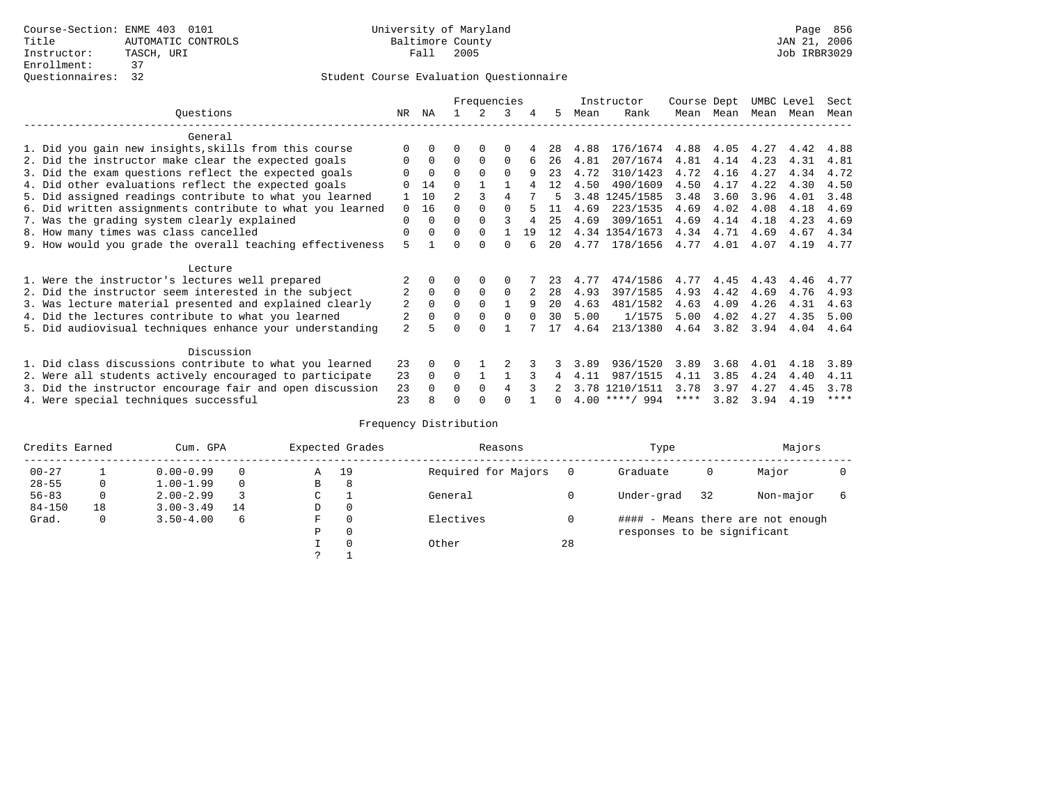|                                                           |                |          |                | Frequencies |          |          |                   |      | Instructor       | Course Dept |      | UMBC Level |      | Sect        |
|-----------------------------------------------------------|----------------|----------|----------------|-------------|----------|----------|-------------------|------|------------------|-------------|------|------------|------|-------------|
| Ouestions                                                 | NR.            | ΝA       |                |             | 3        | 4        | 5.                | Mean | Rank             | Mean        | Mean | Mean       | Mean | Mean        |
| General                                                   |                |          |                |             |          |          |                   |      |                  |             |      |            |      |             |
| 1. Did you gain new insights, skills from this course     |                | $\Omega$ | O              | $\Omega$    | $\Omega$ |          | 28                | 4.88 | 176/1674         | 4.88        | 4.05 | 4.27       | 4.42 | 4.88        |
| 2. Did the instructor make clear the expected goals       | 0              | $\Omega$ | $\Omega$       | $\Omega$    | $\Omega$ |          | 26                | 4.81 | 207/1674         | 4.81        | 4.14 | 4.23       | 4.31 | 4.81        |
| 3. Did the exam questions reflect the expected goals      |                | $\Omega$ | $\Omega$       | $\Omega$    | $\Omega$ | 9        | 23                | 4.72 | 310/1423         | 4.72        | 4.16 | 4.27       | 4.34 | 4.72        |
| 4. Did other evaluations reflect the expected goals       |                | 14       | $\Omega$       |             |          |          | 12                | 4.50 | 490/1609         | 4.50        | 4.17 | 4.22       | 4.30 | 4.50        |
| 5. Did assigned readings contribute to what you learned   |                | 10       | $\mathfrak{D}$ |             | 4        |          |                   | 3.48 | 1245/1585        | 3.48        | 3.60 | 3.96       | 4.01 | 3.48        |
| 6. Did written assignments contribute to what you learned | $\Omega$       | 16       | 0              |             |          |          | 11                | 4.69 | 223/1535         | 4.69        | 4.02 | 4.08       | 4.18 | 4.69        |
| 7. Was the grading system clearly explained               | $\Omega$       | $\Omega$ | O              | $\Omega$    |          | 4        | 25                | 4.69 | 309/1651         | 4.69        | 4.14 | 4.18       | 4.23 | 4.69        |
| 8. How many times was class cancelled                     | 0              | $\Omega$ | $\Omega$       | $\Omega$    |          | 19       | 12                |      | 4.34 1354/1673   | 4.34        | 4.71 | 4.69       | 4.67 | 4.34        |
|                                                           | 5              |          | U              | $\cap$      | ∩        |          | $20 \overline{0}$ | 4.77 | 178/1656         | 4.77        | 4.01 | 4.07       | 4.19 | 4.77        |
| 9. How would you grade the overall teaching effectiveness |                |          |                |             |          |          |                   |      |                  |             |      |            |      |             |
| Lecture                                                   |                |          |                |             |          |          |                   |      |                  |             |      |            |      |             |
| 1. Were the instructor's lectures well prepared           |                |          |                |             |          |          | 23                | 4.77 | 474/1586         | 4.77        | 4.45 | 4.43       | 4.46 | 4.77        |
| 2. Did the instructor seem interested in the subject      | $\overline{2}$ | $\Omega$ | $\Omega$       | $\Omega$    | $\Omega$ |          | 28                | 4.93 | 397/1585         | 4.93        | 4.42 | 4.69       | 4.76 | 4.93        |
| 3. Was lecture material presented and explained clearly   | 2              | $\Omega$ | $\Omega$       |             |          | q        | 20                | 4.63 | 481/1582         | 4.63        | 4.09 | 4.26       | 4.31 | 4.63        |
| 4. Did the lectures contribute to what you learned        |                | $\Omega$ | $\Omega$       | $\Omega$    | $\Omega$ | $\Omega$ | 30                | 5.00 | 1/1575           | 5.00        | 4.02 | 4.27       | 4.35 | 5.00        |
| 5. Did audiovisual techniques enhance your understanding  | $\overline{a}$ |          |                | ∩           |          |          | 17                | 4.64 | 213/1380         | 4.64        | 3.82 | 3.94       | 4.04 | 4.64        |
|                                                           |                |          |                |             |          |          |                   |      |                  |             |      |            |      |             |
| Discussion                                                |                |          |                |             |          |          |                   |      |                  |             |      |            |      |             |
| 1. Did class discussions contribute to what you learned   | 23             | $\Omega$ | 0              |             |          |          |                   | 3.89 | 936/1520         | 3.89        | 3.68 | 4.01       | 4.18 | 3.89        |
| 2. Were all students actively encouraged to participate   | 23             | $\Omega$ | $\Omega$       |             |          |          |                   | 4.11 | 987/1515         | 4.11        | 3.85 | 4.24       | 4.40 | 4.11        |
| 3. Did the instructor encourage fair and open discussion  | 23             | $\Omega$ | 0              | $\Omega$    |          |          |                   |      | 3.78 1210/1511   | 3.78        | 3.97 | 4.27       | 4.45 | 3.78        |
| 4. Were special techniques successful                     | 23             |          |                |             |          |          |                   |      | $4.00$ ****/ 994 | ****        | 3.82 | 3.94       | 4.19 | $***$ * * * |

| Credits Earned |          | Cum. GPA      |          |   | Expected Grades | Reasons             |    | Type                        |    | Majors                            |  |
|----------------|----------|---------------|----------|---|-----------------|---------------------|----|-----------------------------|----|-----------------------------------|--|
| $00 - 27$      |          | $0.00 - 0.99$ |          | Α | 19              | Required for Majors |    | Graduate                    | 0  | Major                             |  |
| $28 - 55$      | 0        | $1.00 - 1.99$ | $\Omega$ | В | 8               |                     |    |                             |    |                                   |  |
| $56 - 83$      | $\Omega$ | $2.00 - 2.99$ |          | C |                 | General             |    | Under-grad                  | 32 | Non-major                         |  |
| $84 - 150$     | 18       | $3.00 - 3.49$ | 14       | D | 0               |                     |    |                             |    |                                   |  |
| Grad.          | 0        | $3.50 - 4.00$ | 6        | F | $\Omega$        | Electives           |    |                             |    | #### - Means there are not enough |  |
|                |          |               |          | Ρ | 0               |                     |    | responses to be significant |    |                                   |  |
|                |          |               |          |   | $\Omega$        | Other               | 28 |                             |    |                                   |  |
|                |          |               |          |   |                 |                     |    |                             |    |                                   |  |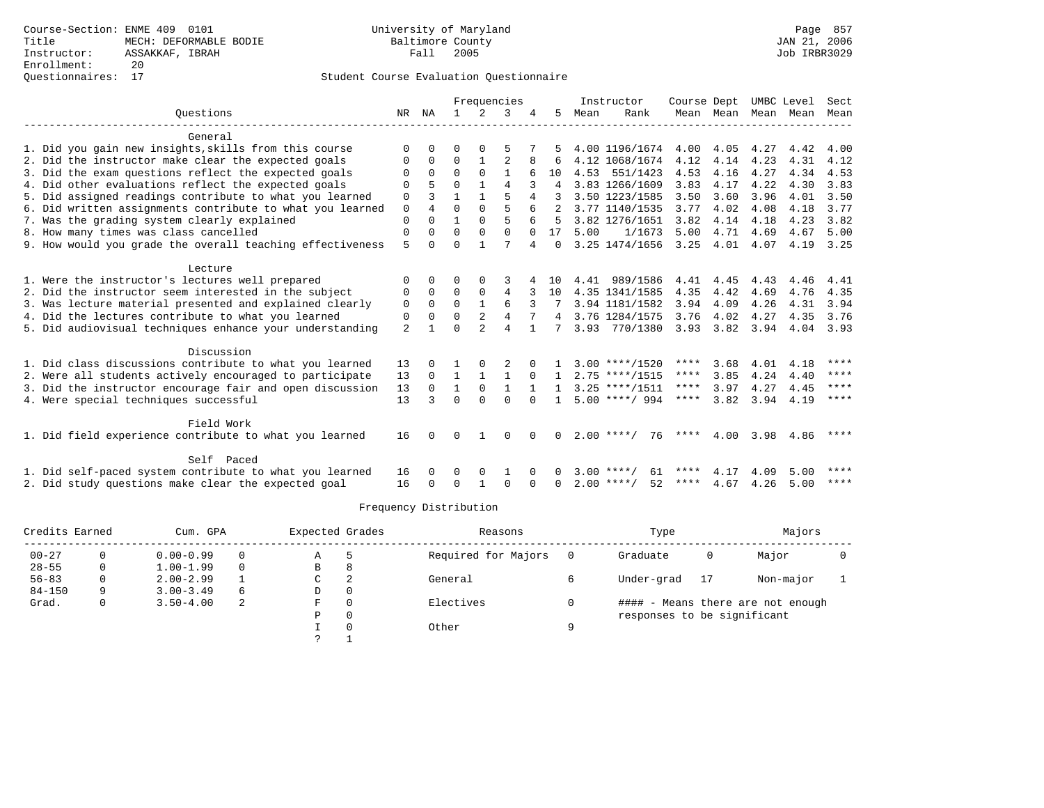### Questionnaires: 17 Student Course Evaluation Questionnaire

|                                                           |                |              |              |              | Frequencies  |              |                |      | Instructor         | Course Dept   |           | UMBC Level          |      | Sect        |
|-----------------------------------------------------------|----------------|--------------|--------------|--------------|--------------|--------------|----------------|------|--------------------|---------------|-----------|---------------------|------|-------------|
| Ouestions                                                 |                | NR NA        | $\mathbf{1}$ | 2            | 3            |              | 5              | Mean | Rank               |               |           | Mean Mean Mean Mean |      | Mean        |
| General                                                   |                |              |              |              |              |              |                |      |                    |               |           |                     |      |             |
| 1. Did you gain new insights, skills from this course     | $\Omega$       | $\Omega$     | $\Omega$     | $\Omega$     | 5            |              | 5.             |      | 4.00 1196/1674     |               | 4.00 4.05 | 4.27                | 4.42 | 4.00        |
| 2. Did the instructor make clear the expected goals       | $\Omega$       | 0            | 0            | $\mathbf{1}$ | 2            |              | 6              |      | 4.12 1068/1674     | 4.12          | 4.14      | 4.23                | 4.31 | 4.12        |
| 3. Did the exam questions reflect the expected goals      | <sup>0</sup>   | $\Omega$     | $\Omega$     | $\Omega$     | $\mathbf{1}$ | 6            | 10             |      | 4.53 551/1423      | 4.53          | 4.16      | 4.27                | 4.34 | 4.53        |
| 4. Did other evaluations reflect the expected goals       | 0              | 5            | $\Omega$     | $\mathbf{1}$ | 4            |              | 4              |      | 3.83 1266/1609     | 3.83          | 4.17      | 4.22                | 4.30 | 3.83        |
| 5. Did assigned readings contribute to what you learned   | 0              | 3            | $\mathbf{1}$ | $\mathbf{1}$ | 5            | 4            | 3              |      | 3.50 1223/1585     | 3.50          | 3.60      | 3.96                | 4.01 | 3.50        |
| 6. Did written assignments contribute to what you learned | 0              | 4            | $\Omega$     | $\Omega$     | 5            |              |                |      | 3.77 1140/1535     | 3.77          | 4.02      | 4.08                | 4.18 | 3.77        |
| 7. Was the grading system clearly explained               | 0              | $\Omega$     | $\mathbf{1}$ | $\Omega$     | 5            | 6            | 5              |      | 3.82 1276/1651     | 3.82          | 4.14      | 4.18                | 4.23 | 3.82        |
| 8. How many times was class cancelled                     | 0              | $\Omega$     | $\Omega$     | $\Omega$     | $\Omega$     | $\Omega$     | 17             | 5.00 | 1/1673             | 5.00          | 4.71      | 4.69                | 4.67 | 5.00        |
| 9. How would you grade the overall teaching effectiveness | 5              | $\cap$       | U            |              |              | 4            | $\Omega$       |      | 3.25 1474/1656     | 3.25          | 4.01      | 4.07                |      | 4.19 3.25   |
| Lecture                                                   |                |              |              |              |              |              |                |      |                    |               |           |                     |      |             |
| 1. Were the instructor's lectures well prepared           | $\Omega$       | $\Omega$     | $\Omega$     | $\Omega$     | 3            |              | 10             |      | 4.41 989/1586      | 4.41          | 4.45      | 4.43                | 4.46 | 4.41        |
| 2. Did the instructor seem interested in the subject      | $\Omega$       | $\Omega$     | $\Omega$     | $\Omega$     | 4            |              | 10             |      | 4.35 1341/1585     | 4.35          | 4.42      | 4.69                | 4.76 | 4.35        |
| 3. Was lecture material presented and explained clearly   | 0              | $\Omega$     | $\Omega$     | $\mathbf{1}$ | 6            |              |                |      | 3.94 1181/1582     | 3.94          | 4.09      | 4.26                | 4.31 | 3.94        |
| 4. Did the lectures contribute to what you learned        | 0              | $\mathbf 0$  | $\Omega$     |              | 4            |              | $\overline{4}$ |      | 3.76 1284/1575     | 3.76          | 4.02      | 4.27                | 4.35 | 3.76        |
| 5. Did audiovisual techniques enhance your understanding  | $\overline{a}$ | $\mathbf{1}$ | O            |              | 4            |              |                |      | 3.93 770/1380      | $3.93$ $3.82$ |           | 3.94                |      | 4.04 3.93   |
| Discussion                                                |                |              |              |              |              |              |                |      |                    |               |           |                     |      |             |
| 1. Did class discussions contribute to what you learned   | 13             | $\Omega$     |              |              | 2            | $\Omega$     |                |      | $3.00$ ****/1520   | ****          | 3.68      | 4.01                | 4.18 | ****        |
| 2. Were all students actively encouraged to participate   | 13             | $\Omega$     | $\mathbf{1}$ | 1            | $\mathbf{1}$ | $\Omega$     | 1              |      | $2.75$ ****/1515   | ****          | 3.85      | 4.24                | 4.40 | $* * * * *$ |
| 3. Did the instructor encourage fair and open discussion  | 13             | $\Omega$     | 1            | $\Omega$     | $\mathbf{1}$ | $\mathbf{1}$ | $\mathbf{1}$   |      | $3.25$ ****/1511   | ****          | 3.97      | 4.27                | 4.45 | ****        |
| 4. Were special techniques successful                     | 13             | 3            | $\Omega$     | $\Omega$     | $\Omega$     |              | $\mathbf{1}$   |      | $5.00$ ****/ 994   |               | **** 3.82 | 3.94                | 4.19 | $***$ *     |
| Field Work                                                |                |              |              |              |              |              |                |      |                    |               |           |                     |      |             |
| 1. Did field experience contribute to what you learned    | 16             | $\Omega$     | $\Omega$     | 1            | $\Omega$     | $\Omega$     | $\Omega$       |      | $2.00$ ****/<br>76 | ****          | 4.00      | 3.98                | 4.86 | ****        |
| Self Paced                                                |                |              |              |              |              |              |                |      |                    |               |           |                     |      |             |
| 1. Did self-paced system contribute to what you learned   | 16             | $\Omega$     | 0            | $\Omega$     |              | 0            |                |      | 61<br>3.00 $***/$  | ****          | 4.17      | 4.09                | 5.00 | $***$ * * * |
| 2. Did study questions make clear the expected goal       | 16             | $\Omega$     | U            | $\mathbf{1}$ | $\Omega$     | $\Omega$     | $\Omega$       |      | $2.00$ ****/<br>52 | ****          | 4.67      | 4.26                | 5.00 | $***$ * *   |

| Credits Earned |   | Cum. GPA      |          | Expected Grades |          | Reasons             |   | Type                        |    | Majors                            |  |
|----------------|---|---------------|----------|-----------------|----------|---------------------|---|-----------------------------|----|-----------------------------------|--|
| $00 - 27$      |   | $0.00 - 0.99$ |          | Α               | -5       | Required for Majors |   | Graduate                    | 0  | Major                             |  |
| $28 - 55$      |   | $1.00 - 1.99$ | $\Omega$ | В               | 8        |                     |   |                             |    |                                   |  |
| $56 - 83$      |   | $2.00 - 2.99$ |          | C               | 2        | General             |   | Under-grad                  | 17 | Non-major                         |  |
| $84 - 150$     | Q | $3.00 - 3.49$ | 6        | D               | 0        |                     |   |                             |    |                                   |  |
| Grad.          |   | $3.50 - 4.00$ | 2        | F               | $\Omega$ | Electives           |   |                             |    | #### - Means there are not enough |  |
|                |   |               |          | Ρ               | 0        |                     |   | responses to be significant |    |                                   |  |
|                |   |               |          |                 | 0        | Other               | a |                             |    |                                   |  |
|                |   |               |          |                 |          |                     |   |                             |    |                                   |  |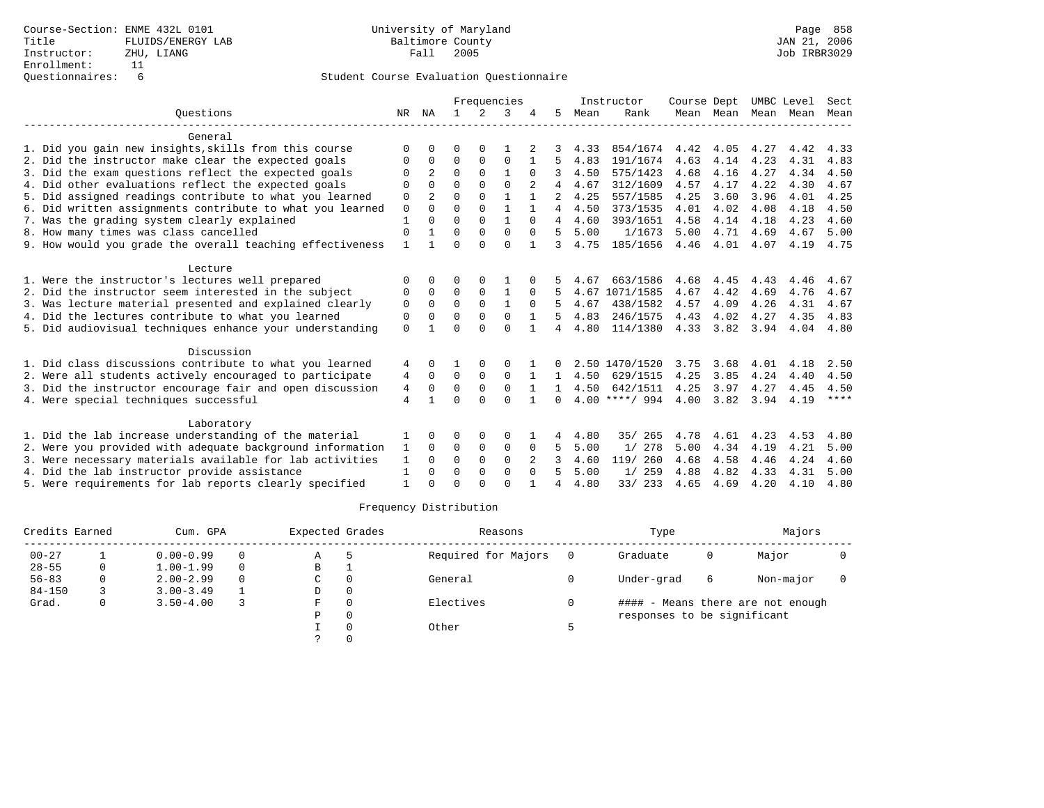|                                                           |                |                |              |               | Frequencies  |              |    |      | Instructor       | Course Dept |           | UMBC Level |      | Sect        |
|-----------------------------------------------------------|----------------|----------------|--------------|---------------|--------------|--------------|----|------|------------------|-------------|-----------|------------|------|-------------|
| Ouestions                                                 | NR             | ΝA             | $\mathbf{1}$ | $\mathcal{L}$ | 3            |              | 5. | Mean | Rank             |             | Mean Mean | Mean       | Mean | Mean        |
| General                                                   |                |                |              |               |              |              |    |      |                  |             |           |            |      |             |
| 1. Did you gain new insights, skills from this course     | $\Omega$       | O              | O            | 0             |              |              |    | 4.33 | 854/1674         | 4.42        | 4.05      | 4.27       | 4.42 | 4.33        |
| 2. Did the instructor make clear the expected goals       | O              | 0              | $\Omega$     | $\Omega$      | $\Omega$     | $\mathbf{1}$ | 5. | 4.83 | 191/1674         | 4.63        | 4.14      | 4.23       | 4.31 | 4.83        |
| 3. Did the exam questions reflect the expected goals      | $\Omega$       |                | $\Omega$     | $\Omega$      | 1            | $\Omega$     |    | 4.50 | 575/1423         | 4.68        | 4.16      | 4.27       | 4.34 | 4.50        |
| 4. Did other evaluations reflect the expected goals       | $\Omega$       | 0              | $\Omega$     | $\Omega$      | $\Omega$     |              | 4  | 4.67 | 312/1609         | 4.57        | 4.17      | 4.22       | 4.30 | 4.67        |
| 5. Did assigned readings contribute to what you learned   | 0              | $\overline{2}$ | $\Omega$     | $\Omega$      | $\mathbf{1}$ |              | 2  | 4.25 | 557/1585         | 4.25        | 3.60      | 3.96       | 4.01 | 4.25        |
| 6. Did written assignments contribute to what you learned | $\mathbf 0$    | $\Omega$       | $\Omega$     | $\Omega$      | $\mathbf{1}$ | $\mathbf{1}$ | 4  | 4.50 | 373/1535         | 4.01        | 4.02      | 4.08       | 4.18 | 4.50        |
| 7. Was the grading system clearly explained               | $\mathbf{1}$   |                | $\Omega$     | $\Omega$      | $\mathbf{1}$ | $\Omega$     | 4  | 4.60 | 393/1651         | 4.58        | 4.14      | 4.18       | 4.23 | 4.60        |
| 8. How many times was class cancelled                     | $\Omega$       |                | $\Omega$     | $\Omega$      | $\Omega$     | $\Omega$     | 5. | 5.00 | 1/1673           | 5.00        | 4.71      | 4.69       | 4.67 | 5.00        |
| 9. How would you grade the overall teaching effectiveness | $\mathbf{1}$   |                | $\Omega$     | $\Omega$      | $\Omega$     |              | 3  | 4.75 | 185/1656         | 4.46        | 4.01      | 4.07       | 4.19 | 4.75        |
| Lecture                                                   |                |                |              |               |              |              |    |      |                  |             |           |            |      |             |
| 1. Were the instructor's lectures well prepared           | $\Omega$       |                | O            | $\Omega$      |              |              |    | 4.67 | 663/1586         | 4.68        | 4.45      | 4.43       | 4.46 | 4.67        |
| 2. Did the instructor seem interested in the subject      | 0              | $\Omega$       | $\Omega$     | 0             | 1            | O            |    |      | 4.67 1071/1585   | 4.67        | 4.42      | 4.69       | 4.76 | 4.67        |
| 3. Was lecture material presented and explained clearly   | 0              | $\Omega$       | $\Omega$     | $\Omega$      | $\mathbf{1}$ | $\Omega$     |    | 4.67 | 438/1582         | 4.57        | 4.09      | 4.26       | 4.31 | 4.67        |
| 4. Did the lectures contribute to what you learned        | $\Omega$       |                | $\Omega$     | $\Omega$      | $\Omega$     |              |    | 4.83 | 246/1575         | 4.43        | 4.02      | 4.27       | 4.35 | 4.83        |
| 5. Did audiovisual techniques enhance your understanding  | $\Omega$       |                | $\Omega$     | $\cap$        | $\Omega$     |              | 4  | 4.80 | 114/1380         | 4.33        | 3.82      | 3.94       | 4.04 | 4.80        |
| Discussion                                                |                |                |              |               |              |              |    |      |                  |             |           |            |      |             |
| 1. Did class discussions contribute to what you learned   | 4              | 0              |              |               | O            |              | 0  |      | 2.50 1470/1520   | 3.75        | 3.68      | 4.01       | 4.18 | 2.50        |
| 2. Were all students actively encouraged to participate   | 4              | $\Omega$       | 0            | $\Omega$      | $\Omega$     |              | 1. | 4.50 | 629/1515         | 4.25        | 3.85      | 4.24       | 4.40 | 4.50        |
| 3. Did the instructor encourage fair and open discussion  | 4              | $\Omega$       | 0            | $\mathbf 0$   | $\mathbf 0$  |              |    | 4.50 | 642/1511         | 4.25        | 3.97      | 4.27       | 4.45 | 4.50        |
| 4. Were special techniques successful                     | $\overline{4}$ |                | $\Omega$     | $\cap$        | $\cap$       | $\mathbf{1}$ | 0  |      | $4.00$ ****/ 994 | 4.00        | 3.82      | 3.94       | 4.19 | $***$ * * * |
| Laboratory                                                |                |                |              |               |              |              |    |      |                  |             |           |            |      |             |
| 1. Did the lab increase understanding of the material     |                | 0              | O            | 0             | $\Omega$     |              | 4  | 4.80 | 265<br>35/       | 4.78        | 4.61      | 4.23       | 4.53 | 4.80        |
| 2. Were you provided with adequate background information | 1              | $\Omega$       | 0            | $\mathbf 0$   | $\mathbf 0$  | $\Omega$     | 5  | 5.00 | 1/278            | 5.00        | 4.34      | 4.19       | 4.21 | 5.00        |
| 3. Were necessary materials available for lab activities  | 1              | <sup>0</sup>   | $\Omega$     | $\Omega$      | $\Omega$     | 2            |    | 4.60 | 119/ 260         | 4.68        | 4.58      | 4.46       | 4.24 | 4.60        |
| 4. Did the lab instructor provide assistance              | 1              | 0              | $\Omega$     | 0             | $\mathbf 0$  | $\Omega$     | 5  | 5.00 | 259<br>1/        | 4.88        | 4.82      | 4.33       | 4.31 | 5.00        |
| 5. Were requirements for lab reports clearly specified    |                |                | $\cap$       |               | $\cap$       |              | 4  | 4.80 | 33/ 233          | 4.65        | 4.69      | 4.20       | 4.10 | 4.80        |

| Credits Earned |   | Cum. GPA      |          | Expected Grades |          | Reasons             |   | Type                        |   | Majors                            |  |
|----------------|---|---------------|----------|-----------------|----------|---------------------|---|-----------------------------|---|-----------------------------------|--|
| $00 - 27$      |   | $0.00 - 0.99$ | $\Omega$ | A               |          | Required for Majors |   | Graduate                    | 0 | Major                             |  |
| $28 - 55$      | 0 | $1.00 - 1.99$ | $\Omega$ | B               |          |                     |   |                             |   |                                   |  |
| $56 - 83$      |   | $2.00 - 2.99$ | $\Omega$ | C               |          | General             |   | Under-grad                  | 6 | Non-major                         |  |
| $84 - 150$     |   | $3.00 - 3.49$ |          | D               | $\Omega$ |                     |   |                             |   |                                   |  |
| Grad.          |   | $3.50 - 4.00$ |          | F               |          | Electives           |   |                             |   | #### - Means there are not enough |  |
|                |   |               |          | Ρ               |          |                     |   | responses to be significant |   |                                   |  |
|                |   |               |          |                 |          | Other               | ᄃ |                             |   |                                   |  |
|                |   |               |          |                 |          |                     |   |                             |   |                                   |  |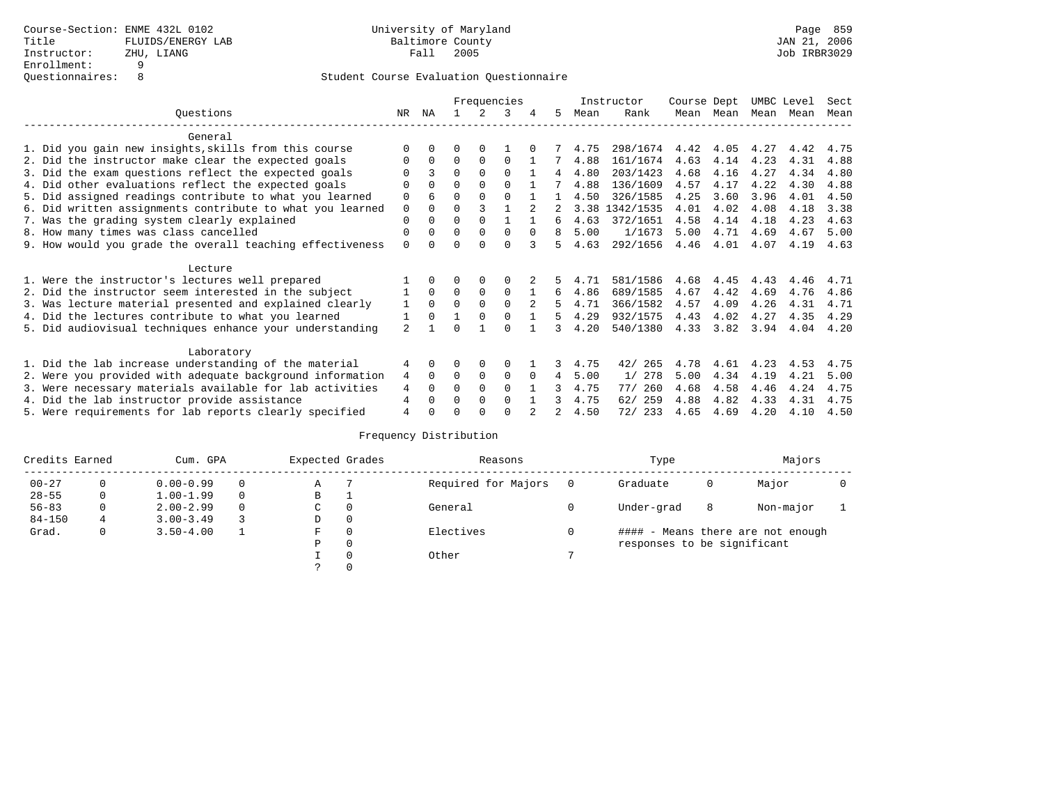|                                                           |                |          |          |             | Frequencies |               |               |      | Instructor | Course Dept |      | UMBC Level |      | Sect |
|-----------------------------------------------------------|----------------|----------|----------|-------------|-------------|---------------|---------------|------|------------|-------------|------|------------|------|------|
| Ouestions                                                 | NR.            | ΝA       |          |             | 3           |               | 5.            | Mean | Rank       | Mean        | Mean | Mean       | Mean | Mean |
| General                                                   |                |          |          |             |             |               |               |      |            |             |      |            |      |      |
| 1. Did you gain new insights, skills from this course     | $\Omega$       |          |          |             |             |               |               | 4.75 | 298/1674   | 4.42        | 4.05 | 4.27       | 4.42 | 4.75 |
| 2. Did the instructor make clear the expected goals       | $\Omega$       | $\Omega$ | $\Omega$ | $\Omega$    | $\Omega$    |               |               | 4.88 | 161/1674   | 4.63        | 4.14 | 4.23       | 4.31 | 4.88 |
| 3. Did the exam questions reflect the expected goals      | U              | ζ        | $\Omega$ | $\Omega$    | $\Omega$    |               | 4             | 4.80 | 203/1423   | 4.68        | 4.16 | 4.27       | 4.34 | 4.80 |
| 4. Did other evaluations reflect the expected goals       |                | $\Omega$ | $\Omega$ | $\Omega$    | $\Omega$    |               |               | 4.88 | 136/1609   | 4.57        | 4.17 | 4.22       | 4.30 | 4.88 |
| 5. Did assigned readings contribute to what you learned   | $\mathbf 0$    | 6        | $\Omega$ | $\Omega$    | $\Omega$    |               |               | 4.50 | 326/1585   | 4.25        | 3.60 | 3.96       | 4.01 | 4.50 |
| 6. Did written assignments contribute to what you learned | 0              |          |          |             |             |               |               | 3.38 | 1342/1535  | 4.01        | 4.02 | 4.08       | 4.18 | 3.38 |
| 7. Was the grading system clearly explained               | $\mathbf 0$    | $\Omega$ | 0        | $\Omega$    |             |               | б.            | 4.63 | 372/1651   | 4.58        | 4.14 | 4.18       | 4.23 | 4.63 |
| 8. How many times was class cancelled                     | $\Omega$       | $\Omega$ | 0        | $\Omega$    | $\Omega$    | $\Omega$      |               | 5.00 | 1/1673     | 5.00        | 4.71 | 4.69       | 4.67 | 5.00 |
| 9. How would you grade the overall teaching effectiveness | $\Omega$       | U        | O        | $\cap$      | $\Omega$    |               |               | 4.63 | 292/1656   | 4.46        | 4.01 | 4.07       | 4.19 | 4.63 |
| Lecture                                                   |                |          |          |             |             |               |               |      |            |             |      |            |      |      |
| 1. Were the instructor's lectures well prepared           |                | $\Omega$ | 0        | $\Omega$    | O           |               |               | 4.71 | 581/1586   | 4.68        | 4.45 | 4.43       | 4.46 | 4.71 |
| 2. Did the instructor seem interested in the subject      |                | $\Omega$ | $\Omega$ | $\mathbf 0$ | $\Omega$    |               | 6             | 4.86 | 689/1585   | 4.67        | 4.42 | 4.69       | 4.76 | 4.86 |
| 3. Was lecture material presented and explained clearly   | 1              | $\Omega$ | $\Omega$ | $\Omega$    | $\Omega$    | $\mathcal{L}$ | 5.            | 4.71 | 366/1582   | 4.57        | 4.09 | 4.26       | 4.31 | 4.71 |
| 4. Did the lectures contribute to what you learned        |                | $\Omega$ |          | $\Omega$    | $\Omega$    |               | 5.            | 4.29 | 932/1575   | 4.43        | 4.02 | 4.27       | 4.35 | 4.29 |
| 5. Did audiovisual techniques enhance your understanding  | $\mathfrak{D}$ |          | ∩        |             | U           |               | 3             | 4.20 | 540/1380   | 4.33        | 3.82 | 3.94       | 4.04 | 4.20 |
| Laboratory                                                |                |          |          |             |             |               |               |      |            |             |      |            |      |      |
| 1. Did the lab increase understanding of the material     | 4              | $\Omega$ |          | $\Omega$    | $\Omega$    |               | 3             | 4.75 | 42/265     | 4.78        | 4.61 | 4.23       | 4.53 | 4.75 |
| 2. Were you provided with adequate background information | 4              | $\Omega$ | $\Omega$ | $\Omega$    | $\Omega$    | $\Omega$      | 4             | 5.00 | 1/278      | 5.00        | 4.34 | 4.19       | 4.21 | 5.00 |
| 3. Were necessary materials available for lab activities  | 4              | $\Omega$ | 0        | $\Omega$    | $\Omega$    |               | 3             | 4.75 | 260<br>77/ | 4.68        | 4.58 | 4.46       | 4.24 | 4.75 |
| 4. Did the lab instructor provide assistance              | 4              | U        | 0        | $\Omega$    | $\Omega$    |               |               | 4.75 | 259<br>62/ | 4.88        | 4.82 | 4.33       | 4.31 | 4.75 |
| 5. Were requirements for lab reports clearly specified    | 4              |          |          |             | U           |               | $\mathcal{L}$ | 4.50 | 72/<br>233 | 4.65        | 4.69 | 4.20       | 4.10 | 4.50 |

| Credits Earned |          | Cum. GPA      |          | Expected Grades |          | Reasons             | Type                        |   | Majors                            |  |
|----------------|----------|---------------|----------|-----------------|----------|---------------------|-----------------------------|---|-----------------------------------|--|
| $00 - 27$      |          | $0.00 - 0.99$ | $\Omega$ | Α               |          | Required for Majors | Graduate                    | 0 | Major                             |  |
| $28 - 55$      | 0        | $1.00 - 1.99$ | $\Omega$ | В               | л.       |                     |                             |   |                                   |  |
| $56 - 83$      | $\Omega$ | $2.00 - 2.99$ | $\Omega$ | C               | 0        | General             | Under-grad                  | 8 | Non-major                         |  |
| $84 - 150$     | 4        | $3.00 - 3.49$ |          | D               | $\circ$  |                     |                             |   |                                   |  |
| Grad.          | 0        | $3.50 - 4.00$ |          | F               | $\Omega$ | Electives           |                             |   | #### - Means there are not enough |  |
|                |          |               |          | D               | 0        |                     | responses to be significant |   |                                   |  |
|                |          |               |          |                 | $\Omega$ | Other               |                             |   |                                   |  |
|                |          |               |          |                 | $\Omega$ |                     |                             |   |                                   |  |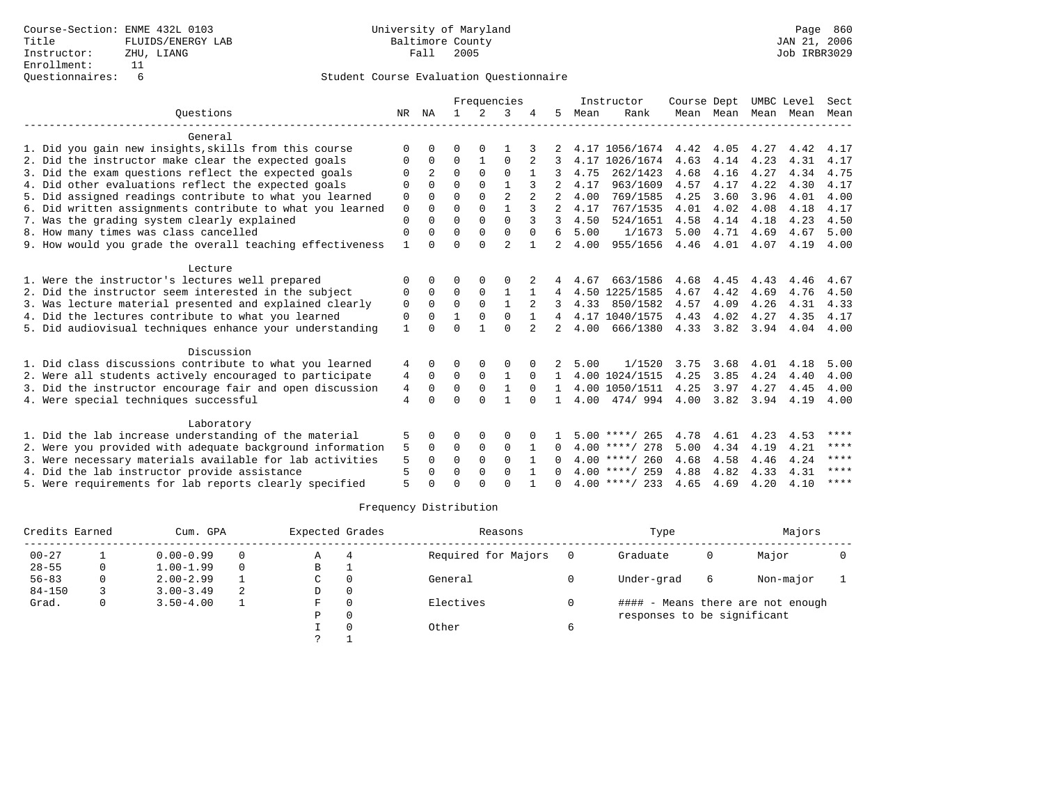|                                                           |                |              |              |               | Frequencies    |               |                |      | Instructor          | Course Dept |           | UMBC Level |      | Sect        |
|-----------------------------------------------------------|----------------|--------------|--------------|---------------|----------------|---------------|----------------|------|---------------------|-------------|-----------|------------|------|-------------|
| Ouestions                                                 | NR             | ΝA           | $\mathbf{1}$ | $\mathcal{L}$ | 3              |               | 5.             | Mean | Rank                |             | Mean Mean | Mean       | Mean | Mean        |
| General                                                   |                |              |              |               |                |               |                |      |                     |             |           |            |      |             |
| 1. Did you gain new insights, skills from this course     | $\Omega$       | 0            | 0            | O             |                |               |                |      | 4.17 1056/1674      | 4.42        | 4.05      | 4.27       | 4.42 | 4.17        |
| 2. Did the instructor make clear the expected goals       | O              | $\Omega$     | 0            | 1             | $\Omega$       | 2             |                |      | 4.17 1026/1674      | 4.63        | 4.14      | 4.23       | 4.31 | 4.17        |
| 3. Did the exam questions reflect the expected goals      |                | 2            | $\Omega$     | $\Omega$      | $\Omega$       |               |                | 4.75 | 262/1423            | 4.68        | 4.16      | 4.27       | 4.34 | 4.75        |
| 4. Did other evaluations reflect the expected goals       | $\Omega$       | <sup>0</sup> | $\Omega$     | $\Omega$      |                |               |                | 4.17 | 963/1609            | 4.57        | 4.17      | 4.22       | 4.30 | 4.17        |
| 5. Did assigned readings contribute to what you learned   | 0              | $\Omega$     | $\Omega$     | $\Omega$      | $\overline{a}$ |               |                | 4.00 | 769/1585            | 4.25        | 3.60      | 3.96       | 4.01 | 4.00        |
| 6. Did written assignments contribute to what you learned | $\mathbf 0$    | $\Omega$     | $\Omega$     | $\Omega$      | $\mathbf{1}$   | $\mathcal{L}$ | $\mathfrak{D}$ | 4.17 | 767/1535            | 4.01        | 4.02      | 4.08       | 4.18 | 4.17        |
| 7. Was the grading system clearly explained               | $\Omega$       |              | $\Omega$     | $\Omega$      | $\Omega$       |               | 3              | 4.50 | 524/1651            | 4.58        | 4.14      | 4.18       | 4.23 | 4.50        |
| 8. How many times was class cancelled                     | $\Omega$       | 0            | $\Omega$     | $\Omega$      | $\Omega$       | $\Omega$      | 6              | 5.00 | 1/1673              | 5.00        | 4.71      | 4.69       | 4.67 | 5.00        |
| 9. How would you grade the overall teaching effectiveness | 1              |              | $\Omega$     | $\cap$        | $\overline{2}$ |               | 2              | 4.00 | 955/1656            | 4.46        | 4.01      | 4.07       | 4.19 | 4.00        |
| Lecture                                                   |                |              |              |               |                |               |                |      |                     |             |           |            |      |             |
| 1. Were the instructor's lectures well prepared           | $\Omega$       |              | O            | $\Omega$      | $\Omega$       |               |                | 4.67 | 663/1586            | 4.68        | 4.45      | 4.43       | 4.46 | 4.67        |
| 2. Did the instructor seem interested in the subject      | 0              | 0            | $\Omega$     | $\Omega$      | 1              |               | 4              |      | 4.50 1225/1585      | 4.67        | 4.42      | 4.69       | 4.76 | 4.50        |
| 3. Was lecture material presented and explained clearly   | 0              | $\Omega$     | $\Omega$     | $\Omega$      | $\mathbf{1}$   |               |                | 4.33 | 850/1582            | 4.57        | 4.09      | 4.26       | 4.31 | 4.33        |
| 4. Did the lectures contribute to what you learned        | 0              | $\Omega$     |              | $\Omega$      | $\mathbf 0$    |               | 4              |      | 4.17 1040/1575      | 4.43        | 4.02      | 4.27       | 4.35 | 4.17        |
| 5. Did audiovisual techniques enhance your understanding  | $\mathbf{1}$   |              | $\Omega$     |               | $\Omega$       |               |                | 4.00 | 666/1380            | 4.33        | 3.82      | 3.94       | 4.04 | 4.00        |
| Discussion                                                |                |              |              |               |                |               |                |      |                     |             |           |            |      |             |
| 1. Did class discussions contribute to what you learned   | 4              | 0            | 0            | O             | $\Omega$       |               |                | 5.00 | 1/1520              | 3.75        | 3.68      | 4.01       | 4.18 | 5.00        |
| 2. Were all students actively encouraged to participate   | 4              | 0            | 0            | 0             | 1              | $\Omega$      |                |      | 4.00 1024/1515      | 4.25        | 3.85      | 4.24       | 4.40 | 4.00        |
| 3. Did the instructor encourage fair and open discussion  | 4              | $\Omega$     | $\Omega$     | $\mathbf 0$   | $\mathbf{1}$   | $\Omega$      | 1.             |      | 4.00 1050/1511      | 4.25        | 3.97      | 4.27       | 4.45 | 4.00        |
| 4. Were special techniques successful                     | $\overline{4}$ | $\Omega$     | $\Omega$     | $\Omega$      | 1              | $\Omega$      | $\mathbf{1}$   | 4.00 | 474/994             | 4.00        | 3.82      | 3.94       | 4.19 | 4.00        |
| Laboratory                                                |                |              |              |               |                |               |                |      |                     |             |           |            |      |             |
| 1. Did the lab increase understanding of the material     | 5              | 0            | 0            | O             | $\Omega$       |               |                |      | $5.00$ ****/<br>265 | 4.78        | 4.61      | 4.23       | 4.53 | ****        |
| 2. Were you provided with adequate background information | 5              | $\Omega$     | 0            | 0             | $\mathbf 0$    |               | 0              |      | $4.00$ ****/ 278    | 5.00        | 4.34      | 4.19       | 4.21 | $***$ * * * |
| 3. Were necessary materials available for lab activities  | 5              | $\Omega$     | $\Omega$     | $\Omega$      | $\Omega$       | $\mathbf{1}$  | 0              |      | $4.00$ ****/ 260    | 4.68        | 4.58      | 4.46       | 4.24 | ****        |
| 4. Did the lab instructor provide assistance              | 5              | <sup>0</sup> | $\Omega$     | $\Omega$      | $\Omega$       |               | 0              |      | $4.00$ ****/ 259    | 4.88        | 4.82      | 4.33       | 4.31 | ****        |
| 5. Were requirements for lab reports clearly specified    | 5              | <sup>n</sup> | $\cap$       | $\cap$        | $\cap$         |               |                |      | $4.00$ ****/ 233    | 4.65        | 4.69      | 4.20       | 4.10 | ****        |

| Credits Earned |   | Cum. GPA      |          | Expected Grades |          | Reasons             | Type                        |   | Majors                            |  |
|----------------|---|---------------|----------|-----------------|----------|---------------------|-----------------------------|---|-----------------------------------|--|
| $00 - 27$      |   | $0.00 - 0.99$ | 0        | Α               | 4        | Required for Majors | Graduate                    | 0 | Major                             |  |
| $28 - 55$      | 0 | $1.00 - 1.99$ | $\Omega$ | B               |          |                     |                             |   |                                   |  |
| $56 - 83$      |   | $2.00 - 2.99$ |          | C               |          | General             | Under-grad                  | 6 | Non-major                         |  |
| $84 - 150$     |   | $3.00 - 3.49$ | 2        | D               | $\Omega$ |                     |                             |   |                                   |  |
| Grad.          | 0 | $3.50 - 4.00$ |          | F.              |          | Electives           |                             |   | #### - Means there are not enough |  |
|                |   |               |          | P               | $\Omega$ |                     | responses to be significant |   |                                   |  |
|                |   |               |          |                 |          | Other               |                             |   |                                   |  |
|                |   |               |          |                 |          |                     |                             |   |                                   |  |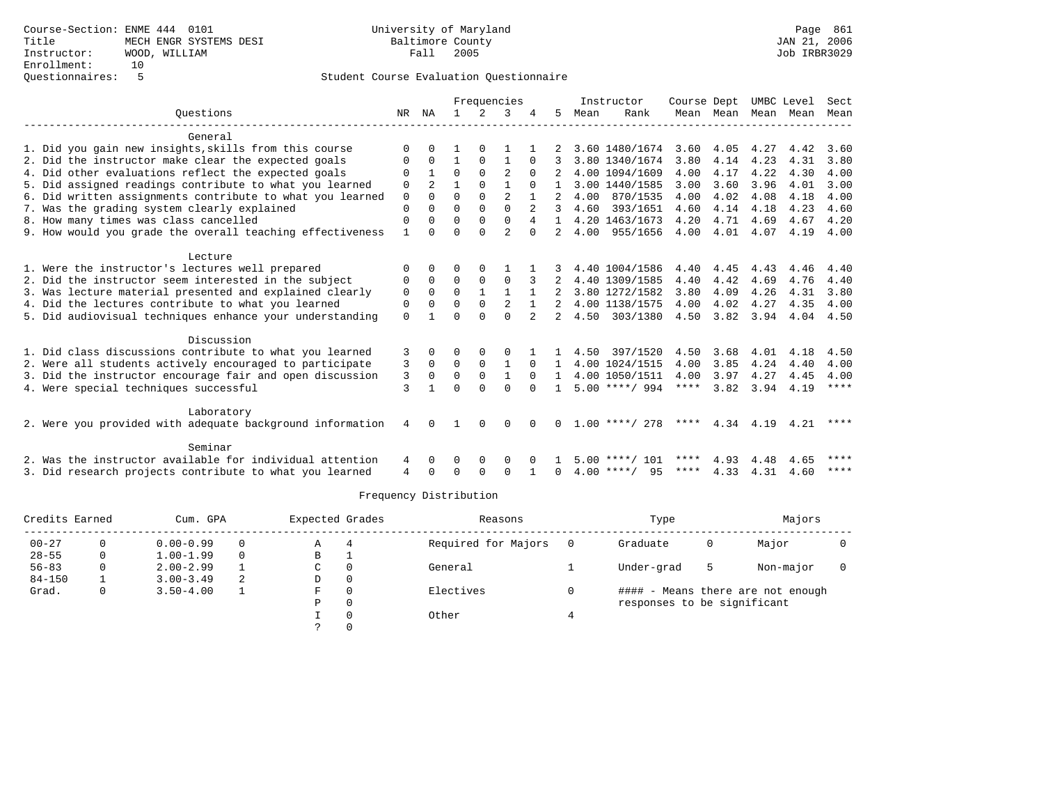|                                                           |              |                |              |              | Frequencies    |                |                |      | Instructor       | Course Dept |             | UMBC Level |      | Sect        |
|-----------------------------------------------------------|--------------|----------------|--------------|--------------|----------------|----------------|----------------|------|------------------|-------------|-------------|------------|------|-------------|
| Ouestions                                                 | NR           | ΝA             |              |              | 3              |                | 5.             | Mean | Rank             |             | Mean Mean   | Mean       | Mean | Mean        |
| General                                                   |              |                |              |              |                |                |                |      |                  |             |             |            |      |             |
| 1. Did you gain new insights, skills from this course     | $\Omega$     | $\cap$         |              |              |                |                |                |      | 3.60 1480/1674   |             | $3.60$ 4.05 | 4.27       | 4.42 | 3.60        |
| 2. Did the instructor make clear the expected goals       | 0            | $\Omega$       | $\mathbf{1}$ | $\Omega$     | $\mathbf{1}$   | $\Omega$       |                |      | 3.80 1340/1674   | 3.80        | 4.14        | 4.23       | 4.31 | 3.80        |
| 4. Did other evaluations reflect the expected goals       | $\Omega$     |                | $\Omega$     | $\Omega$     | $\mathfrak{D}$ | $\Omega$       |                |      | 4.00 1094/1609   | 4.00        | 4.17        | 4.22       | 4.30 | 4.00        |
| 5. Did assigned readings contribute to what you learned   | 0            | $\mathfrak{D}$ |              | $\Omega$     |                | $\Omega$       |                |      | 3.00 1440/1585   | 3.00        | 3.60        | 3.96       | 4.01 | 3.00        |
| 6. Did written assignments contribute to what you learned | $\mathbf 0$  | $\Omega$       | $\Omega$     | $\Omega$     | 2              | $\mathbf{1}$   |                | 4.00 | 870/1535         | 4.00        | 4.02        | 4.08       | 4.18 | 4.00        |
| 7. Was the grading system clearly explained               | $\Omega$     | $\Omega$       | $\Omega$     | $\Omega$     | $\Omega$       |                | 3              | 4.60 | 393/1651         | 4.60        | 4.14        | 4.18       | 4.23 | 4.60        |
| 8. How many times was class cancelled                     | $\Omega$     | 0              | $\Omega$     | $\Omega$     | $\Omega$       | 4              |                |      | 4.20 1463/1673   | 4.20        | 4.71        | 4.69       | 4.67 | 4.20        |
| 9. How would you grade the overall teaching effectiveness | $\mathbf{1}$ | $\cap$         | $\Omega$     | $\cap$       | $\mathfrak{D}$ | $\cap$         |                |      | 4.00 955/1656    | 4.00        | 4.01        | 4.07       |      | 4.19 4.00   |
| Lecture                                                   |              |                |              |              |                |                |                |      |                  |             |             |            |      |             |
| 1. Were the instructor's lectures well prepared           | $\Omega$     | $\Omega$       | $\Omega$     | $\Omega$     |                |                |                |      | 4.40 1004/1586   | 4.40        | 4.45        | 4.43       | 4.46 | 4.40        |
| 2. Did the instructor seem interested in the subject      | $\Omega$     | $\Omega$       | $\Omega$     | $\mathbf 0$  | $\Omega$       | 3              | 2              |      | 4.40 1309/1585   | 4.40        | 4.42        | 4.69       | 4.76 | 4.40        |
| 3. Was lecture material presented and explained clearly   | 0            | $\Omega$       | $\Omega$     | $\mathbf{1}$ |                |                |                |      | 3.80 1272/1582   | 3.80        | 4.09        | 4.26       | 4.31 | 3.80        |
| 4. Did the lectures contribute to what you learned        | 0            | $\Omega$       | $\Omega$     | $\Omega$     | 2              | $\mathbf{1}$   |                |      | 4.00 1138/1575   | 4.00        | 4.02        | 4.27       | 4.35 | 4.00        |
| 5. Did audiovisual techniques enhance your understanding  | $\Omega$     |                | $\cap$       | $\cap$       | $\cap$         | $\overline{a}$ | $\overline{2}$ |      | 4.50 303/1380    | 4.50        | 3.82 3.94   |            | 4.04 | 4.50        |
| Discussion                                                |              |                |              |              |                |                |                |      |                  |             |             |            |      |             |
| 1. Did class discussions contribute to what you learned   | 3            | $\Omega$       | 0            | $\Omega$     | 0              |                |                |      | 4.50 397/1520    | 4.50        | 3.68        | 4.01       | 4.18 | 4.50        |
| 2. Were all students actively encouraged to participate   | 3            | $\Omega$       | $\Omega$     | $\Omega$     | $\mathbf{1}$   | $\Omega$       | 1.             |      | 4.00 1024/1515   | 4.00        | 3.85        | 4.24       | 4.40 | 4.00        |
| 3. Did the instructor encourage fair and open discussion  | 3            | $\mathbf 0$    | $\mathbf 0$  | $\mathbf{0}$ | $\mathbf{1}$   | $\Omega$       |                |      | 4.00 1050/1511   | 4.00        | 3.97        | 4.27       | 4.45 | 4.00        |
| 4. Were special techniques successful                     | 3            |                | <sup>n</sup> | $\cap$       | $\cap$         | $\cap$         | $\mathbf{1}$   |      | $5.00$ ****/ 994 | $***$ * *   | 3.82        | 3.94       | 4.19 | ****        |
| Laboratory                                                |              |                |              |              |                |                |                |      |                  |             |             |            |      |             |
| 2. Were you provided with adequate background information | 4            | $\Omega$       | 1            | $\Omega$     | $\Omega$       | $\cap$         | 0              |      | $1.00$ ****/ 278 | ****        | 4.34        | 4.19       | 4.21 | ****        |
| Seminar                                                   |              |                |              |              |                |                |                |      |                  |             |             |            |      |             |
| 2. Was the instructor available for individual attention  | 4            | $\Omega$       | $\Omega$     | $\Omega$     | $\Omega$       |                |                |      | $5.00$ ****/ 101 | ****        | 4.93        | 4.48       | 4.65 | ****        |
| 3. Did research projects contribute to what you learned   | 4            | $\cap$         | ∩            | $\cap$       | $\Omega$       |                | <sup>n</sup>   |      | $4.00$ ****/ 95  | **** $4.33$ |             | 4.31       | 4.60 | $***$ * * * |

| Credits Earned |              | Cum. GPA      |   | Expected Grades |          | Reasons             |     | Type                        |   | Majors                            |  |
|----------------|--------------|---------------|---|-----------------|----------|---------------------|-----|-----------------------------|---|-----------------------------------|--|
| $00 - 27$      | 0            | $0.00 - 0.99$ | 0 | Α               |          | Required for Majors | - 0 | Graduate                    | 0 | Major                             |  |
| $28 - 55$      | 0            | $1.00 - 1.99$ | 0 | В               |          |                     |     |                             |   |                                   |  |
| $56 - 83$      | 0            | $2.00 - 2.99$ |   | C               |          | General             |     | Under-grad                  | 5 | Non-major                         |  |
| $84 - 150$     |              | $3.00 - 3.49$ | 2 | D               | 0        |                     |     |                             |   |                                   |  |
| Grad.          | $\mathbf{0}$ | $3.50 - 4.00$ |   | F.              | 0        | Electives           |     |                             |   | #### - Means there are not enough |  |
|                |              |               |   | Ρ               | 0        |                     |     | responses to be significant |   |                                   |  |
|                |              |               |   |                 | $\Omega$ | Other               |     |                             |   |                                   |  |
|                |              |               |   |                 |          |                     |     |                             |   |                                   |  |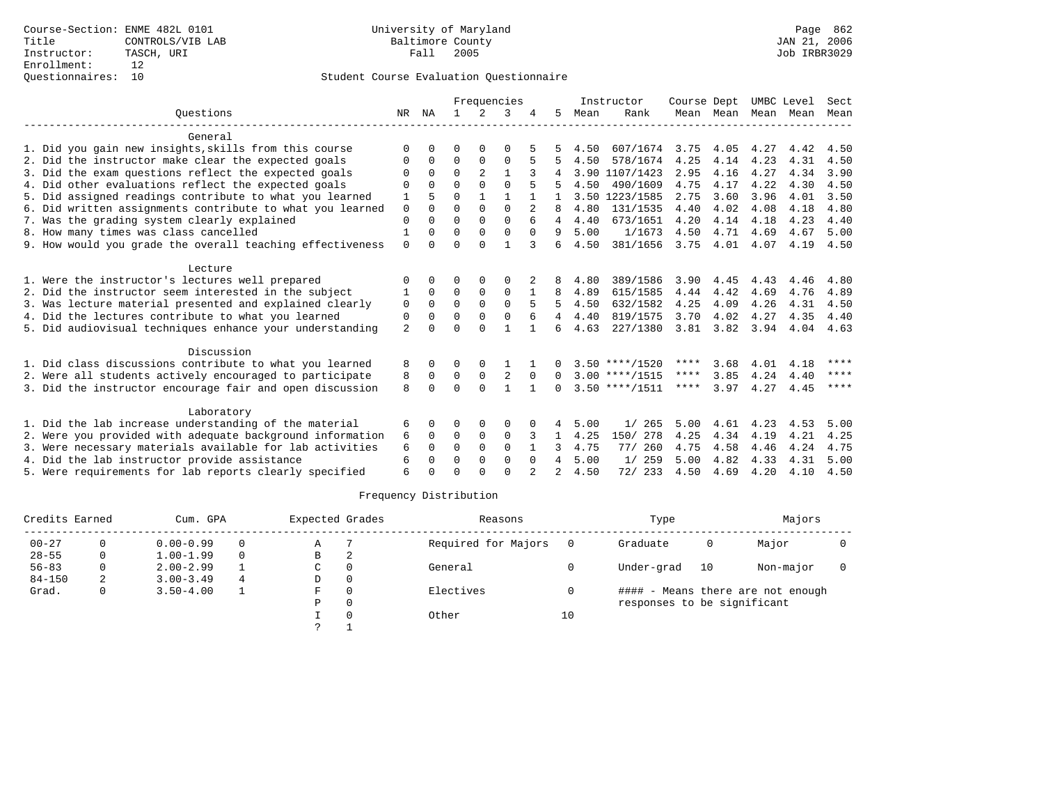|                                                           |                |              |          |                | Frequencies  |              |              |      | Instructor       | Course Dept |                | UMBC Level |      | Sect |
|-----------------------------------------------------------|----------------|--------------|----------|----------------|--------------|--------------|--------------|------|------------------|-------------|----------------|------------|------|------|
| Ouestions                                                 | NR             | ΝA           |          | $\overline{2}$ | 3            |              | 5.           | Mean | Rank             |             | Mean Mean      | Mean       | Mean | Mean |
| General                                                   |                |              |          |                |              |              |              |      |                  |             |                |            |      |      |
| 1. Did you gain new insights, skills from this course     | ∩              | <sup>n</sup> | O        | $\Omega$       | $\Omega$     |              |              | 4.50 | 607/1674         | 3.75        | 4.05           | 4.27       | 4.42 | 4.50 |
| 2. Did the instructor make clear the expected goals       | $\Omega$       | $\Omega$     | $\Omega$ | $\Omega$       | $\Omega$     |              |              | 4.50 | 578/1674         | 4.25        | 4.14           | 4.23       | 4.31 | 4.50 |
| 3. Did the exam questions reflect the expected goals      | O              | 0            | $\Omega$ | 2              | $\mathbf{1}$ |              |              |      | 3.90 1107/1423   | 2.95        | 4.16           | 4.27       | 4.34 | 3.90 |
| 4. Did other evaluations reflect the expected goals       | $\Omega$       | $\Omega$     | $\Omega$ | $\Omega$       | $\Omega$     |              |              | 4.50 | 490/1609         | 4.75        | 4.17           | 4.22       | 4.30 | 4.50 |
| 5. Did assigned readings contribute to what you learned   | 1              |              | $\Omega$ |                | 1            |              |              |      | 3.50 1223/1585   | 2.75        | 3.60           | 3.96       | 4.01 | 3.50 |
| 6. Did written assignments contribute to what you learned | $\mathbf 0$    | $\Omega$     | $\Omega$ | $\Omega$       | $\Omega$     |              |              | 4.80 | 131/1535         | 4.40        | 4.02           | 4.08       | 4.18 | 4.80 |
| 7. Was the grading system clearly explained               | $\Omega$       | $\cap$       | $\Omega$ | $\Omega$       | $\Omega$     |              |              | 4.40 | 673/1651         | 4.20        | 4.14           | 4.18       | 4.23 | 4.40 |
| 8. How many times was class cancelled                     |                | 0            | $\Omega$ | $\cap$         | $\cap$       | $\Omega$     | 9            | 5.00 | 1/1673           | 4.50        | 4.71           | 4.69       | 4.67 | 5.00 |
| 9. How would you grade the overall teaching effectiveness | $\Omega$       | 0            | $\Omega$ | $\cap$         | 1            | 3            | 6            | 4.50 | 381/1656         | 3.75        | 4.01           | 4.07       | 4.19 | 4.50 |
| Lecture                                                   |                |              |          |                |              |              |              |      |                  |             |                |            |      |      |
| 1. Were the instructor's lectures well prepared           | $\Omega$       | 0            | 0        | 0              | $\Omega$     |              | 8            | 4.80 | 389/1586         | 3.90        | 4.45           | 4.43       | 4.46 | 4.80 |
| 2. Did the instructor seem interested in the subject      |                | $\Omega$     | $\Omega$ | $\Omega$       | $\Omega$     |              | 8            | 4.89 | 615/1585         | 4.44        | 4.42           | 4.69       | 4.76 | 4.89 |
| 3. Was lecture material presented and explained clearly   | 0              | $\Omega$     | $\Omega$ | $\Omega$       | $\Omega$     |              | 5            | 4.50 | 632/1582         | 4.25        | 4.09           | 4.26       | 4.31 | 4.50 |
| 4. Did the lectures contribute to what you learned        | 0              | $\Omega$     | 0        | $\Omega$       | $\Omega$     |              | 4            | 4.40 | 819/1575         | 3.70        | 4.02           | 4.27       | 4.35 | 4.40 |
| 5. Did audiovisual techniques enhance your understanding  | $\overline{a}$ | $\cap$       | $\Omega$ | $\cap$         | 1            | $\mathbf{1}$ | 6            | 4.63 | 227/1380         |             | 3.81 3.82 3.94 |            | 4.04 | 4.63 |
| Discussion                                                |                |              |          |                |              |              |              |      |                  |             |                |            |      |      |
| 1. Did class discussions contribute to what you learned   | 8              | 0            | $\Omega$ | 0              |              |              | 0            |      | $3.50$ ****/1520 | ****        | 3.68           | 4.01       | 4.18 | **** |
| 2. Were all students actively encouraged to participate   | 8              | $\Omega$     | 0        | 0              |              | $\Omega$     | $\Omega$     |      | $3.00$ ****/1515 | $***$ * * * | 3.85           | 4.24       | 4.40 | **** |
| 3. Did the instructor encourage fair and open discussion  | 8              | <sup>n</sup> | $\Omega$ | $\cap$         | 1            | $\mathbf{1}$ | <sup>n</sup> |      | $3.50$ ****/1511 | ****        | 3.97           | 4.27       | 4.45 | **** |
| Laboratory                                                |                |              |          |                |              |              |              |      |                  |             |                |            |      |      |
| 1. Did the lab increase understanding of the material     | 6              | 0            | 0        | $\Omega$       | $\Omega$     |              | 4            | 5.00 | 1/265            | 5.00        | 4.61           | 4.23       | 4.53 | 5.00 |
| 2. Were you provided with adequate background information | 6              | $\Omega$     | $\Omega$ | $\mathbf 0$    | $\Omega$     | 3            | $\mathbf{1}$ | 4.25 | 150/ 278         | 4.25        | 4.34           | 4.19       | 4.21 | 4.25 |
| 3. Were necessary materials available for lab activities  | 6              | 0            | $\Omega$ | $\Omega$       | $\Omega$     |              |              | 4.75 | 77/ 260          | 4.75        | 4.58           | 4.46       | 4.24 | 4.75 |
| 4. Did the lab instructor provide assistance              | 6              | $\Omega$     | $\Omega$ | $\Omega$       | $\Omega$     | $\Omega$     | 4            | 5.00 | 1/259            | 5.00        | 4.82           | 4.33       | 4.31 | 5.00 |
| 5. Were requirements for lab reports clearly specified    | 6              |              |          |                | $\cap$       |              |              | 4.50 | 72/ 233          | 4.50        | 4.69           | 4.20       | 4.10 | 4.50 |
|                                                           |                |              |          |                |              |              |              |      |                  |             |                |            |      |      |

| Credits Earned |   | Cum. GPA      |   | Expected Grades |          | Reasons             |    | Type                        |    | Majors                            |  |
|----------------|---|---------------|---|-----------------|----------|---------------------|----|-----------------------------|----|-----------------------------------|--|
| $00 - 27$      |   | $0.00 - 0.99$ | 0 | Α               |          | Required for Majors |    | Graduate                    | 0  | Major                             |  |
| $28 - 55$      | 0 | $1.00 - 1.99$ | 0 | B               |          |                     |    |                             |    |                                   |  |
| $56 - 83$      | 0 | $2.00 - 2.99$ |   | C               | $\Omega$ | General             |    | Under-grad                  | 10 | Non-major                         |  |
| $84 - 150$     | 2 | $3.00 - 3.49$ | 4 | D               | 0        |                     |    |                             |    |                                   |  |
| Grad.          | 0 | $3.50 - 4.00$ |   | F               | $\Omega$ | Electives           |    |                             |    | #### - Means there are not enough |  |
|                |   |               |   | Ρ               | 0        |                     |    | responses to be significant |    |                                   |  |
|                |   |               |   |                 |          | Other               | 10 |                             |    |                                   |  |
|                |   |               |   |                 |          |                     |    |                             |    |                                   |  |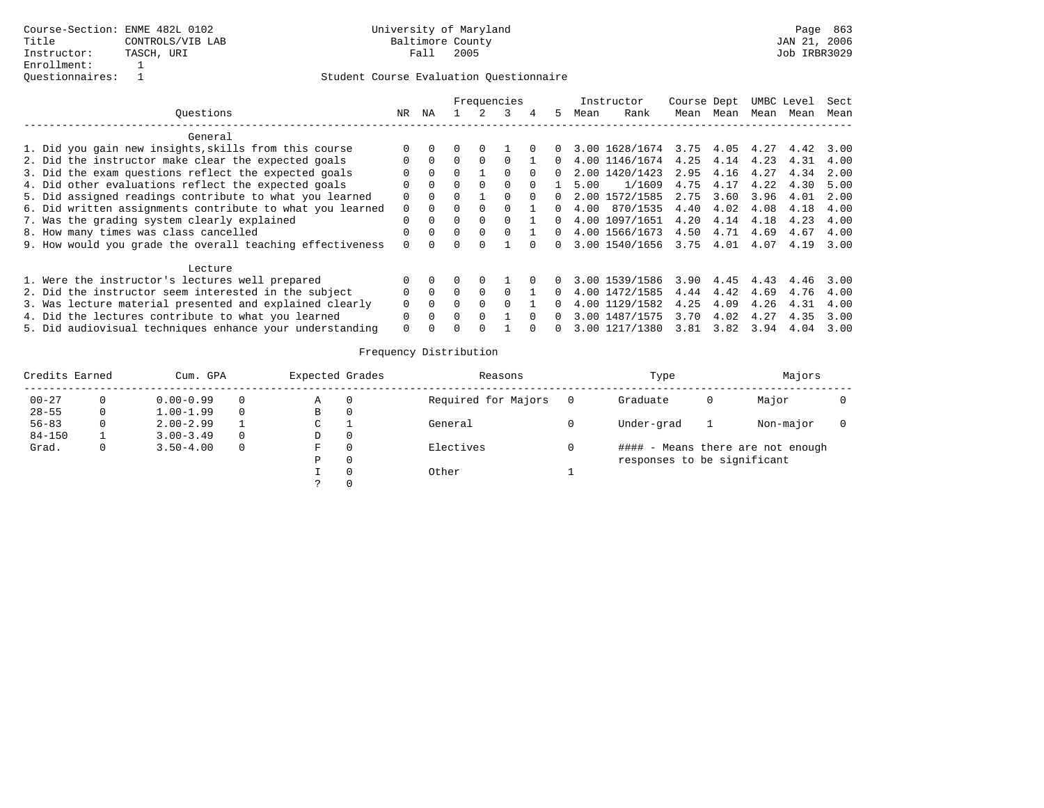|                                                           |              |          |              |              | Frequencies |          |              |      | Instructor     | Course Dept |      |      | UMBC Level | Sect |
|-----------------------------------------------------------|--------------|----------|--------------|--------------|-------------|----------|--------------|------|----------------|-------------|------|------|------------|------|
| Ouestions                                                 | NR.          | ΝA       |              |              |             | 4        | 5.           | Mean | Rank           | Mean        | Mean | Mean | Mean       | Mean |
| General                                                   |              |          |              |              |             |          |              |      |                |             |      |      |            |      |
| 1. Did you gain new insights, skills from this course     |              |          |              |              |             |          |              |      | 3.00 1628/1674 | 3.75 4.05   |      | 4.27 | 4.42       | 3.00 |
| 2. Did the instructor make clear the expected goals       |              | $\Omega$ | $\Omega$     |              |             |          |              |      | 4.00 1146/1674 | 4.25        | 4.14 | 4.23 | 4.31       | 4.00 |
| 3. Did the exam questions reflect the expected goals      |              | $\Omega$ |              |              |             |          |              |      | 2.00 1420/1423 | 2.95        | 4.16 | 4.27 | 4.34       | 2.00 |
| 4. Did other evaluations reflect the expected goals       |              | $\Omega$ | <sup>n</sup> | $\Omega$     | $\Omega$    |          |              | 5.00 | 1/1609         | 4.75        | 4.17 | 4.22 | 4.30       | 5.00 |
| 5. Did assigned readings contribute to what you learned   | <sup>0</sup> | $\Omega$ | 0            |              |             | $\Omega$ | <sup>n</sup> |      | 2.00 1572/1585 | 2.75        | 3.60 | 3.96 | 4.01       | 2.00 |
| 6. Did written assignments contribute to what you learned | $\Omega$     | $\Omega$ |              |              |             |          |              | 4.00 | 870/1535       | 4.40        | 4.02 | 4.08 | 4.18       | 4.00 |
| 7. Was the grading system clearly explained               | $\Omega$     | $\Omega$ | $\Omega$     |              |             |          | $\Omega$     |      | 4.00 1097/1651 | 4.20        | 4.14 | 4.18 | 4.23       | 4.00 |
| 8. How many times was class cancelled                     |              | $\Omega$ | $\Omega$     | $\Omega$     |             |          | <sup>n</sup> |      | 4.00 1566/1673 | 4.50        | 4.71 | 4.69 | 4.67       | 4.00 |
| 9. How would you grade the overall teaching effectiveness | $\Omega$     | $\cap$   |              |              |             |          | 0            |      | 3.00 1540/1656 | 3.75 4.01   |      | 4.07 | 4.19       | 3.00 |
| Lecture                                                   |              |          |              |              |             |          |              |      |                |             |      |      |            |      |
| 1. Were the instructor's lectures well prepared           |              |          |              | <sup>0</sup> |             |          |              |      | 3.00 1539/1586 | 3.90        | 4.45 | 4.43 | 4.46       | 3.00 |
| 2. Did the instructor seem interested in the subject      | O            | $\Omega$ | $\Omega$     | $\Omega$     |             |          |              |      | 4.00 1472/1585 | 4.44        | 4.42 | 4.69 | 4.76       | 4.00 |
| 3. Was lecture material presented and explained clearly   | 0            | $\Omega$ |              |              |             |          |              |      | 4.00 1129/1582 | 4.25        | 4.09 | 4.26 | 4.31       | 4.00 |
| 4. Did the lectures contribute to what you learned        | $\Omega$     | $\Omega$ |              |              |             |          |              |      | 3.00 1487/1575 | 3.70        | 4.02 | 4.27 | 4.35       | 3.00 |
| 5. Did audiovisual techniques enhance your understanding  |              |          |              |              |             |          |              |      | 3.00 1217/1380 | 3.81        | 3.82 | 3.94 | 4.04       | 3.00 |

| Credits Earned |   | Cum. GPA      |          | Expected Grades | Reasons             | Type                        |   | Majors                            |  |
|----------------|---|---------------|----------|-----------------|---------------------|-----------------------------|---|-----------------------------------|--|
| $00 - 27$      |   | $0.00 - 0.99$ | 0        | Α               | Required for Majors | Graduate                    | O | Major                             |  |
| $28 - 55$      | 0 | $1.00 - 1.99$ | $\Omega$ | В               |                     |                             |   |                                   |  |
| $56 - 83$      |   | $2.00 - 2.99$ |          | C               | General             | Under-grad                  |   | Non-major                         |  |
| $84 - 150$     |   | $3.00 - 3.49$ | $\Omega$ | D               |                     |                             |   |                                   |  |
| Grad.          |   | $3.50 - 4.00$ | $\Omega$ | F               | Electives           |                             |   | #### - Means there are not enough |  |
|                |   |               |          | P               |                     | responses to be significant |   |                                   |  |
|                |   |               |          |                 | Other               |                             |   |                                   |  |
|                |   |               |          |                 |                     |                             |   |                                   |  |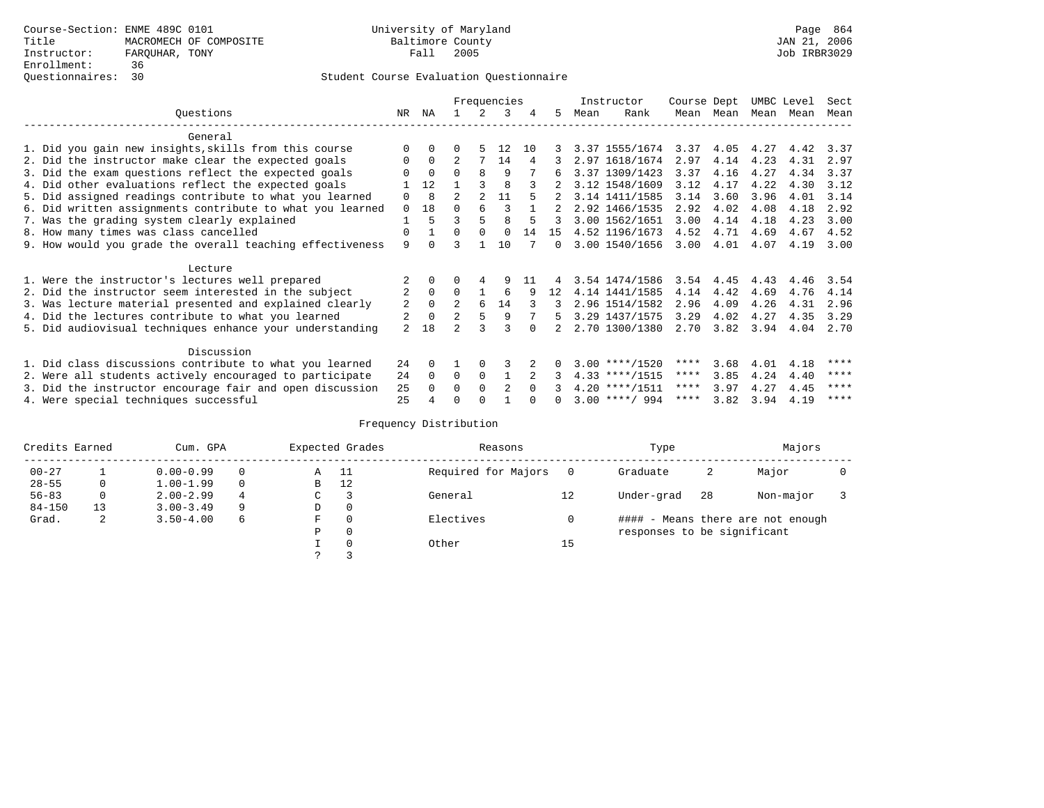|                                                           |                |             |                |                | Frequencies    |     |        |      | Instructor       | Course Dept |      | UMBC Level |      | Sect |
|-----------------------------------------------------------|----------------|-------------|----------------|----------------|----------------|-----|--------|------|------------------|-------------|------|------------|------|------|
| Questions                                                 | NR.            | ΝA          |                |                | 3              | 4   | 5      | Mean | Rank             | Mean        | Mean | Mean       | Mean | Mean |
| General                                                   |                |             |                |                |                |     |        |      |                  |             |      |            |      |      |
| 1. Did you gain new insights, skills from this course     |                | $\Omega$    | 0              |                | 12             | 1 N |        |      | 3.37 1555/1674   | 3.37        | 4.05 | 4.27       | 4.42 | 3.37 |
| 2. Did the instructor make clear the expected goals       | O              | $\Omega$    |                |                | 14             | 4   |        |      | 2.97 1618/1674   | 2.97        | 4.14 | 4.23       | 4.31 | 2.97 |
| 3. Did the exam questions reflect the expected goals      |                | $\Omega$    | $\Omega$       | 8              | 9              |     |        |      | 3.37 1309/1423   | 3.37        | 4.16 | 4.27       | 4.34 | 3.37 |
| 4. Did other evaluations reflect the expected goals       |                | 12          |                |                | 8              |     |        |      | 3.12 1548/1609   | 3.12        | 4.17 | 4.22       | 4.30 | 3.12 |
| 5. Did assigned readings contribute to what you learned   | $\Omega$       | 8           | $\mathfrak{D}$ | $\overline{2}$ | 11             |     |        |      | 3.14 1411/1585   | 3.14        | 3.60 | 3.96       | 4.01 | 3.14 |
| 6. Did written assignments contribute to what you learned | $\Omega$       | 18          | 0              | 6              |                |     |        |      | 2.92 1466/1535   | 2.92        | 4.02 | 4.08       | 4.18 | 2.92 |
| 7. Was the grading system clearly explained               |                | 5           | ς              | 5              | 8              |     |        |      | 3.00 1562/1651   | 3.00        | 4.14 | 4.18       | 4.23 | 3.00 |
| 8. How many times was class cancelled                     | 0              |             | $\Omega$       | $\Omega$       | $\Omega$       | 14  | 15     |      | 4.52 1196/1673   | 4.52        | 4.71 | 4.69       | 4.67 | 4.52 |
| 9. How would you grade the overall teaching effectiveness | 9              | $\cap$      |                |                | 10             |     | $\cap$ |      | 3.00 1540/1656   | 3.00        | 4.01 | 4.07       | 4.19 | 3.00 |
|                                                           |                |             |                |                |                |     |        |      |                  |             |      |            |      |      |
| Lecture                                                   |                |             |                |                |                |     |        |      |                  |             |      |            |      |      |
| 1. Were the instructor's lectures well prepared           |                |             |                |                | 9              |     |        |      | 3.54 1474/1586   | 3.54        | 4.45 | 4.43       | 4.46 | 3.54 |
| 2. Did the instructor seem interested in the subject      | $\overline{2}$ | $\Omega$    | $\Omega$       |                | 6              | 9   | 12.    |      | 4.14 1441/1585   | 4.14        | 4.42 | 4.69       | 4.76 | 4.14 |
| 3. Was lecture material presented and explained clearly   | 2              | $\Omega$    | 2              | 6              | 14             |     |        |      | 2.96 1514/1582   | 2.96        | 4.09 | 4.26       | 4.31 | 2.96 |
| 4. Did the lectures contribute to what you learned        | 2              | $\mathbf 0$ | $\overline{2}$ |                | 9              |     | 5      |      | 3.29 1437/1575   | 3.29        | 4.02 | 4.27       | 4.35 | 3.29 |
| 5. Did audiovisual techniques enhance your understanding  | $\overline{2}$ | 18          |                |                |                |     |        |      | 2.70 1300/1380   | 2.70        | 3.82 | 3.94       | 4.04 | 2.70 |
|                                                           |                |             |                |                |                |     |        |      |                  |             |      |            |      |      |
| Discussion                                                |                |             |                |                |                |     |        |      |                  |             |      |            |      |      |
| 1. Did class discussions contribute to what you learned   | 24             | $\Omega$    |                | $\Omega$       |                |     |        |      | $3.00$ ****/1520 | ****        | 3.68 | 4.01       | 4.18 | **** |
| 2. Were all students actively encouraged to participate   | 24             | $\Omega$    | 0              | $\mathbf 0$    |                |     |        |      | $4.33$ ****/1515 | $***$ * *   | 3.85 | 4.24       | 4.40 | **** |
| 3. Did the instructor encourage fair and open discussion  | 25             |             | 0              | $\Omega$       | $\mathfrak{D}$ |     |        |      | $4.20$ ****/1511 | ****        | 3.97 | 4.27       | 4.45 | **** |
| 4. Were special techniques successful                     | 25             |             |                |                |                |     |        |      | $3.00$ ****/ 994 | ****        | 3.82 | 3.94       | 4.19 | **** |

| Credits Earned |    | Cum. GPA      |   |               | Expected Grades | Reasons             |    | Type                        |    | Majors                            |  |
|----------------|----|---------------|---|---------------|-----------------|---------------------|----|-----------------------------|----|-----------------------------------|--|
| $00 - 27$      |    | $0.00 - 0.99$ |   | A             | - 11            | Required for Majors |    | Graduate                    | 2  | Major                             |  |
| $28 - 55$      | 0  | $1.00 - 1.99$ |   | B             | 12              |                     |    |                             |    |                                   |  |
| $56 - 83$      | 0  | $2.00 - 2.99$ | 4 | $\sim$<br>◡   |                 | General             | 12 | Under-grad                  | 28 | Non-major                         |  |
| $84 - 150$     | 13 | $3.00 - 3.49$ | 9 | D             | 0               |                     |    |                             |    |                                   |  |
| Grad.          | 2  | $3.50 - 4.00$ | 6 | F             | 0               | Electives           |    |                             |    | #### - Means there are not enough |  |
|                |    |               |   | Ρ             | 0               |                     |    | responses to be significant |    |                                   |  |
|                |    |               |   |               | 0               | Other               | 15 |                             |    |                                   |  |
|                |    |               |   | $\mathcal{L}$ |                 |                     |    |                             |    |                                   |  |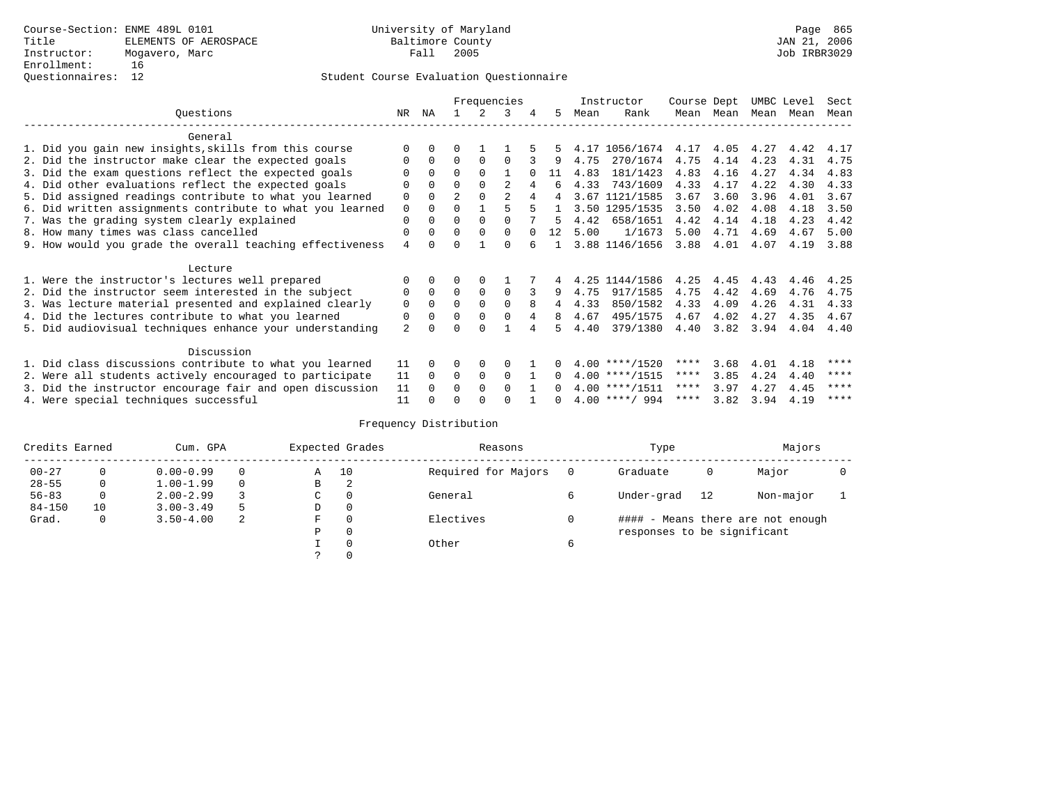|                                                           |                |          |                |          | Frequencies |          |    |      | Instructor       | Course Dept |      | UMBC Level |      | Sect |
|-----------------------------------------------------------|----------------|----------|----------------|----------|-------------|----------|----|------|------------------|-------------|------|------------|------|------|
| Ouestions                                                 | NR             | ΝA       |                |          | 3           | 4        | 5  | Mean | Rank             | Mean        | Mean | Mean       | Mean | Mean |
| General                                                   |                |          |                |          |             |          |    |      |                  |             |      |            |      |      |
| 1. Did you gain new insights, skills from this course     |                | 0        | U              |          |             |          |    |      | 4.17 1056/1674   | 4.17        | 4.05 | 4.27       | 4.42 | 4.17 |
| 2. Did the instructor make clear the expected goals       |                | $\Omega$ | $\Omega$       | $\Omega$ | $\Omega$    |          | 9  | 4.75 | 270/1674         | 4.75        | 4.14 | 4.23       | 4.31 | 4.75 |
|                                                           |                | $\Omega$ | $\Omega$       | $\Omega$ |             |          | 11 | 4.83 | 181/1423         | 4.83        |      | 4.27       | 4.34 |      |
| 3. Did the exam questions reflect the expected goals      |                |          |                |          |             |          |    |      |                  |             | 4.16 |            |      | 4.83 |
| 4. Did other evaluations reflect the expected goals       | O              | $\Omega$ | 0              | $\Omega$ | 2           |          | 6  | 4.33 | 743/1609         | 4.33        | 4.17 | 4.22       | 4.30 | 4.33 |
| 5. Did assigned readings contribute to what you learned   | 0              | $\Omega$ | $\overline{a}$ | $\Omega$ | 2           |          | 4  | 3.67 | 1121/1585        | 3.67        | 3.60 | 3.96       | 4.01 | 3.67 |
| 6. Did written assignments contribute to what you learned | 0              | 0        | U              |          |             | 5        |    |      | 3.50 1295/1535   | 3.50        | 4.02 | 4.08       | 4.18 | 3.50 |
| 7. Was the grading system clearly explained               | 0              | 0        | U              | $\Omega$ |             |          |    | 4.42 | 658/1651         | 4.42        | 4.14 | 4.18       | 4.23 | 4.42 |
| 8. How many times was class cancelled                     | 0              | $\Omega$ | 0              | $\Omega$ | $\Omega$    | $\Omega$ | 12 | 5.00 | 1/1673           | 5.00        | 4.71 | 4.69       | 4.67 | 5.00 |
| 9. How would you grade the overall teaching effectiveness | 4              |          |                |          | U           |          |    |      | 3.88 1146/1656   | 3.88        | 4.01 | 4.07       | 4.19 | 3.88 |
| Lecture                                                   |                |          |                |          |             |          |    |      |                  |             |      |            |      |      |
| 1. Were the instructor's lectures well prepared           |                |          |                |          |             |          |    | 4.25 | 1144/1586        | 4.25        | 4.45 | 4.43       | 4.46 | 4.25 |
| 2. Did the instructor seem interested in the subject      | 0              | $\Omega$ | $\Omega$       | $\Omega$ | $\Omega$    |          | 9  | 4.75 | 917/1585         | 4.75        | 4.42 | 4.69       | 4.76 | 4.75 |
| 3. Was lecture material presented and explained clearly   | 0              | $\Omega$ | $\Omega$       | $\Omega$ | $\Omega$    | 8        | 4  | 4.33 | 850/1582         | 4.33        | 4.09 | 4.26       | 4.31 | 4.33 |
| 4. Did the lectures contribute to what you learned        | 0              | 0        | $\Omega$       | $\Omega$ | 0           |          | 8  | 4.67 | 495/1575         | 4.67        | 4.02 | 4.27       | 4.35 | 4.67 |
|                                                           | $\overline{a}$ |          |                |          |             |          |    | 4.40 | 379/1380         | 4.40        | 3.82 | 3.94       | 4.04 | 4.40 |
| 5. Did audiovisual techniques enhance your understanding  |                |          |                |          |             |          |    |      |                  |             |      |            |      |      |
| Discussion                                                |                |          |                |          |             |          |    |      |                  |             |      |            |      |      |
| 1. Did class discussions contribute to what you learned   | 11             | 0        | U              | 0        |             |          |    |      | $4.00$ ****/1520 | ****        | 3.68 | 4.01       | 4.18 | **** |
| 2. Were all students actively encouraged to participate   | 11             | $\Omega$ | 0              | 0        | $\Omega$    |          |    |      | $4.00$ ****/1515 | $***$ * *   | 3.85 | 4.24       | 4.40 | **** |
| 3. Did the instructor encourage fair and open discussion  | 11             |          | U              | $\Omega$ | 0           |          |    |      | $4.00$ ****/1511 | ****        | 3.97 | 4.27       | 4.45 | **** |
| 4. Were special techniques successful                     | 11             |          |                |          |             |          |    |      | $4.00$ ****/ 994 | ****        | 3.82 | 3.94       | 4.19 | **** |

| Credits Earned |          | Cum. GPA      |         | Expected Grades | Reasons             |           | Type     |                             | Majors |                                   |  |
|----------------|----------|---------------|---------|-----------------|---------------------|-----------|----------|-----------------------------|--------|-----------------------------------|--|
| $00 - 27$      | $\Omega$ | $0.00 - 0.99$ | 10<br>Α |                 | Required for Majors | $\Omega$  | Graduate | 0                           | Major  |                                   |  |
| $28 - 55$      | 0        | $1.00 - 1.99$ |         | В               | 2                   |           |          |                             |        |                                   |  |
| $56 - 83$      | $\circ$  | $2.00 - 2.99$ |         | $\sim$<br>◡     | 0                   | General   |          | Under-grad                  | 12     | Non-major                         |  |
| $84 - 150$     | 10       | $3.00 - 3.49$ | .5      | D               | 0                   |           |          |                             |        |                                   |  |
| Grad.          | 0        | $3.50 - 4.00$ | 2       | F               | 0                   | Electives | 0        |                             |        | #### - Means there are not enough |  |
|                |          |               |         | Ρ               | 0                   |           |          | responses to be significant |        |                                   |  |
|                |          |               |         |                 | $\Omega$            | Other     | 6        |                             |        |                                   |  |
|                |          |               |         |                 |                     |           |          |                             |        |                                   |  |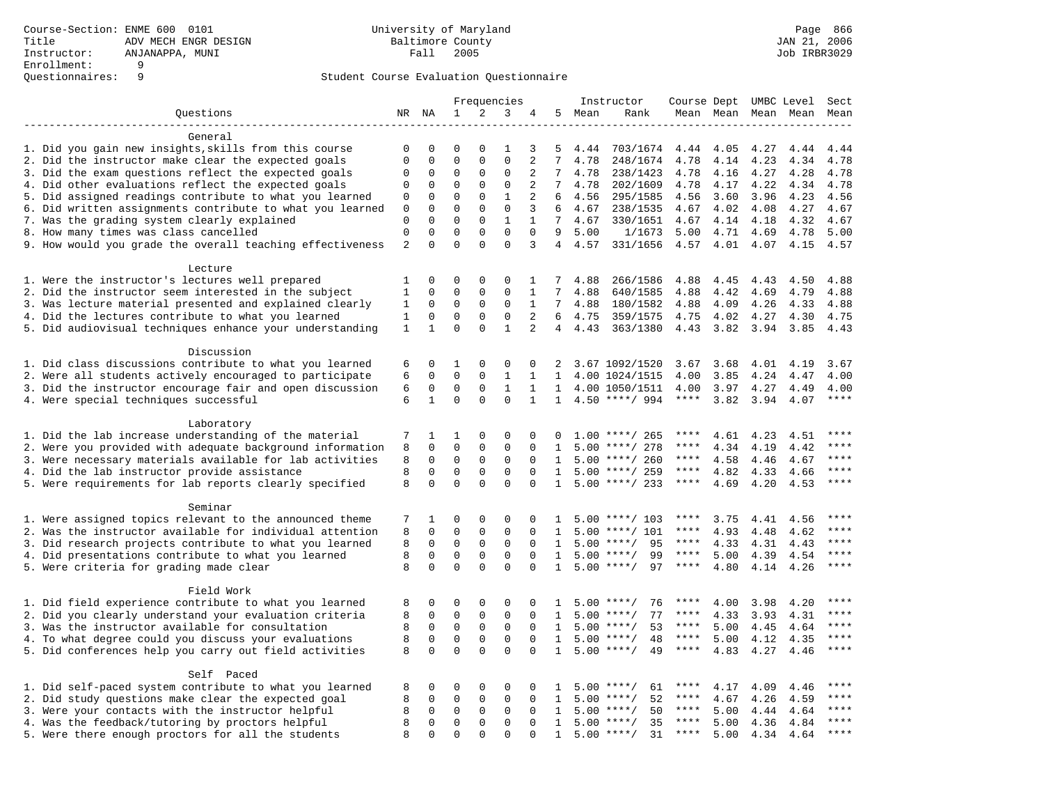|                                                           | Frequencies       |                            |                              |                             | Instructor                 | Course Dept UMBC Level |                 |      |                    | Sect        |           |                     |      |             |
|-----------------------------------------------------------|-------------------|----------------------------|------------------------------|-----------------------------|----------------------------|------------------------|-----------------|------|--------------------|-------------|-----------|---------------------|------|-------------|
| Questions                                                 |                   | NR NA                      | $\mathbf 1$                  | $\overline{a}$              | 3                          | 4                      | 5               | Mean | Rank               |             |           | Mean Mean Mean Mean |      | Mean        |
|                                                           |                   |                            |                              |                             |                            |                        |                 |      |                    |             |           |                     |      |             |
| General                                                   |                   |                            |                              |                             |                            |                        |                 |      |                    |             |           |                     |      |             |
| 1. Did you gain new insights, skills from this course     | $\mathbf 0$       | 0                          | $\Omega$                     | $\Omega$                    | 1                          | 3                      | 5               | 4.44 | 703/1674           | 4.44        | 4.05      | 4.27                | 4.44 | 4.44        |
| 2. Did the instructor make clear the expected goals       | $\mathbf 0$       | $\Omega$                   | $\Omega$                     | $\Omega$                    | $\Omega$                   | $\overline{a}$         | 7               | 4.78 | 248/1674           | 4.78        | 4.14      | 4.23                | 4.34 | 4.78        |
| 3. Did the exam questions reflect the expected goals      | 0                 | $\Omega$                   | $\Omega$                     | $\Omega$                    | $\Omega$                   | $\overline{c}$         | 7               | 4.78 | 238/1423           | 4.78        | 4.16      | 4.27                | 4.28 | 4.78        |
| 4. Did other evaluations reflect the expected goals       | 0                 | $\mathbf 0$                | $\mathbf{0}$                 | $\mathbf 0$                 | $\mathbf 0$                | $\overline{2}$         | $7\overline{ }$ | 4.78 | 202/1609           | 4.78        | 4.17      | 4.22                | 4.34 | 4.78        |
| 5. Did assigned readings contribute to what you learned   | 0                 | 0                          | $\mathbf{0}$                 | $\mathbf 0$                 | $\mathbf{1}$               | 2                      | 6               | 4.56 | 295/1585           | 4.56        | 3.60      | 3.96                | 4.23 | 4.56        |
| 6. Did written assignments contribute to what you learned | 0                 | $\mathbf 0$                | $\mathbf 0$                  | $\mathbf 0$                 | $\mathbf 0$                | 3                      | 6               | 4.67 | 238/1535           | 4.67        | 4.02      | 4.08                | 4.27 | 4.67        |
| 7. Was the grading system clearly explained               | $\mathbf 0$       | $\Omega$                   | $\Omega$                     | $\Omega$                    | $\mathbf{1}$               | $\mathbf{1}$           | $7^{\circ}$     | 4.67 | 330/1651           | 4.67        | 4.14 4.18 |                     | 4.32 | 4.67        |
| 8. How many times was class cancelled                     | $\mathbf 0$       | $\Omega$                   | $\Omega$                     | $\Omega$                    | $\Omega$                   | $\Omega$               | 9               | 5.00 | 1/1673             | 5.00        | 4.71      | 4.69                | 4.78 | 5.00        |
| 9. How would you grade the overall teaching effectiveness | $\overline{2}$    | $\Omega$                   | $\Omega$                     | $\Omega$                    | $\Omega$                   | 3                      | $\overline{4}$  | 4.57 | 331/1656           | 4.57 4.01   |           | 4.07                | 4.15 | 4.57        |
|                                                           |                   |                            |                              |                             |                            |                        |                 |      |                    |             |           |                     |      |             |
| Lecture                                                   |                   |                            |                              |                             |                            |                        |                 |      |                    |             |           |                     |      |             |
| 1. Were the instructor's lectures well prepared           | 1<br>$\mathbf{1}$ | $\mathbf 0$<br>$\mathbf 0$ | $\mathbf{0}$<br>$\mathbf{0}$ | $\mathbf 0$<br>$\mathbf 0$  | 0<br>$\Omega$              | $\mathbf{1}$           | 7<br>7          | 4.88 | 266/1586           | 4.88        | 4.45      | 4.43                | 4.50 | 4.88        |
| 2. Did the instructor seem interested in the subject      |                   |                            |                              |                             |                            | 1                      | $7\overline{ }$ | 4.88 | 640/1585           | 4.88        | 4.42      | 4.69                | 4.79 | 4.88        |
| 3. Was lecture material presented and explained clearly   | 1                 | $\mathbf 0$                | $\mathbf 0$<br>$\mathbf{0}$  | $\mathsf{O}$<br>$\mathbf 0$ | $\mathsf 0$<br>$\mathbf 0$ | $\mathbf{1}$           | 6               | 4.88 | 180/1582           | 4.88        | 4.09      | 4.26                | 4.33 | 4.88        |
| 4. Did the lectures contribute to what you learned        | $\mathbf{1}$      | $\mathbf 0$                |                              |                             |                            | 2                      |                 | 4.75 | 359/1575           | 4.75        | 4.02      | 4.27                | 4.30 | 4.75        |
| 5. Did audiovisual techniques enhance your understanding  | 1                 | $\mathbf{1}$               | $\Omega$                     | $\Omega$                    | $\mathbf{1}$               | $\overline{2}$         | $\overline{4}$  | 4.43 | 363/1380           | 4.43        | 3.82      | 3.94                | 3.85 | 4.43        |
| Discussion                                                |                   |                            |                              |                             |                            |                        |                 |      |                    |             |           |                     |      |             |
| 1. Did class discussions contribute to what you learned   | 6                 | $\Omega$                   | 1                            | $\Omega$                    | $\Omega$                   | $\Omega$               | 2               |      | 3.67 1092/1520     | 3.67        | 3.68      | 4.01                | 4.19 | 3.67        |
| 2. Were all students actively encouraged to participate   | 6                 | $\mathbf 0$                | $\mathbf 0$                  | $\mathbf 0$                 | $\mathbf{1}$               | $\mathbf{1}$           | $\mathbf{1}$    |      | 4.00 1024/1515     | 4.00        | 3.85      | 4.24                | 4.47 | 4.00        |
| 3. Did the instructor encourage fair and open discussion  | 6                 | $\mathbf 0$                | $\mathbf 0$                  | $\mathbf 0$                 | $\mathbf{1}$               | $\mathbf{1}$           | 1               |      | 4.00 1050/1511     | 4.00        | 3.97      | 4.27                | 4.49 | 4.00        |
| 4. Were special techniques successful                     | 6                 | $\mathbf{1}$               | $\Omega$                     | $\Omega$                    | $\Omega$                   | $\mathbf{1}$           | $\mathbf{1}$    |      | $4.50$ ****/ 994   | $***$ * * * | 3.82      | 3.94                | 4.07 | ****        |
|                                                           |                   |                            |                              |                             |                            |                        |                 |      |                    |             |           |                     |      |             |
| Laboratory                                                |                   |                            |                              |                             |                            |                        |                 |      |                    |             |           |                     |      |             |
| 1. Did the lab increase understanding of the material     | 7                 | 1                          | 1                            | $\Omega$                    | $\Omega$                   | $\Omega$               | $\cap$          |      | $1.00$ ****/ 265   | ****        | 4.61      | 4.23                | 4.51 |             |
| 2. Were you provided with adequate background information | 8                 | $\mathbf 0$                | $\mathbf{0}$                 | $\mathbf 0$                 | $\mathbf 0$                | $\Omega$               | 1               |      | $5.00$ ****/ 278   | ****        | 4.34      | 4.19                | 4.42 | $***$       |
| 3. Were necessary materials available for lab activities  | 8                 | 0                          | $\mathbf{0}$                 | $\mathbf 0$                 | 0                          | $\Omega$               | 1               |      | $5.00$ ****/ 260   | ****        | 4.58      | 4.46                | 4.67 | ****        |
| 4. Did the lab instructor provide assistance              | 8                 | $\mathbf 0$                | $\mathbf 0$                  | $\mathbf 0$                 | $\mathbf{0}$               | $\Omega$               | $\mathbf{1}$    |      | $5.00$ ****/ 259   | ****        | 4.82      | 4.33                | 4.66 | $***$       |
| 5. Were requirements for lab reports clearly specified    | 8                 | $\Omega$                   | $\Omega$                     | $\Omega$                    | $\Omega$                   | $\Omega$               | $\mathbf{1}$    |      | $5.00$ ****/ 233   | ****        | 4.69      | 4.20                | 4.53 | ****        |
|                                                           |                   |                            |                              |                             |                            |                        |                 |      |                    |             |           |                     |      |             |
| Seminar                                                   |                   |                            |                              |                             |                            |                        |                 |      |                    |             |           |                     |      |             |
| 1. Were assigned topics relevant to the announced theme   | 7                 | 1                          | $\mathbf 0$                  | $\mathsf 0$                 | $\mathbf{0}$               | 0                      |                 |      | $5.00$ ****/ 103   | ****        | 3.75      | 4.41                | 4.56 | $***$       |
| 2. Was the instructor available for individual attention  | 8                 | 0                          | $\mathbf 0$                  | $\mathbf 0$                 | $\mathbf{0}$               | $\Omega$               | 1               | 5.00 | ****/ 101          | ****        | 4.93      | 4.48                | 4.62 | ****        |
| 3. Did research projects contribute to what you learned   | 8                 | $\mathbf 0$                | $\mathbf 0$                  | $\mathbf 0$                 | $\mathbf{0}$               | $\Omega$               | $\mathbf{1}$    |      | $5.00$ ****/<br>95 | $***$ * *   | 4.33      | 4.31                | 4.43 | ****        |
| 4. Did presentations contribute to what you learned       | 8                 | $\Omega$                   | $\Omega$                     | $\Omega$                    | $\Omega$                   | $\Omega$               | 1               | 5.00 | $***$ /<br>99      | $***$ * *   | 5.00      | 4.39                | 4.54 | $***$ * * * |
| 5. Were criteria for grading made clear                   | 8                 | $\Omega$                   | $\Omega$                     | $\Omega$                    | $\Omega$                   | $\Omega$               | $\mathbf{1}$    |      | $5.00$ ****/<br>97 | ****        | 4.80      | 4.14                | 4.26 | ****        |
|                                                           |                   |                            |                              |                             |                            |                        |                 |      |                    |             |           |                     |      |             |
| Field Work                                                |                   |                            |                              |                             |                            |                        |                 |      |                    |             |           |                     |      |             |
| 1. Did field experience contribute to what you learned    | 8                 | 0                          | $\mathbf 0$                  | $\mathbf 0$                 | 0                          | $\Omega$               | -1              |      | $5.00$ ****/<br>76 |             | 4.00      | 3.98                | 4.20 | $***$       |
| 2. Did you clearly understand your evaluation criteria    | 8                 | $\mathbf 0$                | $\mathbf 0$                  | $\mathbf 0$                 | $\mathbf 0$                | $\Omega$               | $\mathbf{1}$    | 5.00 | 77<br>$***$ /      | ****        | 4.33      | 3.93                | 4.31 | ****        |
| 3. Was the instructor available for consultation          | 8                 | $\mathbf 0$                | $\mathbf 0$                  | $\mathbf 0$                 | $\mathbf{0}$               | $\Omega$               | $\mathbf{1}$    | 5.00 | $***/$<br>53       | ****        | 5.00      | 4.45                | 4.64 | ****        |
| 4. To what degree could you discuss your evaluations      | 8                 | $\mathbf 0$                | $\mathsf 0$                  | $\mathbf 0$                 | $\mathsf 0$                | $\mathbf 0$            | $\mathbf{1}$    |      | $5.00$ ****/<br>48 | $***$ * * * | 5.00      | 4.12                | 4.35 | $***$       |
| 5. Did conferences help you carry out field activities    | 8                 | $\Omega$                   | $\mathbf 0$                  | $\Omega$                    | $\Omega$                   | $\Omega$               | 1               | 5.00 | $***$ /<br>49      | $***$ * *   | 4.83      | 4.27                | 4.46 | $***$       |
|                                                           |                   |                            |                              |                             |                            |                        |                 |      |                    |             |           |                     |      |             |
| Self Paced                                                |                   |                            |                              |                             |                            |                        |                 |      |                    |             |           |                     |      |             |
| 1. Did self-paced system contribute to what you learned   | 8                 | 0                          | $\mathbf 0$                  | $\mathbf 0$                 | $\mathbf 0$                | $\Omega$               | -1.             | 5.00 | $***$ /<br>61      | ****        | 4.17      | 4.09                | 4.46 | ****        |
| 2. Did study questions make clear the expected goal       | 8                 | $\Omega$                   | $\mathbf 0$                  | $\mathbf 0$                 | $\mathsf 0$                | $\Omega$               | $\mathbf{1}$    | 5.00 | $***/$<br>52       | $***$ * * * | 4.67      | 4.26                | 4.59 | ****        |
| 3. Were your contacts with the instructor helpful         | 8                 | $\mathbf 0$                | $\mathsf 0$                  | $\mathbf 0$                 | $\mathbf 0$                | $\mathbf 0$            | 1               | 5.00 | 50<br>$***$ /      | $***$ * * * | 5.00      | 4.44                | 4.64 | ****        |
| 4. Was the feedback/tutoring by proctors helpful          | 8                 | 0                          | $\mathbf 0$                  | $\mathbf 0$                 | $\mathbf 0$                | $\Omega$               | $\mathbf{1}$    | 5.00 | $***/$<br>35       | ****        | 5.00      | 4.36                | 4.84 | ****        |
| 5. Were there enough proctors for all the students        | 8                 | $\Omega$                   | $\Omega$                     | $\Omega$                    | $\Omega$                   | $\Omega$               | $\mathbf{1}$    |      | $5.00$ ****/<br>31 | $***$ * * * | 5.00      | 4.34                | 4.64 | ****        |
|                                                           |                   |                            |                              |                             |                            |                        |                 |      |                    |             |           |                     |      |             |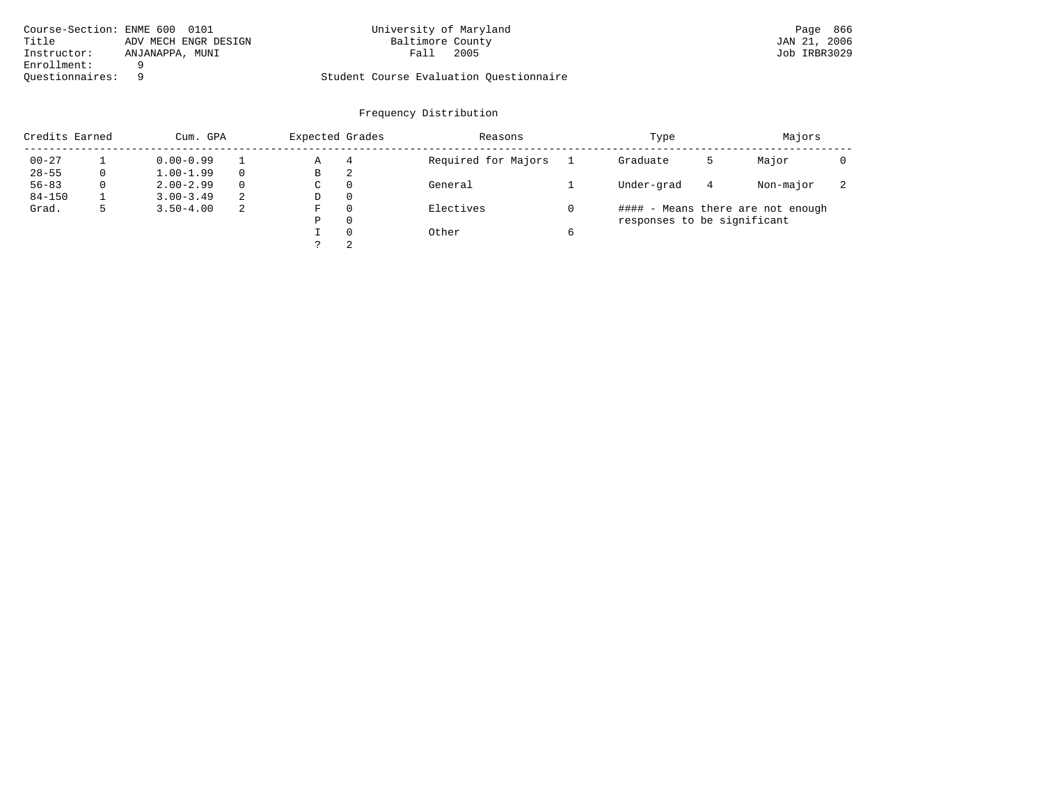| Course-Section: ENME 600 0101 |                      | University of Maryland                  | Page 866     |
|-------------------------------|----------------------|-----------------------------------------|--------------|
| Title                         | ADV MECH ENGR DESIGN | Baltimore County                        | JAN 21, 2006 |
| Instructor:                   | ANJANAPPA, MUNI      | 2005<br>Fall                            | Job IRBR3029 |
| Enrollment:                   |                      |                                         |              |
| Ouestionnaires:               |                      | Student Course Evaluation Questionnaire |              |

| Credits Earned |   | Cum. GPA      |   |             | Expected Grades | Reasons             |   | Type                        |   | Majors                            |                          |
|----------------|---|---------------|---|-------------|-----------------|---------------------|---|-----------------------------|---|-----------------------------------|--------------------------|
| $00 - 27$      |   | $0.00 - 0.99$ |   | Α           | 4               | Required for Majors |   | Graduate                    | כ | Major                             |                          |
| $28 - 55$      | 0 | $1.00 - 1.99$ |   | В           | 2               |                     |   |                             |   |                                   |                          |
| $56 - 83$      | 0 | $2.00 - 2.99$ | 0 | $\sim$<br>◡ | 0               | General             |   | Under-grad                  | 4 | Non-major                         | $\overline{\phantom{a}}$ |
| $84 - 150$     |   | $3.00 - 3.49$ | 2 | D           | 0               |                     |   |                             |   |                                   |                          |
| Grad.          |   | $3.50 - 4.00$ | 2 | F           | 0               | Electives           |   |                             |   | #### - Means there are not enough |                          |
|                |   |               |   | Ρ           | 0               |                     |   | responses to be significant |   |                                   |                          |
|                |   |               |   |             | $\Omega$        | Other               | 6 |                             |   |                                   |                          |
|                |   |               |   |             | 2               |                     |   |                             |   |                                   |                          |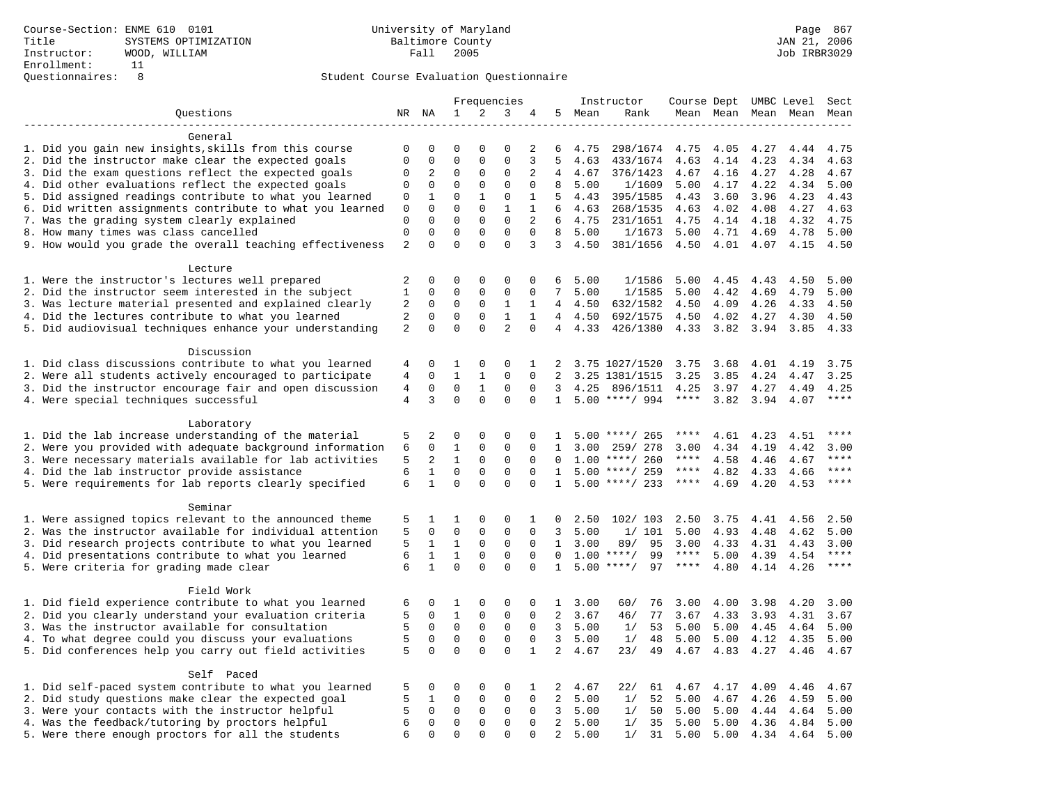|                                                            | Frequencies    |              |              |                     | Instructor     | Course Dept UMBC Level |                |      |                    | Sect        |                     |           |      |       |
|------------------------------------------------------------|----------------|--------------|--------------|---------------------|----------------|------------------------|----------------|------|--------------------|-------------|---------------------|-----------|------|-------|
| Questions                                                  |                | NR NA        | $\mathbf 1$  | $\overline{a}$      | 3              | 4                      | 5              | Mean | Rank               |             | Mean Mean Mean Mean |           |      | Mean  |
|                                                            |                |              |              |                     |                |                        |                |      |                    |             |                     |           |      |       |
| General                                                    |                |              |              |                     |                |                        |                |      |                    |             |                     |           |      |       |
| 1. Did you gain new insights, skills from this course      | $\mathbf 0$    | 0            | $\mathbf 0$  | $\Omega$            | $\mathbf 0$    | 2                      | 6              | 4.75 | 298/1674           | 4.75        | 4.05                | 4.27      | 4.44 | 4.75  |
| 2. Did the instructor make clear the expected goals        | $\mathbf 0$    | $\mathbf 0$  | $\mathbf{0}$ | $\mathbf 0$         | $\mathbf 0$    | 3                      | 5              | 4.63 | 433/1674           | 4.63        | 4.14                | 4.23      | 4.34 | 4.63  |
| 3. Did the exam questions reflect the expected goals       | 0              | 2            | $\mathbf 0$  | $\Omega$            | $\Omega$       | 2                      | $\overline{4}$ | 4.67 | 376/1423           | 4.67        | 4.16                | 4.27      | 4.28 | 4.67  |
| 4. Did other evaluations reflect the expected goals        | 0              | $\mathbf 0$  | $\mathbf{0}$ | $\mathbf 0$         | $\mathbf 0$    | $\mathbf 0$            | 8              | 5.00 | 1/1609             | 5.00        | 4.17                | 4.22      | 4.34 | 5.00  |
| 5. Did assigned readings contribute to what you learned    | 0              | 1            | $\mathbf{0}$ | $\mathbf{1}$        | $\mathsf 0$    | 1                      | 5              | 4.43 | 395/1585           | 4.43        | 3.60                | 3.96      | 4.23 | 4.43  |
| 6. Did written assignments contribute to what you learned  | $\mathbf 0$    | $\mathbf 0$  | $\mathbf 0$  | $\mathbf 0$         | $\mathbf{1}$   | $\mathbf{1}$           | 6              | 4.63 | 268/1535           | 4.63        | 4.02                | 4.08      | 4.27 | 4.63  |
| 7. Was the grading system clearly explained                | $\mathbf 0$    | $\Omega$     | $\Omega$     | $\Omega$            | $\Omega$       | 2                      | 6              | 4.75 | 231/1651           | 4.75        |                     | 4.14 4.18 | 4.32 | 4.75  |
| 8. How many times was class cancelled                      | $\mathbf 0$    | $\Omega$     | $\mathbf{0}$ | $\mathbf 0$         | $\Omega$       | $\Omega$               | 8              | 5.00 | 1/1673             | 5.00        | 4.71                | 4.69      | 4.78 | 5.00  |
| 9. How would you grade the overall teaching effectiveness  | $\overline{2}$ | $\Omega$     | $\Omega$     | $\Omega$            | $\Omega$       | 3                      | $\overline{3}$ | 4.50 | 381/1656           | 4.50        | 4.01                | 4.07      | 4.15 | 4.50  |
|                                                            |                |              |              |                     |                |                        |                |      |                    |             |                     |           |      |       |
| Lecture<br>1. Were the instructor's lectures well prepared | 2              | $\mathbf 0$  | $\mathbf{0}$ | $\mathbf 0$         | $\mathbf{0}$   | $\mathbf 0$            | 6              | 5.00 | 1/1586             | 5.00        | 4.45                | 4.43      | 4.50 | 5.00  |
| 2. Did the instructor seem interested in the subject       | $\mathbf{1}$   | 0            | $\mathbf{0}$ | $\mathbf 0$         | $\mathbf{0}$   | $\mathbf 0$            | 7              | 5.00 | 1/1585             | 5.00        | 4.42                | 4.69      | 4.79 | 5.00  |
| 3. Was lecture material presented and explained clearly    | $\overline{a}$ | $\mathbf 0$  | $\mathbf 0$  | $\mathbf 0$         | $\mathbf{1}$   | 1                      | 4              | 4.50 | 632/1582           | 4.50        | 4.09                | 4.26      | 4.33 | 4.50  |
| 4. Did the lectures contribute to what you learned         | $\overline{a}$ | $\mathbf 0$  | $\mathbf{0}$ | $\mathbf 0$         | $\mathbf{1}$   | $\mathbf{1}$           | $\overline{4}$ | 4.50 | 692/1575           | 4.50        | 4.02                | 4.27      | 4.30 | 4.50  |
|                                                            | $\overline{a}$ | $\mathbf 0$  | $\mathbf 0$  | $\mathbf 0$         | $\overline{2}$ | $\Omega$               | $\overline{4}$ |      | 426/1380           |             |                     |           |      |       |
| 5. Did audiovisual techniques enhance your understanding   |                |              |              |                     |                |                        |                | 4.33 |                    | 4.33        | 3.82                | 3.94      | 3.85 | 4.33  |
| Discussion                                                 |                |              |              |                     |                |                        |                |      |                    |             |                     |           |      |       |
| 1. Did class discussions contribute to what you learned    | 4              | $\Omega$     | 1            | $\mathbf 0$         | $\Omega$       | 1                      | 2              |      | 3.75 1027/1520     | 3.75        | 3.68                | 4.01      | 4.19 | 3.75  |
| 2. Were all students actively encouraged to participate    | 4              | $\mathbf 0$  | $\mathbf{1}$ | $\mathbf{1}$        | $\mathbf 0$    | $\mathbf 0$            | 2 <sup>0</sup> |      | 3.25 1381/1515     | 3.25        | 3.85                | 4.24      | 4.47 | 3.25  |
| 3. Did the instructor encourage fair and open discussion   | 4              | $\mathbf 0$  | $\mathbf 0$  | $\mathbf{1}$        | $\mathbf{0}$   | $\Omega$               | 3              | 4.25 | 896/1511           | 4.25        | 3.97                | 4.27      | 4.49 | 4.25  |
| 4. Were special techniques successful                      | $\overline{4}$ | 3            | $\Omega$     | $\Omega$            | $\mathbf 0$    | $\Omega$               | $\mathbf{1}$   |      | $5.00$ ****/ 994   | $***$ * * * | 3.82                | 3.94      | 4.07 | ****  |
|                                                            |                |              |              |                     |                |                        |                |      |                    |             |                     |           |      |       |
| Laboratory                                                 |                |              |              |                     |                |                        |                |      |                    |             |                     |           |      |       |
| 1. Did the lab increase understanding of the material      | 5              | 2            | $\mathbf 0$  | $\Omega$            | 0              | $\Omega$               | $\mathbf{1}$   |      | $5.00$ ****/ 265   | ****        | 4.61                | 4.23      | 4.51 | ****  |
| 2. Were you provided with adequate background information  | 6              | $\mathbf 0$  | $\mathbf{1}$ | $\mathbf 0$         | $\mathbf 0$    | $\mathbf 0$            | 1              | 3.00 | 259/ 278           | 3.00        | 4.34                | 4.19      | 4.42 | 3.00  |
| 3. Were necessary materials available for lab activities   | 5              | 2            | 1            | $\mathbf 0$         | 0              | $\Omega$               | $\Omega$       |      | $1.00$ ****/ 260   | ****        | 4.58                | 4.46      | 4.67 | $***$ |
| 4. Did the lab instructor provide assistance               | 6              | $\mathbf{1}$ | $\mathbf 0$  | $\mathbf 0$         | $\mathbf{0}$   | $\Omega$               | $\mathbf{1}$   |      | $5.00$ ****/ 259   | ****        | 4.82                | 4.33      | 4.66 | $***$ |
| 5. Were requirements for lab reports clearly specified     | 6              | $\mathbf{1}$ | $\Omega$     | $\Omega$            | $\Omega$       | $\Omega$               | $\mathbf{1}$   |      | $5.00$ ****/ 233   | $***$ * * * | 4.69                | 4.20      | 4.53 | $***$ |
|                                                            |                |              |              |                     |                |                        |                |      |                    |             |                     |           |      |       |
| Seminar                                                    |                |              |              |                     |                |                        |                |      |                    |             |                     |           |      |       |
| 1. Were assigned topics relevant to the announced theme    | 5              | 1            | 1            | $\mathsf 0$         | $\mathbf{0}$   | 1                      | 0              | 2.50 | 102/103            | 2.50        | 3.75                | 4.41      | 4.56 | 2.50  |
| 2. Was the instructor available for individual attention   | 5              | 0            | $\mathbf 0$  | $\mathbf 0$         | $\mathbf{0}$   | 0                      | 3              | 5.00 | 1/101              | 5.00        | 4.93                | 4.48      | 4.62 | 5.00  |
| 3. Did research projects contribute to what you learned    | 5              | 1            | $\mathbf{1}$ | $\mathbf 0$         | $\mathbf{0}$   | $\Omega$               | 1              | 3.00 | 89/<br>95          | 3.00        | 4.33                | 4.31      | 4.43 | 3.00  |
| 4. Did presentations contribute to what you learned        | 6              | $\mathbf{1}$ | $\mathbf{1}$ | $\Omega$            | $\Omega$       | $\Omega$               | $\Omega$       |      | $1.00$ ****/<br>99 | $***$ * *   | 5.00                | 4.39      | 4.54 | $***$ |
| 5. Were criteria for grading made clear                    | 6              | $\mathbf{1}$ | $\Omega$     | $\Omega$            | $\Omega$       | $\Omega$               | $\mathbf{1}$   |      | $5.00$ ****/<br>97 | ****        | 4.80                | 4.14      | 4.26 | ****  |
|                                                            |                |              |              |                     |                |                        |                |      |                    |             |                     |           |      |       |
| Field Work                                                 |                |              |              |                     |                |                        |                |      |                    |             |                     |           |      |       |
| 1. Did field experience contribute to what you learned     | 6              | 0            | 1            | $\mathbf 0$         | $\mathbf 0$    | 0                      | 1              | 3.00 | 60/<br>76          | 3.00        | 4.00                | 3.98      | 4.20 | 3.00  |
| 2. Did you clearly understand your evaluation criteria     | 5              | $\mathbf 0$  | $\mathbf{1}$ | $\mathbf 0$         | $\mathbf 0$    | $\Omega$               | $\overline{2}$ | 3.67 | 77<br>46/          | 3.67        | 4.33                | 3.93      | 4.31 | 3.67  |
| 3. Was the instructor available for consultation           | 5              | $\mathbf 0$  | $\mathbf 0$  | $\mathbf 0$         | $\mathbf 0$    | 0                      | 3              | 5.00 | 53<br>1/           | 5.00        | 5.00                | 4.45      | 4.64 | 5.00  |
| 4. To what degree could you discuss your evaluations       | 5              | $\mathbf 0$  | $\mathsf 0$  | $\mathsf{O}\xspace$ | $\mathsf 0$    | $\mathbf 0$            | 3 <sup>7</sup> | 5.00 | 1/<br>48           | 5.00        | 5.00                | 4.12      | 4.35 | 5.00  |
| 5. Did conferences help you carry out field activities     | 5              | $\mathbf 0$  | $\mathbf 0$  | $\mathbf 0$         | $\mathbf 0$    | $\mathbf{1}$           | 2              | 4.67 | 23/<br>49          | 4.67        | 4.83                | 4.27      | 4.46 | 4.67  |
|                                                            |                |              |              |                     |                |                        |                |      |                    |             |                     |           |      |       |
| Self Paced                                                 |                |              |              |                     |                |                        |                |      |                    |             |                     |           |      |       |
| 1. Did self-paced system contribute to what you learned    | 5              | 0            | $\mathbf 0$  | $\mathbf 0$         | $\mathbf 0$    | 1                      | 2              | 4.67 | 22/<br>61          | 4.67        | 4.17                | 4.09      | 4.46 | 4.67  |
| 2. Did study questions make clear the expected goal        | 5              | $\mathbf{1}$ | $\mathbf 0$  | $\Omega$            | $\mathsf 0$    | $\Omega$               | 2              | 5.00 | 1/<br>52           | 5.00        | 4.67                | 4.26      | 4.59 | 5.00  |
| 3. Were your contacts with the instructor helpful          | 5              | $\mathbf 0$  | $\mathsf 0$  | $\mathsf{O}$        | $\mathsf 0$    | 0                      | $\overline{3}$ | 5.00 | 50<br>1/           | 5.00        | 5.00                | 4.44      | 4.64 | 5.00  |
| 4. Was the feedback/tutoring by proctors helpful           | 6              | 0            | $\mathbf 0$  | $\mathbf 0$         | $\mathsf 0$    | $\mathbf 0$            | 2              | 5.00 | 1/<br>35           | 5.00        | 5.00                | 4.36      | 4.84 | 5.00  |
| 5. Were there enough proctors for all the students         | 6              | $\Omega$     | $\Omega$     | $\Omega$            | $\Omega$       | $\Omega$               | 2              | 5.00 | 31<br>1/           | 5.00        | 5.00                | 4.34      | 4.64 | 5.00  |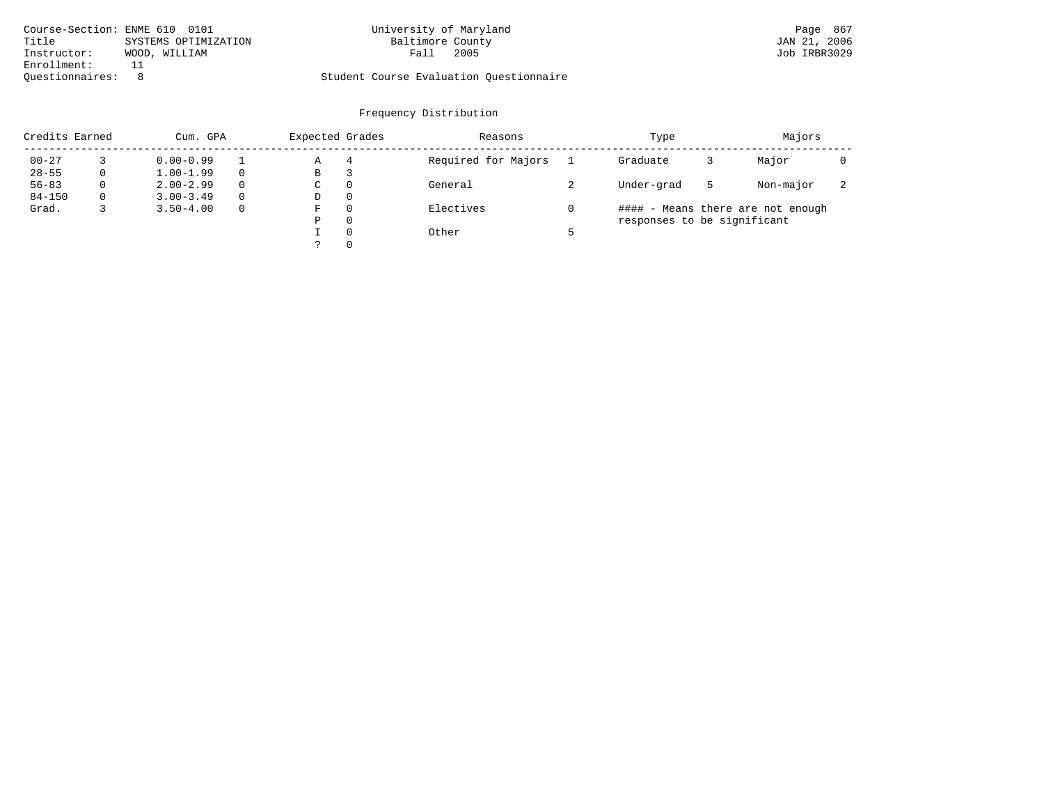| Course-Section: ENME 610 0101 |                      | University of Maryland                  | Page 867     |
|-------------------------------|----------------------|-----------------------------------------|--------------|
| Title                         | SYSTEMS OPTIMIZATION | Baltimore County                        | JAN 21, 2006 |
| Instructor:                   | WOOD, WILLIAM        | 2005<br>Fall                            | Job IRBR3029 |
| Enrollment:                   |                      |                                         |              |
| Ouestionnaires:               |                      | Student Course Evaluation Questionnaire |              |

| Credits Earned |          | Cum. GPA      |          |   | Expected Grades | Reasons             | Type                        |   | Majors                            |                          |
|----------------|----------|---------------|----------|---|-----------------|---------------------|-----------------------------|---|-----------------------------------|--------------------------|
| $00 - 27$      |          | $0.00 - 0.99$ |          | Α | 4               | Required for Majors | Graduate                    |   | Major                             |                          |
| $28 - 55$      | 0        | $1.00 - 1.99$ |          | В | З               |                     |                             |   |                                   |                          |
| $56 - 83$      | $\Omega$ | $2.00 - 2.99$ | $\Omega$ | C | $\Omega$        | General             | Under-grad                  | 5 | Non-major                         | $\overline{\phantom{a}}$ |
| $84 - 150$     | $\Omega$ | $3.00 - 3.49$ | $\Omega$ | D | $\Omega$        |                     |                             |   |                                   |                          |
| Grad.          |          | $3.50 - 4.00$ | $\Omega$ | F | $\Omega$        | Electives           |                             |   | #### - Means there are not enough |                          |
|                |          |               |          | Ρ | $\Omega$        |                     | responses to be significant |   |                                   |                          |
|                |          |               |          |   | $\Omega$        | Other               |                             |   |                                   |                          |
|                |          |               |          |   | $\Omega$        |                     |                             |   |                                   |                          |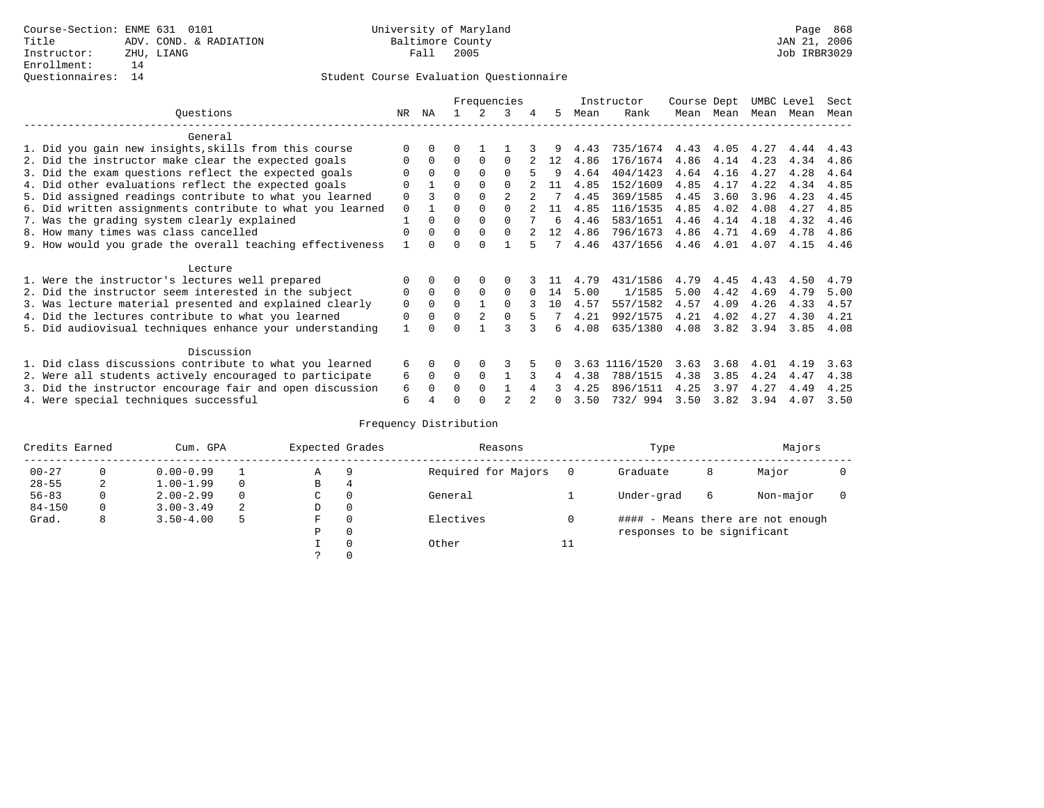### Questionnaires: 14 Student Course Evaluation Questionnaire

|                                                           |                                                           |             |             |          |          | Frequencies    |   |              |      | Instructor | Course Dept |      | UMBC Level |      | Sect |
|-----------------------------------------------------------|-----------------------------------------------------------|-------------|-------------|----------|----------|----------------|---|--------------|------|------------|-------------|------|------------|------|------|
|                                                           | Questions                                                 | NR.         | ΝA          |          |          | 3              | 4 | 5.           | Mean | Rank       | Mean        | Mean | Mean       | Mean | Mean |
|                                                           | General                                                   |             |             |          |          |                |   |              |      |            |             |      |            |      |      |
|                                                           | 1. Did you gain new insights, skills from this course     |             | $\Omega$    | 0        |          |                |   |              | 4.43 | 735/1674   | 4.43        | 4.05 | 4.27       | 4.44 | 4.43 |
|                                                           | 2. Did the instructor make clear the expected goals       |             | $\Omega$    | 0        | $\Omega$ | <sup>0</sup>   |   | 12           | 4.86 | 176/1674   | 4.86        | 4.14 | 4.23       | 4.34 | 4.86 |
|                                                           | 3. Did the exam questions reflect the expected goals      |             | $\Omega$    | $\Omega$ | $\Omega$ | <sup>0</sup>   |   | 9            | 4.64 | 404/1423   | 4.64        | 4.16 | 4.27       | 4.28 | 4.64 |
|                                                           | 4. Did other evaluations reflect the expected goals       | 0           |             | O        | $\Omega$ | $\Omega$       |   | 11           | 4.85 | 152/1609   | 4.85        | 4.17 | 4.22       | 4.34 | 4.85 |
|                                                           | 5. Did assigned readings contribute to what you learned   | 0           |             |          | $\Omega$ | $\mathfrak{D}$ |   |              | 4.45 | 369/1585   | 4.45        | 3.60 | 3.96       | 4.23 | 4.45 |
|                                                           | 6. Did written assignments contribute to what you learned | $\mathbf 0$ |             | U        | $\Omega$ | U              |   | 11           | 4.85 | 116/1535   | 4.85        | 4.02 | 4.08       | 4.27 | 4.85 |
| 7. Was the grading system clearly explained               |                                                           |             |             |          | $\Omega$ | <sup>0</sup>   |   | 6            | 4.46 | 583/1651   | 4.46        | 4.14 | 4.18       | 4.32 | 4.46 |
| 8. How many times was class cancelled                     |                                                           |             | $\Omega$    | 0        | $\Omega$ | 0              |   | 12           | 4.86 | 796/1673   | 4.86        | 4.71 | 4.69       | 4.78 | 4.86 |
| 9. How would you grade the overall teaching effectiveness |                                                           |             |             |          | U        |                |   |              | 4.46 | 437/1656   | 4.46        | 4.01 | 4.07       | 4.15 | 4.46 |
|                                                           | Lecture                                                   |             |             |          |          |                |   |              |      |            |             |      |            |      |      |
|                                                           | 1. Were the instructor's lectures well prepared           |             |             |          | $\Omega$ |                |   |              | 4.79 | 431/1586   | 4.79        | 4.45 | 4.43       | 4.50 | 4.79 |
|                                                           | 2. Did the instructor seem interested in the subject      | 0           | $\Omega$    | $\Omega$ | $\Omega$ | 0              |   | 14           | 5.00 | 1/1585     | 5.00        | 4.42 | 4.69       | 4.79 | 5.00 |
|                                                           | 3. Was lecture material presented and explained clearly   | 0           | $\Omega$    | 0        |          | <sup>0</sup>   |   | 10           | 4.57 | 557/1582   | 4.57        | 4.09 | 4.26       | 4.33 | 4.57 |
|                                                           | 4. Did the lectures contribute to what you learned        | 0           | $\mathbf 0$ | 0        |          |                |   |              | 4.21 | 992/1575   | 4.21        | 4.02 | 4.27       | 4.30 | 4.21 |
|                                                           | 5. Did audiovisual techniques enhance your understanding  |             |             |          |          |                |   | б.           | 4.08 | 635/1380   | 4.08        | 3.82 | 3.94       | 3.85 | 4.08 |
|                                                           |                                                           |             |             |          |          |                |   |              |      |            |             |      |            |      |      |
|                                                           | Discussion                                                |             |             |          |          |                |   |              |      |            |             |      |            |      |      |
|                                                           | 1. Did class discussions contribute to what you learned   | 6           | $\Omega$    | U        | $\Omega$ | 3              |   |              | 3.63 | 1116/1520  | 3.63        | 3.68 | 4.01       | 4.19 | 3.63 |
|                                                           | 2. Were all students actively encouraged to participate   | 6           | $\Omega$    | $\Omega$ | $\Omega$ |                |   | 4            | 4.38 | 788/1515   | 4.38        | 3.85 | 4.24       | 4.47 | 4.38 |
| 3. Did the instructor encourage fair and open discussion  |                                                           |             |             | U        | $\Omega$ |                |   |              | 4.25 | 896/1511   | 4.25        | 3.97 | 4.27       | 4.49 | 4.25 |
|                                                           | 4. Were special techniques successful                     | 6           |             |          |          |                |   | <sup>n</sup> | 3.50 | 732/994    | 3.50        | 3.82 | 3.94       | 4.07 | 3.50 |

| Credits Earned |          | Cum. GPA      |   |   | Expected Grades | Reasons             |   | Type                        |   | Majors                            |  |
|----------------|----------|---------------|---|---|-----------------|---------------------|---|-----------------------------|---|-----------------------------------|--|
| $00 - 27$      | 0        | $0.00 - 0.99$ |   | Α | 9               | Required for Majors |   | Graduate                    | 8 | Major                             |  |
| $28 - 55$      | 2        | $1.00 - 1.99$ |   | B | 4               |                     |   |                             |   |                                   |  |
| $56 - 83$      | $\Omega$ | $2.00 - 2.99$ |   | C | 0               | General             |   | Under-grad                  | 6 | Non-major                         |  |
| $84 - 150$     | 0        | $3.00 - 3.49$ | 2 | D | 0               |                     |   |                             |   |                                   |  |
| Grad.          | 8        | $3.50 - 4.00$ | 5 | F | 0               | Electives           |   |                             |   | #### - Means there are not enough |  |
|                |          |               |   | Ρ | 0               |                     |   | responses to be significant |   |                                   |  |
|                |          |               |   |   | $\Omega$        | Other               | ᅩ |                             |   |                                   |  |
|                |          |               |   |   |                 |                     |   |                             |   |                                   |  |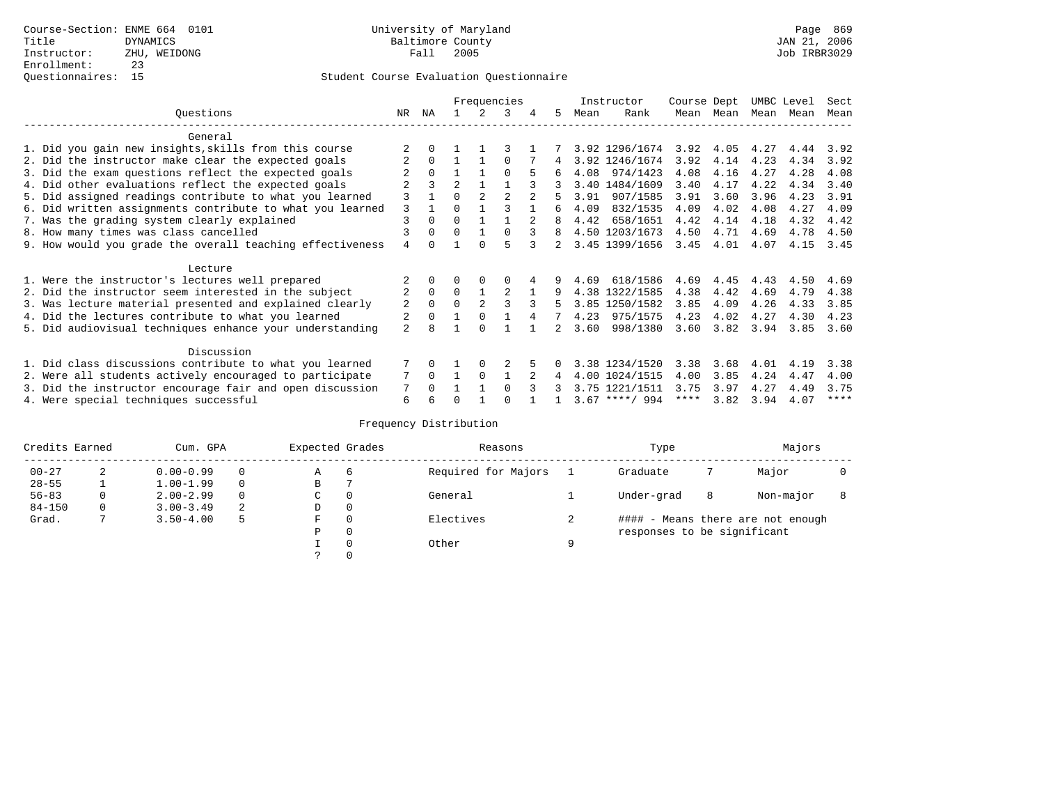|                                                           | Frequencies |          |                |                |          | Instructor |          | Course Dept |                  | UMBC Level |      | Sect |      |      |
|-----------------------------------------------------------|-------------|----------|----------------|----------------|----------|------------|----------|-------------|------------------|------------|------|------|------|------|
| Ouestions                                                 | NR.         | ΝA       |                |                | 3        | 4          | 5.       | Mean        | Rank             | Mean       | Mean | Mean | Mean | Mean |
| General                                                   |             |          |                |                |          |            |          |             |                  |            |      |      |      |      |
| 1. Did you gain new insights, skills from this course     |             |          |                |                |          |            |          |             | 3.92 1296/1674   | 3.92       | 4.05 | 4.27 | 4.44 | 3.92 |
| 2. Did the instructor make clear the expected goals       |             | $\Omega$ |                |                | $\Omega$ |            | 4        |             | 3.92 1246/1674   | 3.92       | 4.14 | 4.23 | 4.34 | 3.92 |
| 3. Did the exam questions reflect the expected goals      |             |          |                |                | $\Omega$ |            |          | 4.08        | 974/1423         | 4.08       | 4.16 | 4.27 | 4.28 | 4.08 |
| 4. Did other evaluations reflect the expected goals       |             | ζ        | $\mathfrak{D}$ |                |          |            |          |             | 3.40 1484/1609   | 3.40       | 4.17 | 4.22 | 4.34 | 3.40 |
| 5. Did assigned readings contribute to what you learned   | 3           |          | $\Omega$       |                |          |            |          | 3.91        | 907/1585         | 3.91       | 3.60 | 3.96 | 4.23 | 3.91 |
| 6. Did written assignments contribute to what you learned | 3           |          | $\Omega$       |                |          |            | б.       | 4.09        | 832/1535         | 4.09       | 4.02 | 4.08 | 4.27 | 4.09 |
| 7. Was the grading system clearly explained               | 3           | $\Omega$ | $\Omega$       | 1              |          |            | R        | 4.42        | 658/1651         | 4.42       | 4.14 | 4.18 | 4.32 | 4.42 |
| 8. How many times was class cancelled                     |             |          | $\Omega$       | $\mathbf{1}$   | $\cap$   | 3          | 8        |             | 4.50 1203/1673   | 4.50       | 4.71 | 4.69 | 4.78 | 4.50 |
| 9. How would you grade the overall teaching effectiveness | 4           | $\Omega$ |                | $\cap$         |          |            |          |             | 3.45 1399/1656   | 3.45       | 4.01 | 4.07 | 4.15 | 3.45 |
| Lecture                                                   |             |          |                |                |          |            |          |             |                  |            |      |      |      |      |
| 1. Were the instructor's lectures well prepared           |             |          |                | 0              |          |            | 9        | 4.69        | 618/1586         | 4.69       | 4.45 | 4.43 | 4.50 | 4.69 |
| 2. Did the instructor seem interested in the subject      |             | $\Omega$ | $\Omega$       | $\mathbf{1}$   | 2        |            | 9        |             | 4.38 1322/1585   | 4.38       | 4.42 | 4.69 | 4.79 | 4.38 |
| 3. Was lecture material presented and explained clearly   | 2           | $\Omega$ | $\Omega$       | $\mathfrak{D}$ | ζ        | 3          | 5        |             | 3.85 1250/1582   | 3.85       | 4.09 | 4.26 | 4.33 | 3.85 |
| 4. Did the lectures contribute to what you learned        | 2           | $\Omega$ |                | $\Omega$       |          | 4          |          | 4.23        | 975/1575         | 4.23       | 4.02 | 4.27 | 4.30 | 4.23 |
| 5. Did audiovisual techniques enhance your understanding  | 2           | 8        |                | $\Omega$       |          |            |          | 3.60        | 998/1380         | 3.60       | 3.82 | 3.94 | 3.85 | 3.60 |
| Discussion                                                |             |          |                |                |          |            |          |             |                  |            |      |      |      |      |
| 1. Did class discussions contribute to what you learned   |             | $\Omega$ |                | $\Omega$       |          |            | $\Omega$ |             | 3.38 1234/1520   | 3.38       | 3.68 | 4.01 | 4.19 | 3.38 |
| 2. Were all students actively encouraged to participate   | 7           | $\Omega$ | $\mathbf{1}$   | $\Omega$       |          |            | 4        |             | 4.00 1024/1515   | 4.00       | 3.85 | 4.24 | 4.47 | 4.00 |
| 3. Did the instructor encourage fair and open discussion  |             | $\cap$   |                |                | $\cap$   | २          | 3        |             | 3.75 1221/1511   | 3.75       | 3.97 | 4.27 | 4.49 | 3.75 |
| 4. Were special techniques successful                     | 6           |          | ∩              |                | U        |            |          |             | $3.67$ ****/ 994 | $***$ * *  | 3.82 | 3.94 | 4.07 | **** |

| Credits Earned |   | Cum. GPA      |   |    | Expected Grades | Reasons             |   | Type                              |   | Majors    |  |
|----------------|---|---------------|---|----|-----------------|---------------------|---|-----------------------------------|---|-----------|--|
| $00 - 27$      | 2 | $0.00 - 0.99$ |   | Α  | 6               | Required for Majors |   | Graduate                          |   | Major     |  |
| $28 - 55$      |   | $1.00 - 1.99$ | 0 | В  |                 |                     |   |                                   |   |           |  |
| $56 - 83$      | 0 | $2.00 - 2.99$ |   | C. | 0               | General             |   | Under-grad                        | 8 | Non-major |  |
| $84 - 150$     | 0 | $3.00 - 3.49$ | 2 | D  | 0               |                     |   |                                   |   |           |  |
| Grad.          |   | $3.50 - 4.00$ |   | F  | $\Omega$        | Electives           |   | #### - Means there are not enough |   |           |  |
|                |   |               |   | P  | 0               |                     |   | responses to be significant       |   |           |  |
|                |   |               |   |    | $\Omega$        | Other               | a |                                   |   |           |  |
|                |   |               |   |    |                 |                     |   |                                   |   |           |  |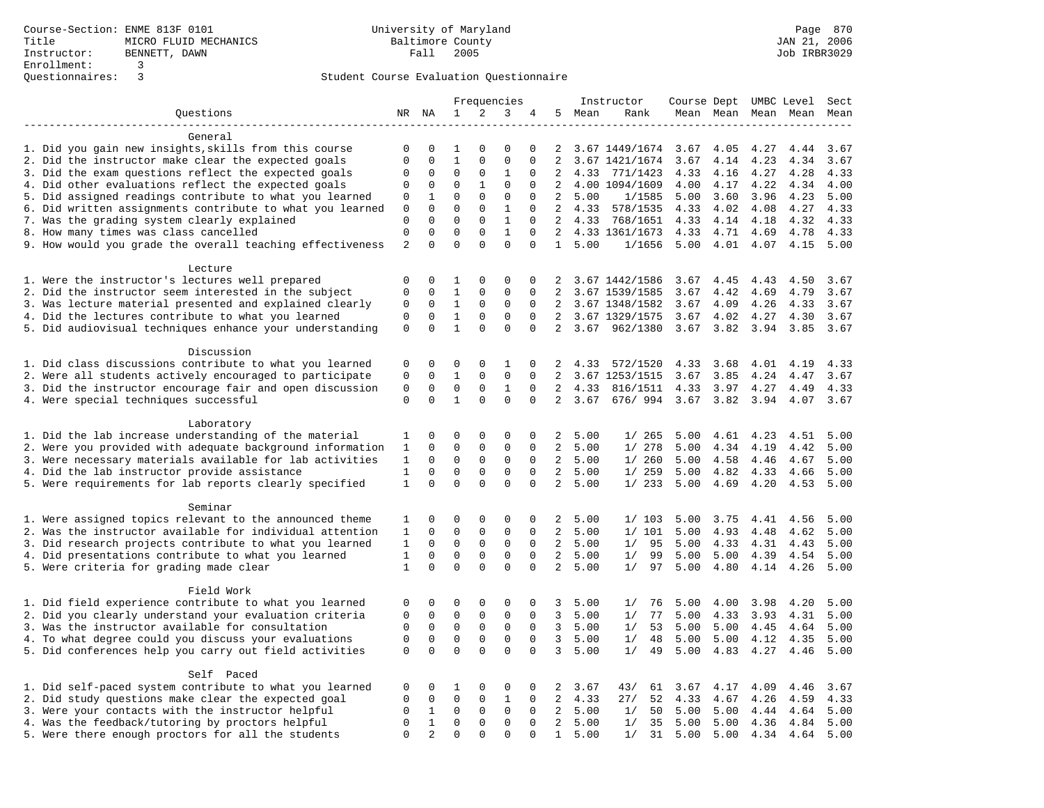|                                                                                                            | Frequencies      |                            |                            |                | Instructor       | Course Dept UMBC Level |                     |              |                | Sect         |                     |              |              |              |
|------------------------------------------------------------------------------------------------------------|------------------|----------------------------|----------------------------|----------------|------------------|------------------------|---------------------|--------------|----------------|--------------|---------------------|--------------|--------------|--------------|
| Questions                                                                                                  |                  | NR NA                      | 1                          | $\overline{a}$ | 3                | 4                      | 5                   | Mean         | Rank           |              | Mean Mean Mean Mean |              |              | Mean         |
|                                                                                                            |                  |                            |                            |                |                  |                        |                     |              |                |              |                     |              |              |              |
| General                                                                                                    |                  |                            |                            |                |                  |                        |                     |              |                |              |                     |              |              |              |
| 1. Did you gain new insights, skills from this course                                                      | $\mathbf 0$      | 0                          | 1                          | $\Omega$       | $\mathbf 0$      | $\Omega$               | 2                   |              | 3.67 1449/1674 | 3.67         | 4.05                | 4.27         | 4.44         | 3.67         |
| 2. Did the instructor make clear the expected goals                                                        | $\mathbf 0$      | $\Omega$                   | $1\,$                      | $\Omega$       | $\mathsf 0$      | $\Omega$               | $\overline{2}$      |              | 3.67 1421/1674 | 3.67         | 4.14                | 4.23         | 4.34         | 3.67         |
| 3. Did the exam questions reflect the expected goals                                                       | $\mathbf 0$      | $\mathbf 0$                | $\mathbf 0$                | $\mathbf 0$    | 1                | $\mathbf 0$            | 2                   | 4.33         | 771/1423       | 4.33         | 4.16                | 4.27         | 4.28         | 4.33         |
| 4. Did other evaluations reflect the expected goals                                                        | $\mathbf 0$      | 0                          | $\mathbf 0$                | 1              | $\mathbf{0}$     | $\mathbf 0$            | $\overline{2}$      |              | 4.00 1094/1609 | 4.00         | 4.17                | 4.22         | 4.34         | 4.00         |
| 5. Did assigned readings contribute to what you learned                                                    | 0                | 1                          | $\mathbf{0}$               | $\mathbf 0$    | $\mathsf 0$      | $\mathbf 0$            | 2                   | 5.00         | 1/1585         | 5.00         | 3.60                | 3.96         | 4.23         | 5.00         |
| 6. Did written assignments contribute to what you learned                                                  | $\mathbf 0$      | $\mathbf 0$                | $\mathbf 0$                | $\mathbf 0$    | $\mathbf{1}$     | $\mathbf 0$            | 2                   | 4.33         | 578/1535       | 4.33         | 4.02                | 4.08         | 4.27         | 4.33         |
| 7. Was the grading system clearly explained                                                                | $\Omega$         | $\Omega$                   | $\Omega$                   | $\Omega$       | $\mathbf{1}$     | $\Omega$               | $\overline{2}$      |              | 4.33 768/1651  | 4.33         | 4.14                | 4.18         | 4.32         | 4.33         |
| 8. How many times was class cancelled                                                                      | $\mathsf 0$      | $\mathbf 0$                | $\mathbf{0}$               | $\mathbf 0$    | $\mathbf{1}$     | $\mathbf 0$            | 2                   |              | 4.33 1361/1673 | 4.33         | 4.71                | 4.69         | 4.78         | 4.33         |
| 9. How would you grade the overall teaching effectiveness                                                  | $\overline{2}$   | $\Omega$                   | $\Omega$                   | $\Omega$       | $\Omega$         | $\Omega$               | $\mathbf{1}$        | 5.00         | 1/1656         | 5.00         | 4.01                | 4.07         | 4.15         | 5.00         |
| Lecture                                                                                                    |                  |                            |                            |                |                  |                        |                     |              |                |              |                     |              |              |              |
| 1. Were the instructor's lectures well prepared                                                            | 0                | $\mathbf 0$                | 1                          | $\mathsf 0$    | $\mathsf 0$      | 0                      | 2                   |              | 3.67 1442/1586 | 3.67         | 4.45                | 4.43         | 4.50         | 3.67         |
| 2. Did the instructor seem interested in the subject                                                       | $\mathbf 0$      | $\mathbf 0$                | $\mathbf{1}$               | $\mathbf 0$    | $\mathbf{0}$     | $\mathbf 0$            | 2                   |              | 3.67 1539/1585 | 3.67         | 4.42                | 4.69         | 4.79         | 3.67         |
| 3. Was lecture material presented and explained clearly                                                    | 0                | 0                          | $\mathbf{1}$               | 0              | 0                | 0                      | 2                   |              | 3.67 1348/1582 | 3.67         | 4.09                | 4.26         | 4.33         | 3.67         |
| 4. Did the lectures contribute to what you learned                                                         | $\mathbf 0$      | 0                          | $\mathbf{1}$               | $\mathbf 0$    | $\mathbf{0}$     | $\Omega$               | 2                   |              | 3.67 1329/1575 | 3.67         | 4.02                | 4.27         | 4.30         | 3.67         |
| 5. Did audiovisual techniques enhance your understanding                                                   | $\mathbf 0$      | $\Omega$                   | $\mathbf{1}$               | $\Omega$       | $\Omega$         | $\Omega$               | 2                   |              | 3.67 962/1380  | 3.67         | 3.82                | 3.94         | 3.85         | 3.67         |
|                                                                                                            |                  |                            |                            |                |                  |                        |                     |              |                |              |                     |              |              |              |
| Discussion                                                                                                 |                  |                            |                            |                |                  |                        |                     |              |                |              |                     |              |              |              |
| 1. Did class discussions contribute to what you learned                                                    | 0                | 0                          | $\mathbf 0$                | $\mathbf 0$    | 1                | 0                      | 2                   | 4.33         | 572/1520       | 4.33         | 3.68                | 4.01         | 4.19         | 4.33         |
| 2. Were all students actively encouraged to participate                                                    | $\mathbf 0$      | $\mathbf 0$                | $\mathbf{1}$               | $\mathbf 0$    | $\mathbf 0$      | 0                      | $\overline{2}$      |              | 3.67 1253/1515 | 3.67         | 3.85                | 4.24         | 4.47         | 3.67         |
| 3. Did the instructor encourage fair and open discussion                                                   | $\mathsf 0$      | 0                          | $\mathbf 0$                | $\mathbf 0$    | $\mathbf{1}$     | $\Omega$               | $\overline{2}$      | 4.33         | 816/1511       | 4.33         | 3.97                | 4.27         | 4.49         | 4.33         |
| 4. Were special techniques successful                                                                      | $\mathbf 0$      | $\Omega$                   | $\mathbf{1}$               | $\Omega$       | $\Omega$         | $\Omega$               | $\overline{2}$      | 3.67         | 676/994        | 3.67         | 3.82                | 3.94         | 4.07         | 3.67         |
|                                                                                                            |                  |                            |                            |                |                  |                        |                     |              |                |              |                     |              |              |              |
| Laboratory                                                                                                 |                  |                            |                            |                |                  |                        |                     |              |                |              |                     |              |              |              |
| 1. Did the lab increase understanding of the material                                                      | 1                | 0                          | $\mathbf 0$                | $\mathbf 0$    | $\mathbf 0$      | 0                      | 2                   | 5.00         | 1/265          | 5.00         | 4.61                | 4.23         | 4.51         | 5.00         |
| 2. Were you provided with adequate background information                                                  | 1                | 0                          | $\mathbf{0}$               | $\mathbf 0$    | $\mathbf 0$      | $\Omega$               | 2                   | 5.00         | 1/278          | 5.00         | 4.34                | 4.19         | 4.42         | 5.00         |
| 3. Were necessary materials available for lab activities                                                   | 1                | $\mathbf 0$                | $\mathbf 0$                | $\mathbf 0$    | $\mathbf 0$      | $\mathbf 0$            | 2                   | 5.00         | 1/260          | 5.00         | 4.58                | 4.46         | 4.67         | 5.00         |
| 4. Did the lab instructor provide assistance                                                               | $\mathbf{1}$     | $\mathbf 0$                | $\mathsf 0$                | $\mathsf 0$    | $\mathsf 0$      | $\mathbf 0$            | $\overline{a}$      | 5.00         | 1/259          | 5.00         | 4.82                | 4.33         | 4.66         | 5.00         |
| 5. Were requirements for lab reports clearly specified                                                     | $\mathbf{1}$     | $\mathbf 0$                | $\mathbf 0$                | $\Omega$       | $\mathbf 0$      | $\mathbf 0$            | $\overline{a}$      | 5.00         | 1/233          | 5.00         | 4.69                | 4.20         | 4.53         | 5.00         |
|                                                                                                            |                  |                            |                            |                |                  |                        |                     |              |                |              |                     |              |              |              |
| Seminar                                                                                                    |                  |                            |                            |                |                  |                        |                     |              |                |              |                     |              |              |              |
| 1. Were assigned topics relevant to the announced theme                                                    | 1                | 0                          | $\mathbf{0}$               | $\mathbf 0$    | $\mathbf 0$      | $\mathbf 0$            | 2                   | 5.00         | 1/103          | 5.00         | 3.75                | 4.41         | 4.56         | 5.00         |
| 2. Was the instructor available for individual attention                                                   | 1                | 0                          | $\mathbf 0$                | $\mathsf{O}$   | $\mathsf 0$      | 0                      | $\overline{a}$      | 5.00         | 1/101          | 5.00         | 4.93                | 4.48         | 4.62         | 5.00         |
| 3. Did research projects contribute to what you learned                                                    | 1                | $\mathbf 0$                | $\mathbf 0$                | $\mathbf 0$    | $\mathsf 0$      | $\mathbf 0$            | $\overline{2}$      | 5.00         | 1/<br>95       | 5.00         | 4.33                | 4.31         | 4.43         | 5.00         |
| 4. Did presentations contribute to what you learned                                                        | 1                | $\mathbf 0$                | $\mathbf 0$                | $\mathbf 0$    | $\mathbf 0$      | $\mathbf 0$            | 2                   | 5.00         | 99<br>1/       | 5.00         | 5.00                | 4.39         | 4.54         | 5.00         |
| 5. Were criteria for grading made clear                                                                    | $\mathbf{1}$     | $\Omega$                   | $\Omega$                   | $\Omega$       | $\Omega$         | $\mathbf 0$            | 2                   | 5.00         | 1/<br>97       | 5.00         | 4.80                | 4.14         | 4.26         | 5.00         |
| Field Work                                                                                                 |                  |                            |                            |                |                  |                        |                     |              |                |              |                     |              |              |              |
|                                                                                                            |                  |                            |                            | $\mathbf 0$    |                  |                        |                     |              |                |              | 4.00                |              | 4.20         |              |
| 1. Did field experience contribute to what you learned                                                     | 0<br>$\mathbf 0$ | 0                          | 0                          | $\mathbf 0$    | 0<br>$\mathbf 0$ | 0<br>$\mathbf 0$       | 3<br>$\overline{3}$ | 5.00         | 1/<br>76<br>77 | 5.00         |                     | 3.98         |              | 5.00         |
| 2. Did you clearly understand your evaluation criteria<br>3. Was the instructor available for consultation | $\mathbf 0$      | $\mathbf 0$<br>$\mathbf 0$ | $\mathbf 0$<br>$\mathbf 0$ | 0              | $\mathbf 0$      | 0                      | 3                   | 5.00         | 1/<br>53       | 5.00         | 4.33                | 3.93         | 4.31         | 5.00         |
| 4. To what degree could you discuss your evaluations                                                       | $\mathbf 0$      | $\mathbf 0$                | $\mathbf 0$                | $\mathbf 0$    | $\mathbf 0$      | $\Omega$               | $\mathbf{3}$        | 5.00<br>5.00 | 1/<br>48<br>1/ | 5.00<br>5.00 | 5.00<br>5.00        | 4.45         | 4.64<br>4.35 | 5.00<br>5.00 |
| 5. Did conferences help you carry out field activities                                                     | $\mathsf 0$      | $\mathbf 0$                | $\mathbf 0$                | $\mathbf 0$    | $\mathbf 0$      | $\mathbf 0$            | 3                   | 5.00         | 1/<br>49       | 5.00         | 4.83                | 4.12<br>4.27 | 4.46         | 5.00         |
|                                                                                                            |                  |                            |                            |                |                  |                        |                     |              |                |              |                     |              |              |              |
| Self Paced                                                                                                 |                  |                            |                            |                |                  |                        |                     |              |                |              |                     |              |              |              |
| 1. Did self-paced system contribute to what you learned                                                    | 0                | 0                          | 1                          | $\mathbf 0$    | 0                | 0                      | 2                   | 3.67         | 43/<br>61      | 3.67         | 4.17                | 4.09         | 4.46         | 3.67         |
| 2. Did study questions make clear the expected goal                                                        | $\Omega$         | $\mathbf 0$                | $\mathbf 0$                | $\mathbf 0$    | $\mathbf{1}$     | $\Omega$               | $\overline{2}$      | 4.33         | 27/<br>52      | 4.33         | 4.67                | 4.26         | 4.59         | 4.33         |
| 3. Were your contacts with the instructor helpful                                                          | $\mathsf 0$      | $\mathbf{1}$               | $\mathbf 0$                | $\mathsf{O}$   | $\mathsf 0$      | $\mathbf 0$            | 2                   | 5.00         | 1/<br>50       | 5.00         | 5.00                | 4.44         | 4.64         | 5.00         |
| 4. Was the feedback/tutoring by proctors helpful                                                           | $\mathbf 0$      | $\mathbf{1}$               | $\mathbf 0$                | $\mathbf 0$    | $\mathbf 0$      | $\mathbf 0$            | 2                   | 5.00         | 1/<br>35       | 5.00         | 5.00                | 4.36         | 4.84         | 5.00         |
| 5. Were there enough proctors for all the students                                                         | $\Omega$         | 2                          | $\Omega$                   | $\cap$         | $\Omega$         | $\Omega$               | 1                   | 5.00         | 1/<br>31       | 5.00         | 5.00                | 4.34         | 4.64         | 5.00         |
|                                                                                                            |                  |                            |                            |                |                  |                        |                     |              |                |              |                     |              |              |              |